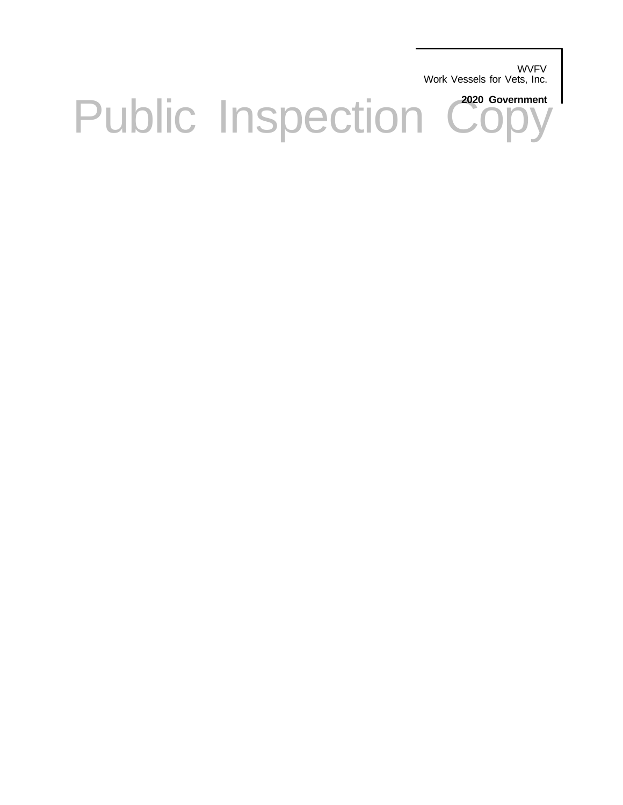**WVFV** Work Vessels for Vets, Inc.

Public Inspection Copy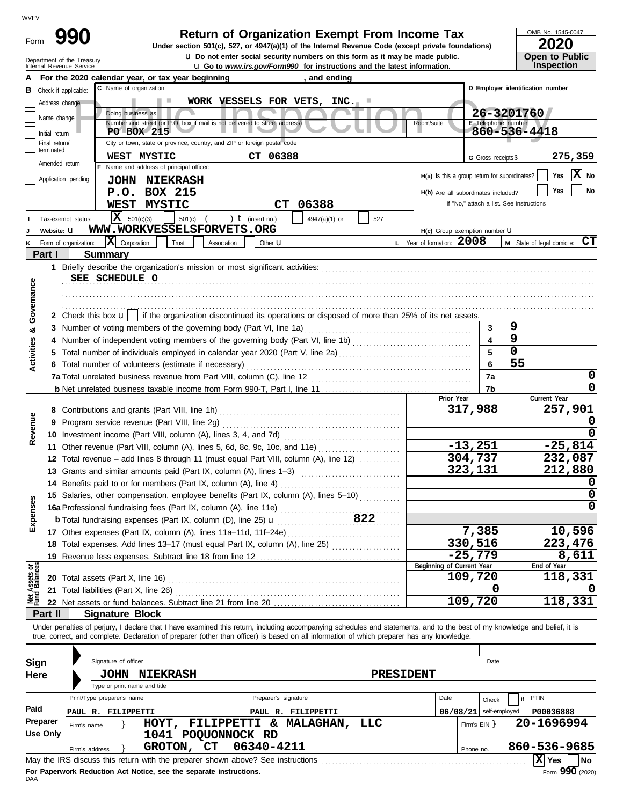Form

Department of the Treasury<br>Internal Revenue Service

Check if applicable:

Application pending

Tax-exempt status: **Website:** u Form of organization:

Amended return terminated

**I J K** Initial return Name change Address change

Final return/

**For the 2020 calendar year, or tax year beginning A , and ending**

C Name of organization

Doing business as

**PO BOX 215**

 $\mathbf{X}$  501(c)(3)

Name and address of principal officer:

**JOHN NIEKRASH P.O. BOX 215**

City or town, state or province, country, and ZIP or foreign postal code

**WEST MYSTIC CT 06388**

**WWW.WORKVESSELSFORVETS.ORG**

**WEST MYSTIC CT 06388**

# **990 2020 2010 2020 2020 2020 2020 2020 2020 2020 2020 2020 2020 2020 2020 2020**

**u** Go to *www.irs.gov/Form990* for instructions and the latest information. **u** Do not enter social security numbers on this form as it may be made public.

Noting business as<br>
Number and street (or P.O. box if mail is not delivered to street address)<br>
PO'BOX 215<br>
City of the or true state of provision country and 70 or foreign posts and<br>
City of the or true state of provision

)  $t$  (insert no.)  $\frac{1}{4947(a)(1)}$  or 527

**B** Check if annicable: C Name of organization **C D Employer identification number** 

Number and street (or P.O. box if mail is not delivered to street address) Room/suite

**WORK VESSELS FOR VETS, INC.**

OMB No. 1545-0047

|  | ZUZU                  |
|--|-----------------------|
|  | <b>Open to Public</b> |
|  | <b>Inspection</b>     |

Yes **X** No Yes **No** 

**275,359**

G Gross receipts \$

If "No," attach a list. See instructions

**H(a)** Is this a group return for subordinates? **H(b)** Are all subordinates included?

H(c) Group exemption number **U** 

**E** Telephone numbe

**26-3201760 860-536-4418**

|                    |          | <b>K</b> Form of organization: $ \mathbf{X} $ Corporation<br>Trust<br>Other $\mathbf u$<br>Association                                                                     | L Year of formation: 2008 | M State of legal domicile: CT |
|--------------------|----------|----------------------------------------------------------------------------------------------------------------------------------------------------------------------------|---------------------------|-------------------------------|
|                    | Part I   | <b>Summary</b>                                                                                                                                                             |                           |                               |
|                    |          |                                                                                                                                                                            |                           |                               |
|                    |          | SEE SCHEDULE O                                                                                                                                                             |                           |                               |
| Governance         |          |                                                                                                                                                                            |                           |                               |
|                    |          |                                                                                                                                                                            |                           |                               |
|                    |          | 2 Check this box $\mathbf{u}$   if the organization discontinued its operations or disposed of more than 25% of its net assets.                                            |                           |                               |
|                    |          | 3 Number of voting members of the governing body (Part VI, line 1a)                                                                                                        | 3                         | 9                             |
|                    |          |                                                                                                                                                                            | 4                         | $\overline{9}$                |
|                    |          |                                                                                                                                                                            | 5                         | 0                             |
| Activities &       |          | 6 Total number of volunteers (estimate if necessary)                                                                                                                       | 6                         | 55                            |
|                    |          |                                                                                                                                                                            |                           |                               |
|                    |          |                                                                                                                                                                            | 7a                        | 0<br>0                        |
|                    |          |                                                                                                                                                                            | 7b<br>Prior Year          | Current Year                  |
|                    |          |                                                                                                                                                                            | 317,988                   | 257,901                       |
|                    |          |                                                                                                                                                                            |                           |                               |
|                    |          |                                                                                                                                                                            |                           | U                             |
| Revenue            |          | 10 Investment income (Part VIII, column (A), lines 3, 4, and 7d) [                                                                                                         |                           |                               |
|                    |          | 11 Other revenue (Part VIII, column (A), lines 5, 6d, 8c, 9c, 10c, and 11e)                                                                                                | $-13,251$                 | $-25,814$                     |
|                    |          | 12 Total revenue – add lines 8 through 11 (must equal Part VIII, column (A), line 12)                                                                                      | 304,737                   | 232,087                       |
|                    |          | 13 Grants and similar amounts paid (Part IX, column (A), lines 1-3)                                                                                                        | 323,131                   | 212,880                       |
|                    |          | 14 Benefits paid to or for members (Part IX, column (A), line 4)                                                                                                           |                           | 0                             |
|                    |          | 15 Salaries, other compensation, employee benefits (Part IX, column (A), lines 5-10)                                                                                       |                           | 0                             |
| Expenses           |          |                                                                                                                                                                            |                           | 0                             |
|                    |          |                                                                                                                                                                            |                           |                               |
|                    |          | 17 Other expenses (Part IX, column (A), lines 11a-11d, 11f-24e)                                                                                                            | 7,385                     | 10,596                        |
|                    |          | 18 Total expenses. Add lines 13-17 (must equal Part IX, column (A), line 25)                                                                                               | 330,516                   | $\overline{2}$ 23,476         |
|                    |          |                                                                                                                                                                            | $-25,779$                 | 8,611                         |
| ិន្ត               |          |                                                                                                                                                                            | Beginning of Current Year | End of Year                   |
| Assets<br>1 Balanc |          | 20 Total assets (Part X, line 16)                                                                                                                                          | 109,720                   | 118,331                       |
|                    |          |                                                                                                                                                                            | O                         |                               |
|                    |          |                                                                                                                                                                            | 109,720                   | 118,331                       |
|                    | Part II  | <b>Signature Block</b>                                                                                                                                                     |                           |                               |
|                    |          | Under penalties of perjury, I declare that I have examined this return, including accompanying schedules and statements, and to the best of my knowledge and belief, it is |                           |                               |
|                    |          | true, correct, and complete. Declaration of preparer (other than officer) is based on all information of which preparer has any knowledge.                                 |                           |                               |
|                    |          |                                                                                                                                                                            |                           |                               |
| Sign               |          | Signature of officer                                                                                                                                                       | Date                      |                               |
| Here               |          | <b>JOHN NIEKRASH</b>                                                                                                                                                       | <b>PRESIDENT</b>          |                               |
|                    |          | Type or print name and title                                                                                                                                               |                           |                               |
|                    |          | Print/Type preparer's name<br>Preparer's signature                                                                                                                         | Date<br>Check             | PTIN<br>if                    |
| Paid               |          | PAUL R. FILIPPETTI<br>PAUL R. FILIPPETTI                                                                                                                                   | $06/08/21$ self-employed  | P00036888                     |
|                    | Preparer | HOYT, FILIPPETTI & MALAGHAN,<br>LLC<br>Firm's name                                                                                                                         | Firm's $EIN$ }            | 20-1696994                    |
|                    | Use Only | 1041 POQUONNOCK RD                                                                                                                                                         |                           |                               |
|                    |          | 06340-4211<br>GROTON, CT<br>$\rightarrow$<br>Firm's address                                                                                                                | Phone no.                 | 860-536-9685                  |
|                    |          | May the IRS discuss this return with the preparer shown above? See instructions                                                                                            |                           | $ \mathbf{X} $ Yes<br>No      |
|                    |          |                                                                                                                                                                            |                           |                               |

| Sign       |                                                                                         | Signature of officer         |                                                                                 |  |                      |                  |          |      |               | Date  |           |                  |  |
|------------|-----------------------------------------------------------------------------------------|------------------------------|---------------------------------------------------------------------------------|--|----------------------|------------------|----------|------|---------------|-------|-----------|------------------|--|
| Here       |                                                                                         | <b>JOHN</b>                  | <b>NIEKRASH</b>                                                                 |  |                      | <b>PRESIDENT</b> |          |      |               |       |           |                  |  |
|            |                                                                                         | Type or print name and title |                                                                                 |  |                      |                  |          |      |               |       |           |                  |  |
|            |                                                                                         | Print/Type preparer's name   |                                                                                 |  | Preparer's signature |                  |          | Date |               | Check |           | <b>PTIN</b>      |  |
| Paid       | PAUL R. FILIPPETTI                                                                      |                              |                                                                                 |  | R.<br>IPAUL.         | FILIPPETTI       | 06/08/21 |      | self-employed |       | P00036888 |                  |  |
| Preparer   | Firm's name                                                                             |                              | FILIPPETTI<br>HOYT,                                                             |  | δŁ                   | <b>MALAGHAN,</b> | LLC      |      | Firm's EIN Y  |       |           | 20-1696994       |  |
| Use Only   |                                                                                         |                              | POQUONNOCK RD<br>1041                                                           |  |                      |                  |          |      |               |       |           |                  |  |
|            | Firm's address                                                                          |                              | CT.<br>GROTON,                                                                  |  | 06340-4211           |                  |          |      | Phone no.     |       |           | 860-536-9685     |  |
|            |                                                                                         |                              | May the IRS discuss this return with the preparer shown above? See instructions |  |                      |                  |          |      |               |       |           | No<br><b>Yes</b> |  |
| <b>DAA</b> | 990(2020)<br>For Paperwork Reduction Act Notice, see the separate instructions.<br>Form |                              |                                                                                 |  |                      |                  |          |      |               |       |           |                  |  |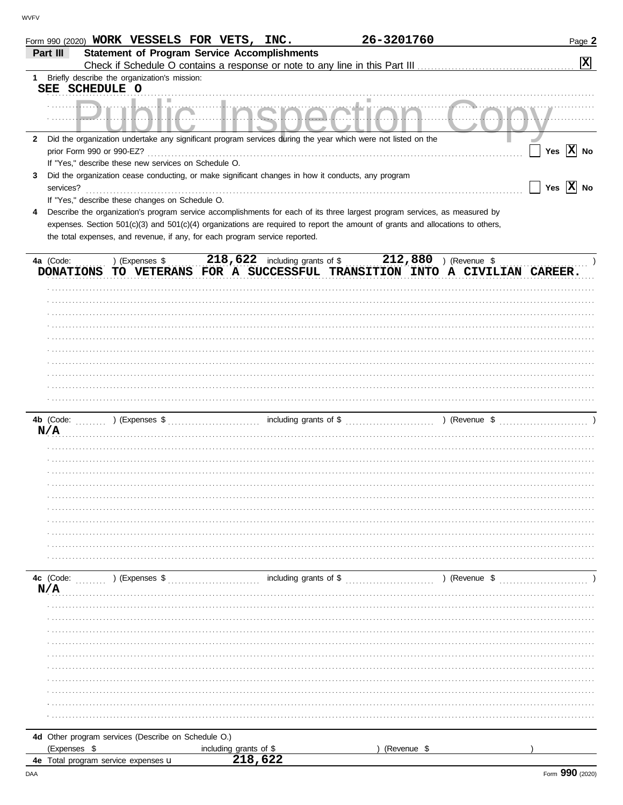|     | Form 990 (2020) WORK VESSELS FOR VETS, INC.                                                                                                                                               |                        | 26-3201760                                                          |               | Page 2                      |
|-----|-------------------------------------------------------------------------------------------------------------------------------------------------------------------------------------------|------------------------|---------------------------------------------------------------------|---------------|-----------------------------|
|     | <b>Statement of Program Service Accomplishments</b><br>Part III                                                                                                                           |                        |                                                                     |               |                             |
|     |                                                                                                                                                                                           |                        |                                                                     |               | $\mathbf{x}$                |
|     | 1 Briefly describe the organization's mission:<br>SEE SCHEDULE O                                                                                                                          |                        |                                                                     |               |                             |
|     |                                                                                                                                                                                           |                        |                                                                     |               |                             |
|     |                                                                                                                                                                                           |                        |                                                                     |               |                             |
| 2   | Did the organization undertake any significant program services during the year which were not listed on the                                                                              |                        |                                                                     |               |                             |
|     | prior Form 990 or 990-EZ?                                                                                                                                                                 |                        |                                                                     |               | Yes $\boxed{\mathbf{X}}$ No |
|     | If "Yes," describe these new services on Schedule O.                                                                                                                                      |                        |                                                                     |               |                             |
| 3   | Did the organization cease conducting, or make significant changes in how it conducts, any program<br>services?                                                                           |                        |                                                                     |               | Yes $\overline{X}$ No       |
|     | If "Yes," describe these changes on Schedule O.                                                                                                                                           |                        |                                                                     |               |                             |
| 4   | Describe the organization's program service accomplishments for each of its three largest program services, as measured by                                                                |                        |                                                                     |               |                             |
|     | expenses. Section 501(c)(3) and 501(c)(4) organizations are required to report the amount of grants and allocations to others,                                                            |                        |                                                                     |               |                             |
|     | the total expenses, and revenue, if any, for each program service reported.                                                                                                               |                        |                                                                     |               |                             |
|     |                                                                                                                                                                                           |                        |                                                                     |               |                             |
|     | 4a (Code:  ) (Expenses $\frac{1218,622}{180,622}$ including grants of $\frac{1212,880}{180,622}$ (Revenue \$<br>DONATIONS TO VETERANS FOR A SUCCESSFUL TRANSITION INTO A CIVILIAN CAREER. |                        |                                                                     |               |                             |
|     |                                                                                                                                                                                           |                        |                                                                     |               |                             |
|     |                                                                                                                                                                                           |                        |                                                                     |               |                             |
|     |                                                                                                                                                                                           |                        |                                                                     |               |                             |
|     |                                                                                                                                                                                           |                        |                                                                     |               |                             |
|     |                                                                                                                                                                                           |                        |                                                                     |               |                             |
|     |                                                                                                                                                                                           |                        |                                                                     |               |                             |
|     |                                                                                                                                                                                           |                        |                                                                     |               |                             |
|     |                                                                                                                                                                                           |                        |                                                                     |               |                             |
|     |                                                                                                                                                                                           |                        |                                                                     |               |                             |
|     |                                                                                                                                                                                           |                        |                                                                     |               |                             |
|     |                                                                                                                                                                                           |                        |                                                                     |               |                             |
| N/A |                                                                                                                                                                                           |                        |                                                                     |               |                             |
|     |                                                                                                                                                                                           |                        |                                                                     |               |                             |
|     |                                                                                                                                                                                           |                        |                                                                     |               |                             |
|     |                                                                                                                                                                                           |                        |                                                                     |               |                             |
|     |                                                                                                                                                                                           |                        |                                                                     |               |                             |
|     |                                                                                                                                                                                           |                        |                                                                     |               |                             |
|     |                                                                                                                                                                                           |                        |                                                                     |               |                             |
|     |                                                                                                                                                                                           |                        |                                                                     |               |                             |
|     |                                                                                                                                                                                           |                        |                                                                     |               |                             |
|     |                                                                                                                                                                                           |                        |                                                                     |               |                             |
|     |                                                                                                                                                                                           |                        |                                                                     |               |                             |
| N/A | 4c (Code:<br>$\ldots$ ) (Expenses \$                                                                                                                                                      |                        | $\ldots$ including grants of \$ $\ldots$ $\ldots$ $\ldots$ $\ldots$ | ) (Revenue \$ |                             |
|     |                                                                                                                                                                                           |                        |                                                                     |               |                             |
|     |                                                                                                                                                                                           |                        |                                                                     |               |                             |
|     |                                                                                                                                                                                           |                        |                                                                     |               |                             |
|     |                                                                                                                                                                                           |                        |                                                                     |               |                             |
|     |                                                                                                                                                                                           |                        |                                                                     |               |                             |
|     |                                                                                                                                                                                           |                        |                                                                     |               |                             |
|     |                                                                                                                                                                                           |                        |                                                                     |               |                             |
|     |                                                                                                                                                                                           |                        |                                                                     |               |                             |
|     |                                                                                                                                                                                           |                        |                                                                     |               |                             |
|     |                                                                                                                                                                                           |                        |                                                                     |               |                             |
|     | 4d Other program services (Describe on Schedule O.)                                                                                                                                       |                        |                                                                     |               |                             |
|     | (Expenses \$                                                                                                                                                                              | including grants of \$ | (Revenue \$                                                         |               |                             |
|     | 4e Total program service expenses u                                                                                                                                                       | 218,622                |                                                                     |               |                             |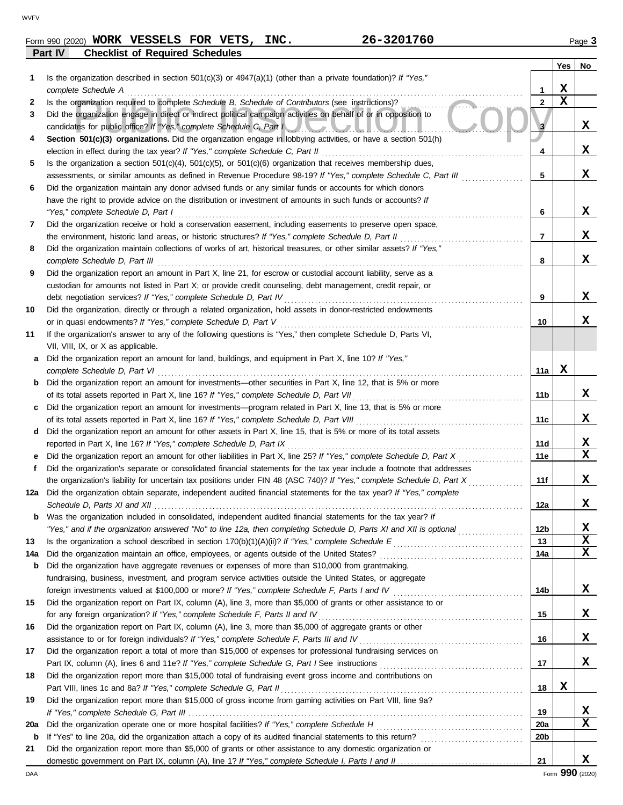| Form 990 (2020) | WORK<br><b>VESSELS</b> .               | <b>FOR</b> | VETS . | INC. | 3201760<br>26–<br>34U . | Page |
|-----------------|----------------------------------------|------------|--------|------|-------------------------|------|
| Part IV         | <b>Checklist of Required Schedules</b> |            |        |      |                         |      |

|     |                                                                                                                                                                                         |                 | Yes         | No                      |
|-----|-----------------------------------------------------------------------------------------------------------------------------------------------------------------------------------------|-----------------|-------------|-------------------------|
| 1   | Is the organization described in section $501(c)(3)$ or $4947(a)(1)$ (other than a private foundation)? If "Yes,"                                                                       |                 |             |                         |
|     | complete Schedule A                                                                                                                                                                     | 1               | X           |                         |
| 2   | Is the organization required to complete Schedule B, Schedule of Contributors (see instructions)?                                                                                       | $\overline{2}$  | $\mathbf x$ |                         |
| 3   | Did the organization engage in direct or indirect political campaign activities on behalf of or in opposition to<br>candidates for public office? If "Yes," complete Schedule C, Part I | 3               |             | X                       |
| 4   | Section 501(c)(3) organizations. Did the organization engage in lobbying activities, or have a section 501(h)                                                                           |                 |             |                         |
|     | election in effect during the tax year? If "Yes," complete Schedule C, Part II                                                                                                          | 4               |             | x                       |
| 5   | Is the organization a section $501(c)(4)$ , $501(c)(5)$ , or $501(c)(6)$ organization that receives membership dues,                                                                    |                 |             |                         |
|     | assessments, or similar amounts as defined in Revenue Procedure 98-19? If "Yes," complete Schedule C, Part III                                                                          | 5               |             | x                       |
| 6   | Did the organization maintain any donor advised funds or any similar funds or accounts for which donors                                                                                 |                 |             |                         |
|     | have the right to provide advice on the distribution or investment of amounts in such funds or accounts? If                                                                             |                 |             |                         |
|     | "Yes," complete Schedule D, Part I                                                                                                                                                      | 6               |             | x                       |
| 7   | Did the organization receive or hold a conservation easement, including easements to preserve open space,                                                                               |                 |             |                         |
|     | the environment, historic land areas, or historic structures? If "Yes," complete Schedule D, Part II                                                                                    | 7               |             | x                       |
| 8   | Did the organization maintain collections of works of art, historical treasures, or other similar assets? If "Yes,"                                                                     |                 |             |                         |
|     | complete Schedule D, Part III                                                                                                                                                           | 8               |             | x                       |
| 9   | Did the organization report an amount in Part X, line 21, for escrow or custodial account liability, serve as a                                                                         |                 |             |                         |
|     | custodian for amounts not listed in Part X; or provide credit counseling, debt management, credit repair, or                                                                            | 9               |             | X                       |
| 10  | Did the organization, directly or through a related organization, hold assets in donor-restricted endowments                                                                            |                 |             |                         |
|     | or in quasi endowments? If "Yes," complete Schedule D, Part V                                                                                                                           | 10              |             | x                       |
| 11  | If the organization's answer to any of the following questions is "Yes," then complete Schedule D, Parts VI,                                                                            |                 |             |                         |
|     | VII, VIII, IX, or X as applicable.                                                                                                                                                      |                 |             |                         |
|     | a Did the organization report an amount for land, buildings, and equipment in Part X, line 10? If "Yes,"                                                                                |                 |             |                         |
|     | complete Schedule D, Part VI                                                                                                                                                            | 11a l           | х           |                         |
|     | <b>b</b> Did the organization report an amount for investments—other securities in Part X, line 12, that is 5% or more                                                                  |                 |             |                         |
|     | of its total assets reported in Part X, line 16? If "Yes," complete Schedule D, Part VII                                                                                                | 11b             |             | x                       |
| c   | Did the organization report an amount for investments—program related in Part X, line 13, that is 5% or more                                                                            |                 |             |                         |
|     |                                                                                                                                                                                         | 11c             |             | x                       |
| d   | Did the organization report an amount for other assets in Part X, line 15, that is 5% or more of its total assets                                                                       |                 |             |                         |
|     | reported in Part X, line 16? If "Yes," complete Schedule D, Part IX                                                                                                                     | 11d             |             | X                       |
|     | Did the organization report an amount for other liabilities in Part X, line 25? If "Yes," complete Schedule D, Part X                                                                   | 11e             |             | $\overline{\mathbf{x}}$ |
| f   | Did the organization's separate or consolidated financial statements for the tax year include a footnote that addresses                                                                 |                 |             |                         |
|     | the organization's liability for uncertain tax positions under FIN 48 (ASC 740)? If "Yes," complete Schedule D, Part X                                                                  | 11f             |             | x                       |
| 12a | Did the organization obtain separate, independent audited financial statements for the tax year? If "Yes," complete                                                                     |                 |             | X                       |
|     | Was the organization included in consolidated, independent audited financial statements for the tax year? If                                                                            | 12a             |             |                         |
|     | "Yes," and if the organization answered "No" to line 12a, then completing Schedule D, Parts XI and XII is optional                                                                      | 12b             |             | X                       |
| 13  |                                                                                                                                                                                         | 13              |             | X                       |
| 14a |                                                                                                                                                                                         | 14a             |             | $\mathbf x$             |
| b   | Did the organization have aggregate revenues or expenses of more than \$10,000 from grantmaking,                                                                                        |                 |             |                         |
|     | fundraising, business, investment, and program service activities outside the United States, or aggregate                                                                               |                 |             |                         |
|     |                                                                                                                                                                                         | 14b             |             | X                       |
| 15  | Did the organization report on Part IX, column (A), line 3, more than \$5,000 of grants or other assistance to or                                                                       |                 |             |                         |
|     | for any foreign organization? If "Yes," complete Schedule F, Parts II and IV                                                                                                            | 15              |             | X                       |
| 16  | Did the organization report on Part IX, column (A), line 3, more than \$5,000 of aggregate grants or other                                                                              |                 |             |                         |
|     | assistance to or for foreign individuals? If "Yes," complete Schedule F, Parts III and IV [[[[[[[[[[[[[[[[[[[                                                                           | 16              |             | X                       |
| 17  | Did the organization report a total of more than \$15,000 of expenses for professional fundraising services on                                                                          |                 |             |                         |
|     |                                                                                                                                                                                         | 17              |             | X                       |
| 18  | Did the organization report more than \$15,000 total of fundraising event gross income and contributions on                                                                             |                 | X           |                         |
|     | Part VIII, lines 1c and 8a? If "Yes," complete Schedule G, Part II                                                                                                                      | 18              |             |                         |
| 19  | Did the organization report more than \$15,000 of gross income from gaming activities on Part VIII, line 9a?                                                                            | 19              |             | X                       |
| 20a |                                                                                                                                                                                         | 20a             |             | X                       |
| b   |                                                                                                                                                                                         | 20 <sub>b</sub> |             |                         |
| 21  | Did the organization report more than \$5,000 of grants or other assistance to any domestic organization or                                                                             |                 |             |                         |
|     |                                                                                                                                                                                         | 21              |             | X                       |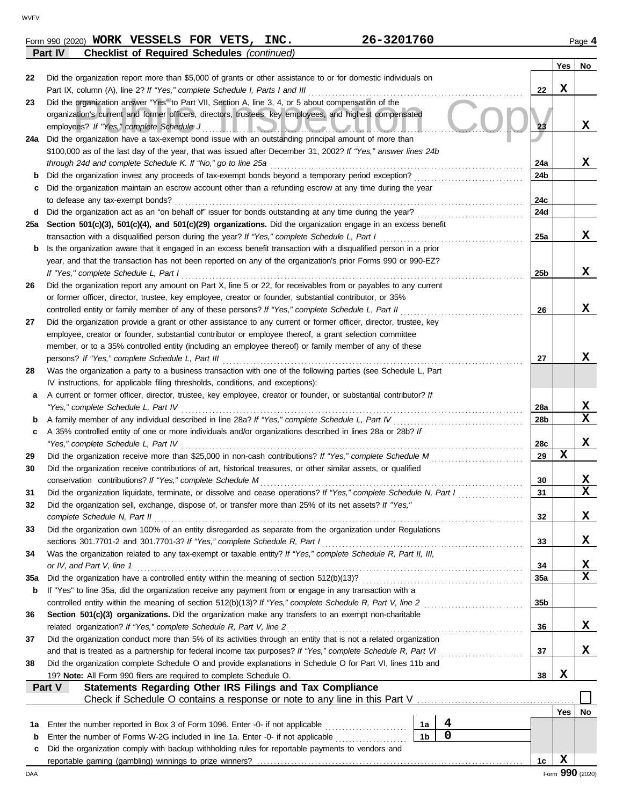|     | Part IV<br><b>Checklist of Required Schedules (continued)</b>                                                         |     |     |                         |  |  |  |  |  |  |  |
|-----|-----------------------------------------------------------------------------------------------------------------------|-----|-----|-------------------------|--|--|--|--|--|--|--|
|     |                                                                                                                       |     | Yes | No.                     |  |  |  |  |  |  |  |
| 22  | Did the organization report more than \$5,000 of grants or other assistance to or for domestic individuals on         |     |     |                         |  |  |  |  |  |  |  |
|     | Part IX, column (A), line 2? If "Yes," complete Schedule I, Parts I and III                                           | 22  | х   |                         |  |  |  |  |  |  |  |
| 23  | Did the organization answer "Yes" to Part VII, Section A, line 3, 4, or 5 about compensation of the                   |     |     |                         |  |  |  |  |  |  |  |
|     | organization's current and former officers, directors, trustees, key employees, and highest compensated               |     |     |                         |  |  |  |  |  |  |  |
|     | employees? If "Yes," complete Schedule J<br><u>ETOTO MONDANIA E</u>                                                   | 23  |     | x                       |  |  |  |  |  |  |  |
| 24a | Did the organization have a tax-exempt bond issue with an outstanding principal amount of more than                   |     |     |                         |  |  |  |  |  |  |  |
|     | \$100,000 as of the last day of the year, that was issued after December 31, 2002? If "Yes," answer lines 24b         |     |     |                         |  |  |  |  |  |  |  |
|     | through 24d and complete Schedule K. If "No," go to line 25a                                                          | 24a |     | x                       |  |  |  |  |  |  |  |
| b   | Did the organization invest any proceeds of tax-exempt bonds beyond a temporary period exception?                     | 24b |     |                         |  |  |  |  |  |  |  |
| с   | Did the organization maintain an escrow account other than a refunding escrow at any time during the year             |     |     |                         |  |  |  |  |  |  |  |
|     | to defease any tax-exempt bonds?                                                                                      | 24c |     |                         |  |  |  |  |  |  |  |
| d   | Did the organization act as an "on behalf of" issuer for bonds outstanding at any time during the year?               | 24d |     |                         |  |  |  |  |  |  |  |
| 25а | Section 501(c)(3), 501(c)(4), and 501(c)(29) organizations. Did the organization engage in an excess benefit          |     |     |                         |  |  |  |  |  |  |  |
|     | transaction with a disqualified person during the year? If "Yes," complete Schedule L, Part I                         | 25a |     | x                       |  |  |  |  |  |  |  |
| b   | Is the organization aware that it engaged in an excess benefit transaction with a disqualified person in a prior      |     |     |                         |  |  |  |  |  |  |  |
|     | year, and that the transaction has not been reported on any of the organization's prior Forms 990 or 990-EZ?          |     |     |                         |  |  |  |  |  |  |  |
|     | If "Yes," complete Schedule L, Part I                                                                                 | 25b |     | X                       |  |  |  |  |  |  |  |
| 26  | Did the organization report any amount on Part X, line 5 or 22, for receivables from or payables to any current       |     |     |                         |  |  |  |  |  |  |  |
|     | or former officer, director, trustee, key employee, creator or founder, substantial contributor, or 35%               |     |     |                         |  |  |  |  |  |  |  |
|     | controlled entity or family member of any of these persons? If "Yes," complete Schedule L, Part II                    | 26  |     | x                       |  |  |  |  |  |  |  |
| 27  | Did the organization provide a grant or other assistance to any current or former officer, director, trustee, key     |     |     |                         |  |  |  |  |  |  |  |
|     | employee, creator or founder, substantial contributor or employee thereof, a grant selection committee                |     |     |                         |  |  |  |  |  |  |  |
|     | member, or to a 35% controlled entity (including an employee thereof) or family member of any of these                |     |     |                         |  |  |  |  |  |  |  |
|     | persons? If "Yes," complete Schedule L, Part III                                                                      | 27  |     | x                       |  |  |  |  |  |  |  |
| 28  | Was the organization a party to a business transaction with one of the following parties (see Schedule L, Part        |     |     |                         |  |  |  |  |  |  |  |
|     | IV instructions, for applicable filing thresholds, conditions, and exceptions):                                       |     |     |                         |  |  |  |  |  |  |  |
| а   | A current or former officer, director, trustee, key employee, creator or founder, or substantial contributor? If      |     |     |                         |  |  |  |  |  |  |  |
|     | "Yes," complete Schedule L, Part IV                                                                                   | 28a |     | x<br>$\mathbf x$        |  |  |  |  |  |  |  |
| b   | A family member of any individual described in line 28a? If "Yes," complete Schedule L, Part IV<br>28b                |     |     |                         |  |  |  |  |  |  |  |
| c   | A 35% controlled entity of one or more individuals and/or organizations described in lines 28a or 28b? If             |     |     |                         |  |  |  |  |  |  |  |
|     | "Yes," complete Schedule L, Part IV                                                                                   | 28c |     | X                       |  |  |  |  |  |  |  |
| 29  | Did the organization receive more than \$25,000 in non-cash contributions? If "Yes," complete Schedule M<br>.         | 29  | х   |                         |  |  |  |  |  |  |  |
| 30  | Did the organization receive contributions of art, historical treasures, or other similar assets, or qualified        |     |     |                         |  |  |  |  |  |  |  |
|     | conservation contributions? If "Yes," complete Schedule M                                                             | 30  |     | X                       |  |  |  |  |  |  |  |
| 31  | Did the organization liquidate, terminate, or dissolve and cease operations? If "Yes," complete Schedule N, Part I    | 31  |     | $\overline{\mathbf{x}}$ |  |  |  |  |  |  |  |
|     | Did the organization sell, exchange, dispose of, or transfer more than 25% of its net assets? If "Yes,"               |     |     |                         |  |  |  |  |  |  |  |
|     | complete Schedule N, Part II                                                                                          | 32  |     | X                       |  |  |  |  |  |  |  |
| 33  | Did the organization own 100% of an entity disregarded as separate from the organization under Regulations            |     |     |                         |  |  |  |  |  |  |  |
|     | sections 301.7701-2 and 301.7701-3? If "Yes," complete Schedule R, Part I                                             | 33  |     | X                       |  |  |  |  |  |  |  |
| 34  | Was the organization related to any tax-exempt or taxable entity? If "Yes," complete Schedule R, Part II, III,        |     |     |                         |  |  |  |  |  |  |  |
|     | or IV, and Part V, line 1                                                                                             | 34  |     | x                       |  |  |  |  |  |  |  |
| 35a |                                                                                                                       | 35a |     | $\mathbf x$             |  |  |  |  |  |  |  |
| b   | If "Yes" to line 35a, did the organization receive any payment from or engage in any transaction with a               |     |     |                         |  |  |  |  |  |  |  |
|     | controlled entity within the meaning of section 512(b)(13)? If "Yes," complete Schedule R, Part V, line 2             | 35b |     |                         |  |  |  |  |  |  |  |
| 36  | Section 501(c)(3) organizations. Did the organization make any transfers to an exempt non-charitable                  |     |     |                         |  |  |  |  |  |  |  |
|     | related organization? If "Yes," complete Schedule R, Part V, line 2                                                   | 36  |     | X                       |  |  |  |  |  |  |  |
| 37  | Did the organization conduct more than 5% of its activities through an entity that is not a related organization      |     |     |                         |  |  |  |  |  |  |  |
|     | and that is treated as a partnership for federal income tax purposes? If "Yes," complete Schedule R, Part VI          | 37  |     | X                       |  |  |  |  |  |  |  |
| 38  | Did the organization complete Schedule O and provide explanations in Schedule O for Part VI, lines 11b and            |     |     |                         |  |  |  |  |  |  |  |
|     | 19? Note: All Form 990 filers are required to complete Schedule O.                                                    | 38  | X   |                         |  |  |  |  |  |  |  |
|     | Part V<br>Statements Regarding Other IRS Filings and Tax Compliance                                                   |     |     |                         |  |  |  |  |  |  |  |
|     | Check if Schedule O contains a response or note to any line in this Part V                                            |     |     |                         |  |  |  |  |  |  |  |
|     |                                                                                                                       |     | Yes | No                      |  |  |  |  |  |  |  |
| 1а  | 4<br>Enter the number reported in Box 3 of Form 1096. Enter -0- if not applicable<br>1a                               |     |     |                         |  |  |  |  |  |  |  |
| b   | $\mathbf 0$<br>1 <sub>b</sub><br>Enter the number of Forms W-2G included in line 1a. Enter -0- if not applicable<br>. |     |     |                         |  |  |  |  |  |  |  |
| c   | Did the organization comply with backup withholding rules for reportable payments to vendors and                      |     |     |                         |  |  |  |  |  |  |  |
|     |                                                                                                                       | 1c  | X   |                         |  |  |  |  |  |  |  |
| DAA |                                                                                                                       |     |     | Form 990 (2020)         |  |  |  |  |  |  |  |

**WORK VESSELS FOR VETS, INC. 26-3201760**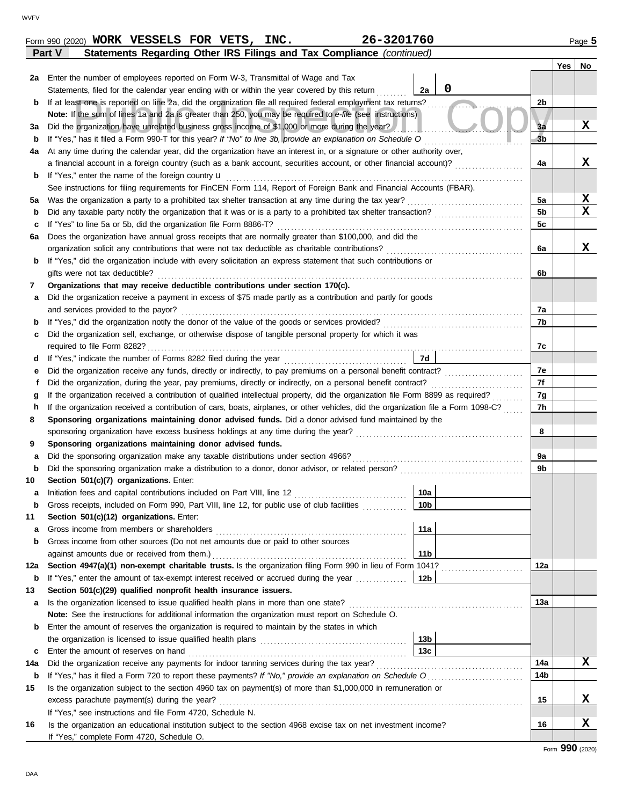|             |                                                                                                                                                                                                                                                       |                 |                | Yes | No                      |  |  |  |  |  |  |  |
|-------------|-------------------------------------------------------------------------------------------------------------------------------------------------------------------------------------------------------------------------------------------------------|-----------------|----------------|-----|-------------------------|--|--|--|--|--|--|--|
| 2a          | Enter the number of employees reported on Form W-3, Transmittal of Wage and Tax                                                                                                                                                                       |                 |                |     |                         |  |  |  |  |  |  |  |
|             | Statements, filed for the calendar year ending with or within the year covered by this return                                                                                                                                                         | 0<br>2a         |                |     |                         |  |  |  |  |  |  |  |
| b           | If at least one is reported on line 2a, did the organization file all required federal employment tax returns?                                                                                                                                        |                 | 2b             |     |                         |  |  |  |  |  |  |  |
|             | Note: If the sum of lines 1a and 2a is greater than 250, you may be required to e-file (see instructions)                                                                                                                                             |                 |                |     |                         |  |  |  |  |  |  |  |
| За          | Did the organization have unrelated business gross income of \$1,000 or more during the year?                                                                                                                                                         |                 | 3a             |     | X                       |  |  |  |  |  |  |  |
| b           | If "Yes," has it filed a Form 990-T for this year? If "No" to line 3b, provide an explanation on Schedule O                                                                                                                                           |                 | 3 <sub>b</sub> |     |                         |  |  |  |  |  |  |  |
| 4a          | At any time during the calendar year, did the organization have an interest in, or a signature or other authority over,                                                                                                                               |                 |                |     |                         |  |  |  |  |  |  |  |
|             | a financial account in a foreign country (such as a bank account, securities account, or other financial account)?                                                                                                                                    |                 | 4a             |     | X                       |  |  |  |  |  |  |  |
| b           | If "Yes," enter the name of the foreign country u                                                                                                                                                                                                     |                 |                |     |                         |  |  |  |  |  |  |  |
|             | See instructions for filing requirements for FinCEN Form 114, Report of Foreign Bank and Financial Accounts (FBAR).                                                                                                                                   |                 |                |     |                         |  |  |  |  |  |  |  |
| 5a          | Was the organization a party to a prohibited tax shelter transaction at any time during the tax year?                                                                                                                                                 |                 | 5a             |     | x                       |  |  |  |  |  |  |  |
| b           | Did any taxable party notify the organization that it was or is a party to a prohibited tax shelter transaction?                                                                                                                                      |                 | 5 <sub>b</sub> |     | $\overline{\mathbf{x}}$ |  |  |  |  |  |  |  |
| c           | If "Yes" to line 5a or 5b, did the organization file Form 8886-T?                                                                                                                                                                                     |                 |                |     |                         |  |  |  |  |  |  |  |
| 6a          | Does the organization have annual gross receipts that are normally greater than \$100,000, and did the                                                                                                                                                |                 |                |     |                         |  |  |  |  |  |  |  |
|             | organization solicit any contributions that were not tax deductible as charitable contributions?                                                                                                                                                      |                 | 6а             |     | X                       |  |  |  |  |  |  |  |
| b           | If "Yes," did the organization include with every solicitation an express statement that such contributions or                                                                                                                                        |                 |                |     |                         |  |  |  |  |  |  |  |
|             | gifts were not tax deductible?                                                                                                                                                                                                                        |                 | 6b             |     |                         |  |  |  |  |  |  |  |
| 7           | Organizations that may receive deductible contributions under section 170(c).                                                                                                                                                                         |                 |                |     |                         |  |  |  |  |  |  |  |
| а           | Did the organization receive a payment in excess of \$75 made partly as a contribution and partly for goods                                                                                                                                           |                 |                |     |                         |  |  |  |  |  |  |  |
|             | and services provided to the payor?                                                                                                                                                                                                                   |                 | 7а             |     |                         |  |  |  |  |  |  |  |
| b           | If "Yes," did the organization notify the donor of the value of the goods or services provided?                                                                                                                                                       |                 | 7b             |     |                         |  |  |  |  |  |  |  |
| c           | Did the organization sell, exchange, or otherwise dispose of tangible personal property for which it was                                                                                                                                              |                 |                |     |                         |  |  |  |  |  |  |  |
|             | required to file Form 8282?                                                                                                                                                                                                                           |                 | 7c             |     |                         |  |  |  |  |  |  |  |
| d           | If "Yes," indicate the number of Forms 8282 filed during the year                                                                                                                                                                                     | 7d              |                |     |                         |  |  |  |  |  |  |  |
| е           | Did the organization receive any funds, directly or indirectly, to pay premiums on a personal benefit contract?                                                                                                                                       |                 | 7e<br>7f       |     |                         |  |  |  |  |  |  |  |
|             | Did the organization, during the year, pay premiums, directly or indirectly, on a personal benefit contract?<br>f<br>If the organization received a contribution of qualified intellectual property, did the organization file Form 8899 as required? |                 |                |     |                         |  |  |  |  |  |  |  |
| g           | If the organization received a contribution of cars, boats, airplanes, or other vehicles, did the organization file a Form 1098-C?                                                                                                                    |                 | 7g<br>7h       |     |                         |  |  |  |  |  |  |  |
| h<br>8      | Sponsoring organizations maintaining donor advised funds. Did a donor advised fund maintained by the                                                                                                                                                  |                 |                |     |                         |  |  |  |  |  |  |  |
|             |                                                                                                                                                                                                                                                       |                 | 8              |     |                         |  |  |  |  |  |  |  |
| 9           | sponsoring organization have excess business holdings at any time during the year?<br>Sponsoring organizations maintaining donor advised funds.                                                                                                       |                 |                |     |                         |  |  |  |  |  |  |  |
| а           | Did the sponsoring organization make any taxable distributions under section 4966?                                                                                                                                                                    |                 | 9a             |     |                         |  |  |  |  |  |  |  |
| $\mathbf b$ | Did the sponsoring organization make a distribution to a donor, donor advisor, or related person?                                                                                                                                                     |                 | 9b             |     |                         |  |  |  |  |  |  |  |
| 10          | Section 501(c)(7) organizations. Enter:                                                                                                                                                                                                               |                 |                |     |                         |  |  |  |  |  |  |  |
| а           | Initiation fees and capital contributions included on Part VIII, line 12                                                                                                                                                                              | 10a             |                |     |                         |  |  |  |  |  |  |  |
| b           | Gross receipts, included on Form 990, Part VIII, line 12, for public use of club facilities                                                                                                                                                           | 10 <sub>b</sub> |                |     |                         |  |  |  |  |  |  |  |
| 11          | Section 501(c)(12) organizations. Enter:                                                                                                                                                                                                              |                 |                |     |                         |  |  |  |  |  |  |  |
| а           | Gross income from members or shareholders                                                                                                                                                                                                             | 11a             |                |     |                         |  |  |  |  |  |  |  |
| b           | Gross income from other sources (Do not net amounts due or paid to other sources                                                                                                                                                                      |                 |                |     |                         |  |  |  |  |  |  |  |
|             | against amounts due or received from them.)                                                                                                                                                                                                           | 11 <sub>b</sub> |                |     |                         |  |  |  |  |  |  |  |
| 12a         | Section 4947(a)(1) non-exempt charitable trusts. Is the organization filing Form 990 in lieu of Form 1041?                                                                                                                                            |                 | 12a            |     |                         |  |  |  |  |  |  |  |
| b           | If "Yes," enter the amount of tax-exempt interest received or accrued during the year                                                                                                                                                                 | 12 <sub>b</sub> |                |     |                         |  |  |  |  |  |  |  |
| 13          | Section 501(c)(29) qualified nonprofit health insurance issuers.                                                                                                                                                                                      |                 |                |     |                         |  |  |  |  |  |  |  |
| а           | Is the organization licensed to issue qualified health plans in more than one state?                                                                                                                                                                  |                 | 13a            |     |                         |  |  |  |  |  |  |  |
|             | Note: See the instructions for additional information the organization must report on Schedule O.                                                                                                                                                     |                 |                |     |                         |  |  |  |  |  |  |  |
| b           | Enter the amount of reserves the organization is required to maintain by the states in which                                                                                                                                                          |                 |                |     |                         |  |  |  |  |  |  |  |
|             |                                                                                                                                                                                                                                                       | 13 <sub>b</sub> |                |     |                         |  |  |  |  |  |  |  |
| c           | Enter the amount of reserves on hand                                                                                                                                                                                                                  | 13c             |                |     |                         |  |  |  |  |  |  |  |
| 14a         | Did the organization receive any payments for indoor tanning services during the tax year?                                                                                                                                                            |                 | 14a            |     | X                       |  |  |  |  |  |  |  |
| b           |                                                                                                                                                                                                                                                       |                 | 14b            |     |                         |  |  |  |  |  |  |  |
| 15          | Is the organization subject to the section 4960 tax on payment(s) of more than \$1,000,000 in remuneration or                                                                                                                                         |                 |                |     |                         |  |  |  |  |  |  |  |
|             | excess parachute payment(s) during the year?                                                                                                                                                                                                          |                 | 15             |     | X                       |  |  |  |  |  |  |  |
|             | If "Yes," see instructions and file Form 4720, Schedule N.                                                                                                                                                                                            |                 |                |     |                         |  |  |  |  |  |  |  |
| 16          | Is the organization an educational institution subject to the section 4968 excise tax on net investment income?                                                                                                                                       |                 | 16             |     | X                       |  |  |  |  |  |  |  |
|             | If "Yes," complete Form 4720, Schedule O.                                                                                                                                                                                                             |                 |                | nnn |                         |  |  |  |  |  |  |  |

| Form 990 (2020) WORK VESSELS FOR VETS, $\perp$ |  |  | INC. | 26-3201760                                                            | Page 5 |
|------------------------------------------------|--|--|------|-----------------------------------------------------------------------|--------|
| <b>Part V</b>                                  |  |  |      | Statements Regarding Other IRS Filings and Tax Compliance (continued) |        |

|  |  | 71<br>UI / |  |  |  |  |
|--|--|------------|--|--|--|--|
|  |  |            |  |  |  |  |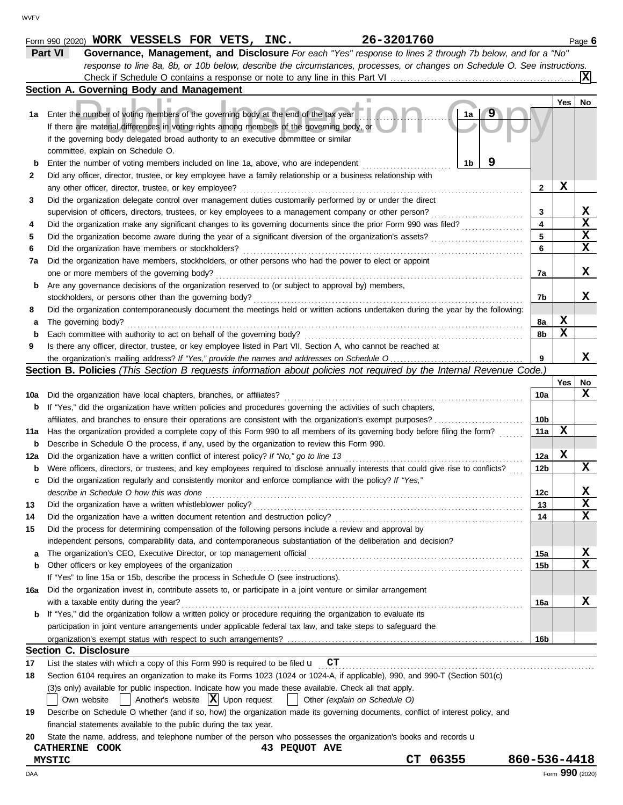|     | Part VI<br>Governance, Management, and Disclosure For each "Yes" response to lines 2 through 7b below, and for a "No"                                                                                                                                                           |                 |                 |             |  |  |  |  |  |  |  |
|-----|---------------------------------------------------------------------------------------------------------------------------------------------------------------------------------------------------------------------------------------------------------------------------------|-----------------|-----------------|-------------|--|--|--|--|--|--|--|
|     | response to line 8a, 8b, or 10b below, describe the circumstances, processes, or changes on Schedule O. See instructions.                                                                                                                                                       |                 |                 |             |  |  |  |  |  |  |  |
|     |                                                                                                                                                                                                                                                                                 |                 |                 | IхI         |  |  |  |  |  |  |  |
|     | Section A. Governing Body and Management                                                                                                                                                                                                                                        |                 |                 |             |  |  |  |  |  |  |  |
|     |                                                                                                                                                                                                                                                                                 |                 | Yes             | No          |  |  |  |  |  |  |  |
| 1а  | Enter the number of voting members of the governing body at the end of the tax year<br>1a<br>If there are material differences in voting rights among members of the governing body, or<br>if the governing body delegated broad authority to an executive committee or similar |                 |                 |             |  |  |  |  |  |  |  |
|     | committee, explain on Schedule O.                                                                                                                                                                                                                                               |                 |                 |             |  |  |  |  |  |  |  |
| b   | 9<br>1b<br>Enter the number of voting members included on line 1a, above, who are independent                                                                                                                                                                                   |                 |                 |             |  |  |  |  |  |  |  |
| 2   | Did any officer, director, trustee, or key employee have a family relationship or a business relationship with                                                                                                                                                                  |                 |                 |             |  |  |  |  |  |  |  |
|     | any other officer, director, trustee, or key employee?                                                                                                                                                                                                                          | $\mathbf{2}$    | X               |             |  |  |  |  |  |  |  |
| 3   | Did the organization delegate control over management duties customarily performed by or under the direct                                                                                                                                                                       | 3               |                 | X           |  |  |  |  |  |  |  |
|     | supervision of officers, directors, trustees, or key employees to a management company or other person?                                                                                                                                                                         |                 |                 |             |  |  |  |  |  |  |  |
| 4   | Did the organization make any significant changes to its governing documents since the prior Form 990 was filed?                                                                                                                                                                | 4               |                 | X           |  |  |  |  |  |  |  |
| 5   |                                                                                                                                                                                                                                                                                 | 5               |                 | $\mathbf x$ |  |  |  |  |  |  |  |
| 6   | Did the organization have members or stockholders?                                                                                                                                                                                                                              | 6               |                 | $\mathbf x$ |  |  |  |  |  |  |  |
| 7a  | Did the organization have members, stockholders, or other persons who had the power to elect or appoint                                                                                                                                                                         |                 |                 |             |  |  |  |  |  |  |  |
|     | one or more members of the governing body?                                                                                                                                                                                                                                      | 7a              |                 | X           |  |  |  |  |  |  |  |
| b   | Are any governance decisions of the organization reserved to (or subject to approval by) members,                                                                                                                                                                               |                 |                 |             |  |  |  |  |  |  |  |
|     | stockholders, or persons other than the governing body?                                                                                                                                                                                                                         | 7b              |                 | X           |  |  |  |  |  |  |  |
| 8   | Did the organization contemporaneously document the meetings held or written actions undertaken during the year by the following:                                                                                                                                               |                 |                 |             |  |  |  |  |  |  |  |
| а   | The governing body?                                                                                                                                                                                                                                                             | 8а              | X<br>X          |             |  |  |  |  |  |  |  |
| b   | Each committee with authority to act on behalf of the governing body?                                                                                                                                                                                                           | 8b              |                 |             |  |  |  |  |  |  |  |
| 9   | Is there any officer, director, trustee, or key employee listed in Part VII, Section A, who cannot be reached at                                                                                                                                                                | 9               |                 | X           |  |  |  |  |  |  |  |
|     | Section B. Policies (This Section B requests information about policies not required by the Internal Revenue Code.)                                                                                                                                                             |                 |                 |             |  |  |  |  |  |  |  |
|     |                                                                                                                                                                                                                                                                                 |                 | Yes             | No          |  |  |  |  |  |  |  |
| 10a | Did the organization have local chapters, branches, or affiliates?                                                                                                                                                                                                              | 10a             |                 | X           |  |  |  |  |  |  |  |
| b   | If "Yes," did the organization have written policies and procedures governing the activities of such chapters,                                                                                                                                                                  |                 |                 |             |  |  |  |  |  |  |  |
|     |                                                                                                                                                                                                                                                                                 | 10 <sub>b</sub> |                 |             |  |  |  |  |  |  |  |
|     | 11a Has the organization provided a complete copy of this Form 990 to all members of its governing body before filing the form?                                                                                                                                                 | 11a             | х               |             |  |  |  |  |  |  |  |
| b   | Describe in Schedule O the process, if any, used by the organization to review this Form 990.                                                                                                                                                                                   |                 |                 |             |  |  |  |  |  |  |  |
| 12a | Did the organization have a written conflict of interest policy? If "No," go to line 13                                                                                                                                                                                         | 12a             | X               |             |  |  |  |  |  |  |  |
| b   | Were officers, directors, or trustees, and key employees required to disclose annually interests that could give rise to conflicts?                                                                                                                                             | 12b             |                 | x           |  |  |  |  |  |  |  |
| c   | Did the organization regularly and consistently monitor and enforce compliance with the policy? If "Yes,"                                                                                                                                                                       |                 |                 |             |  |  |  |  |  |  |  |
|     | describe in Schedule O how this was done                                                                                                                                                                                                                                        | 12c             |                 | X           |  |  |  |  |  |  |  |
| 13  | Did the organization have a written whistleblower policy?                                                                                                                                                                                                                       | 13              |                 | x           |  |  |  |  |  |  |  |
| 14  |                                                                                                                                                                                                                                                                                 | 14              |                 | $\mathbf x$ |  |  |  |  |  |  |  |
| 15  | Did the process for determining compensation of the following persons include a review and approval by                                                                                                                                                                          |                 |                 |             |  |  |  |  |  |  |  |
|     | independent persons, comparability data, and contemporaneous substantiation of the deliberation and decision?                                                                                                                                                                   |                 |                 |             |  |  |  |  |  |  |  |
| а   |                                                                                                                                                                                                                                                                                 | 15a             |                 | х           |  |  |  |  |  |  |  |
| b   | Other officers or key employees of the organization                                                                                                                                                                                                                             | 15b             |                 | X           |  |  |  |  |  |  |  |
|     | If "Yes" to line 15a or 15b, describe the process in Schedule O (see instructions).                                                                                                                                                                                             |                 |                 |             |  |  |  |  |  |  |  |
| 16a | Did the organization invest in, contribute assets to, or participate in a joint venture or similar arrangement                                                                                                                                                                  |                 |                 |             |  |  |  |  |  |  |  |
|     | with a taxable entity during the year?                                                                                                                                                                                                                                          | 16a             |                 | X           |  |  |  |  |  |  |  |
| b   | If "Yes," did the organization follow a written policy or procedure requiring the organization to evaluate its                                                                                                                                                                  |                 |                 |             |  |  |  |  |  |  |  |
|     | participation in joint venture arrangements under applicable federal tax law, and take steps to safeguard the                                                                                                                                                                   |                 |                 |             |  |  |  |  |  |  |  |
|     |                                                                                                                                                                                                                                                                                 | 16b             |                 |             |  |  |  |  |  |  |  |
|     | <b>Section C. Disclosure</b>                                                                                                                                                                                                                                                    |                 |                 |             |  |  |  |  |  |  |  |
| 17  | List the states with which a copy of this Form 990 is required to be filed $\mathbf{u}$ $\mathbf{CT}$                                                                                                                                                                           |                 |                 |             |  |  |  |  |  |  |  |
| 18  | Section 6104 requires an organization to make its Forms 1023 (1024 or 1024-A, if applicable), 990, and 990-T (Section 501(c)                                                                                                                                                    |                 |                 |             |  |  |  |  |  |  |  |
|     | (3) sonly) available for public inspection. Indicate how you made these available. Check all that apply.                                                                                                                                                                        |                 |                 |             |  |  |  |  |  |  |  |
|     | Another's website $ \mathbf{X} $ Upon request<br>Own website<br>Other (explain on Schedule O)                                                                                                                                                                                   |                 |                 |             |  |  |  |  |  |  |  |
| 19  | Describe on Schedule O whether (and if so, how) the organization made its governing documents, conflict of interest policy, and                                                                                                                                                 |                 |                 |             |  |  |  |  |  |  |  |
|     | financial statements available to the public during the tax year.                                                                                                                                                                                                               |                 |                 |             |  |  |  |  |  |  |  |
| 20  | State the name, address, and telephone number of the person who possesses the organization's books and records u                                                                                                                                                                |                 |                 |             |  |  |  |  |  |  |  |
|     | <b>43 PEQUOT AVE</b><br><b>CATHERINE COOK</b>                                                                                                                                                                                                                                   |                 |                 |             |  |  |  |  |  |  |  |
|     | 06355<br>$\mathbf{C}\mathbf{T}$<br><b>MYSTIC</b>                                                                                                                                                                                                                                | 860-536-4418    |                 |             |  |  |  |  |  |  |  |
| DAA |                                                                                                                                                                                                                                                                                 |                 | Form 990 (2020) |             |  |  |  |  |  |  |  |

**Form 990 (2020) WORK VESSELS FOR VETS, INC.** 26-3201760 2010 2020 2020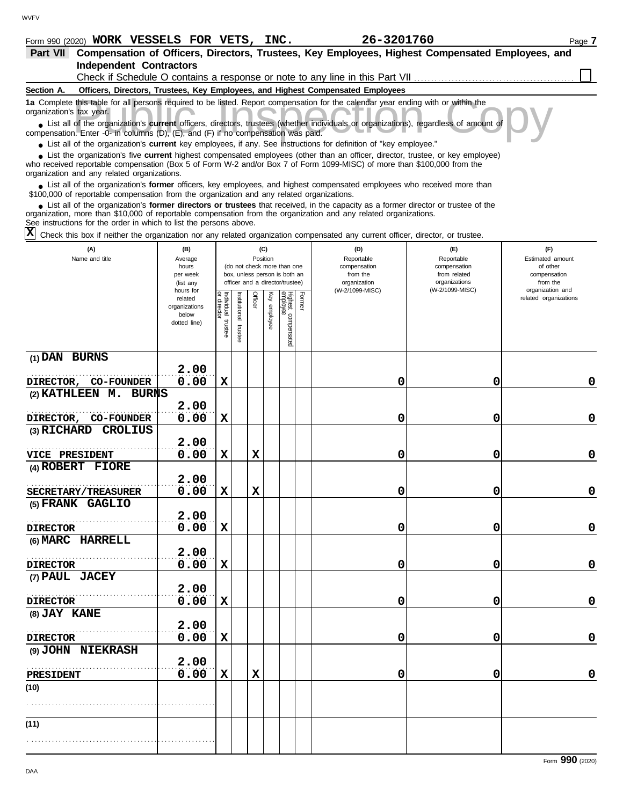### **Form 990 (2020) WORK VESSELS FOR VETS, INC.** 26-3201760 2010 2020 2020 2030 2049 2058

| Part VII Compensation of Officers, Directors, Trustees, Key Employees, Highest Compensated Employees, and<br><b>Independent Contractors</b>                                                                                                                                                                                   |                          |            |              |          |          |                                                                  |        |                                                                                 |                               |                              |
|-------------------------------------------------------------------------------------------------------------------------------------------------------------------------------------------------------------------------------------------------------------------------------------------------------------------------------|--------------------------|------------|--------------|----------|----------|------------------------------------------------------------------|--------|---------------------------------------------------------------------------------|-------------------------------|------------------------------|
|                                                                                                                                                                                                                                                                                                                               |                          |            |              |          |          |                                                                  |        | Check if Schedule O contains a response or note to any line in this Part VII    |                               |                              |
| Section A.                                                                                                                                                                                                                                                                                                                    |                          |            |              |          |          |                                                                  |        | Officers, Directors, Trustees, Key Employees, and Highest Compensated Employees |                               |                              |
| 1a Complete this table for all persons required to be listed. Report compensation for the calendar year ending with or within the<br>organization's tax year.                                                                                                                                                                 |                          |            |              |          |          |                                                                  |        |                                                                                 |                               |                              |
| • List all of the organization's current officers, directors, trustees (whether individuals or organizations), regardless of amount of<br>compensation. Enter -0- in columns (D), (E), and (F) if no compensation was paid.                                                                                                   |                          |            |              |          |          |                                                                  |        |                                                                                 |                               |                              |
| • List all of the organization's current key employees, if any. See instructions for definition of "key employee."                                                                                                                                                                                                            |                          |            |              |          |          |                                                                  |        |                                                                                 |                               |                              |
| List the organization's five current highest compensated employees (other than an officer, director, trustee, or key employee)<br>who received reportable compensation (Box 5 of Form W-2 and/or Box 7 of Form 1099-MISC) of more than \$100,000 from the<br>organization and any related organizations.                      |                          |            |              |          |          |                                                                  |        |                                                                                 |                               |                              |
| • List all of the organization's former officers, key employees, and highest compensated employees who received more than<br>\$100,000 of reportable compensation from the organization and any related organizations.                                                                                                        |                          |            |              |          |          |                                                                  |        |                                                                                 |                               |                              |
| • List all of the organization's former directors or trustees that received, in the capacity as a former director or trustee of the<br>organization, more than \$10,000 of reportable compensation from the organization and any related organizations.<br>See instructions for the order in which to list the persons above. |                          |            |              |          |          |                                                                  |        |                                                                                 |                               |                              |
| X<br>Check this box if neither the organization nor any related organization compensated any current officer, director, or trustee.                                                                                                                                                                                           |                          |            |              |          |          |                                                                  |        |                                                                                 |                               |                              |
| (A)                                                                                                                                                                                                                                                                                                                           | (B)                      |            |              |          | (C)      |                                                                  |        | (D)                                                                             | (E)                           | (F)                          |
| Name and title                                                                                                                                                                                                                                                                                                                | Average<br>hours         |            |              | Position |          | (do not check more than one                                      |        | Reportable<br>compensation                                                      | Reportable<br>compensation    | Estimated amount<br>of other |
|                                                                                                                                                                                                                                                                                                                               | per week<br>(list any    |            |              |          |          | box, unless person is both an<br>officer and a director/trustee) |        | from the<br>organization                                                        | from related<br>organizations | compensation<br>from the     |
|                                                                                                                                                                                                                                                                                                                               | hours for                |            |              |          | Ķey      |                                                                  |        | (W-2/1099-MISC)                                                                 | (W-2/1099-MISC)               | organization and             |
|                                                                                                                                                                                                                                                                                                                               | related<br>organizations | Individual | nstitutional | Officer  |          |                                                                  | Former |                                                                                 |                               | related organizations        |
|                                                                                                                                                                                                                                                                                                                               | below<br>dotted line)    |            |              |          | employee |                                                                  |        |                                                                                 |                               |                              |
|                                                                                                                                                                                                                                                                                                                               |                          | trustee    | trustee      |          |          | Highest compensated<br>employee                                  |        |                                                                                 |                               |                              |
| (1) DAN BURNS                                                                                                                                                                                                                                                                                                                 |                          |            |              |          |          |                                                                  |        |                                                                                 |                               |                              |
|                                                                                                                                                                                                                                                                                                                               | 2.00                     |            |              |          |          |                                                                  |        |                                                                                 |                               |                              |
| DIRECTOR, CO-FOUNDER                                                                                                                                                                                                                                                                                                          | 0.00                     | X          |              |          |          |                                                                  |        | 0                                                                               | 0                             | 0                            |
| (2) KATHLEEN M. BURNS                                                                                                                                                                                                                                                                                                         |                          |            |              |          |          |                                                                  |        |                                                                                 |                               |                              |
|                                                                                                                                                                                                                                                                                                                               | 2.00                     |            |              |          |          |                                                                  |        |                                                                                 |                               |                              |
| DIRECTOR, CO-FOUNDER                                                                                                                                                                                                                                                                                                          | 0.00                     | X          |              |          |          |                                                                  |        | 0                                                                               | 0                             | 0                            |
| (3) RICHARD<br><b>CROLIUS</b>                                                                                                                                                                                                                                                                                                 |                          |            |              |          |          |                                                                  |        |                                                                                 |                               |                              |
| VICE PRESIDENT                                                                                                                                                                                                                                                                                                                | 2.00<br>0.00             | X          |              | х        |          |                                                                  |        | 0                                                                               | 0                             | 0                            |
| (4) ROBERT FIORE                                                                                                                                                                                                                                                                                                              |                          |            |              |          |          |                                                                  |        |                                                                                 |                               |                              |
|                                                                                                                                                                                                                                                                                                                               | 2.00                     |            |              |          |          |                                                                  |        |                                                                                 |                               |                              |
| SECRETARY/TREASURER                                                                                                                                                                                                                                                                                                           | 0.00                     | X          |              | X        |          |                                                                  |        | 0                                                                               | 0                             | 0                            |
| (5) FRANK GAGLIO                                                                                                                                                                                                                                                                                                              |                          |            |              |          |          |                                                                  |        |                                                                                 |                               |                              |
|                                                                                                                                                                                                                                                                                                                               | 2.00                     |            |              |          |          |                                                                  |        |                                                                                 |                               |                              |
| <b>DIRECTOR</b><br>(6) MARC HARRELL                                                                                                                                                                                                                                                                                           | 0.00                     | X          |              |          |          |                                                                  |        | 0                                                                               | 0                             | $\mathbf 0$                  |
|                                                                                                                                                                                                                                                                                                                               | 2.00                     |            |              |          |          |                                                                  |        |                                                                                 |                               |                              |
| <b>DIRECTOR</b>                                                                                                                                                                                                                                                                                                               | 0.00                     | X          |              |          |          |                                                                  |        | 0                                                                               | 0                             | $\mathbf 0$                  |
| (7) PAUL JACEY                                                                                                                                                                                                                                                                                                                |                          |            |              |          |          |                                                                  |        |                                                                                 |                               |                              |
|                                                                                                                                                                                                                                                                                                                               | 2.00                     |            |              |          |          |                                                                  |        |                                                                                 |                               |                              |
| <b>DIRECTOR</b>                                                                                                                                                                                                                                                                                                               | 0.00                     | X          |              |          |          |                                                                  |        | 0                                                                               | 0                             | $\mathbf 0$                  |
| (8) JAY KANE                                                                                                                                                                                                                                                                                                                  | 2.00                     |            |              |          |          |                                                                  |        |                                                                                 |                               |                              |
| <b>DIRECTOR</b>                                                                                                                                                                                                                                                                                                               | 0.00                     | X          |              |          |          |                                                                  |        | 0                                                                               | 0                             | $\mathbf 0$                  |
| (9) JOHN NIEKRASH                                                                                                                                                                                                                                                                                                             |                          |            |              |          |          |                                                                  |        |                                                                                 |                               |                              |
|                                                                                                                                                                                                                                                                                                                               | 2.00                     |            |              |          |          |                                                                  |        |                                                                                 |                               |                              |
| PRESIDENT                                                                                                                                                                                                                                                                                                                     | 0.00                     | X          |              | X        |          |                                                                  |        | 0                                                                               | 0                             | $\mathbf 0$                  |
| (10)                                                                                                                                                                                                                                                                                                                          |                          |            |              |          |          |                                                                  |        |                                                                                 |                               |                              |
|                                                                                                                                                                                                                                                                                                                               |                          |            |              |          |          |                                                                  |        |                                                                                 |                               |                              |
| (11)                                                                                                                                                                                                                                                                                                                          |                          |            |              |          |          |                                                                  |        |                                                                                 |                               |                              |

. . . . . . . . . . . . . . . . . . . . . . . . . . . . . . . . . . . . . . . . . . . . . . . . . . . . . . .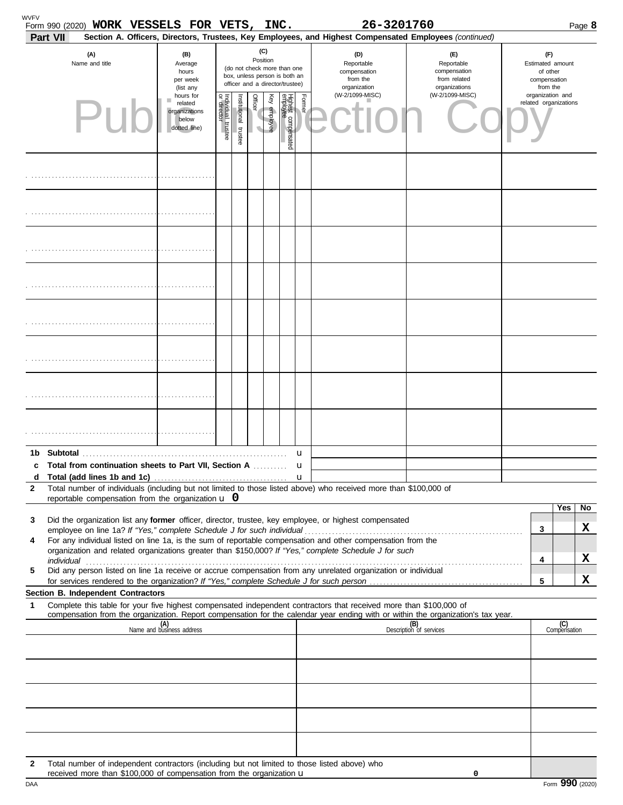| <b>WVFV</b> | Form 990 (2020) WORK VESSELS FOR VETS, INC.<br><b>Part VII</b>                                                                                                                                                       |                                                                |                                   |                       |                                                                                                                    |              |                                 |        | 26-3201760<br>Section A. Officers, Directors, Trustees, Key Employees, and Highest Compensated Employees (continued) |                                                                    |                                                                 |                       | Page 8 |
|-------------|----------------------------------------------------------------------------------------------------------------------------------------------------------------------------------------------------------------------|----------------------------------------------------------------|-----------------------------------|-----------------------|--------------------------------------------------------------------------------------------------------------------|--------------|---------------------------------|--------|----------------------------------------------------------------------------------------------------------------------|--------------------------------------------------------------------|-----------------------------------------------------------------|-----------------------|--------|
|             | (A)<br>Name and title                                                                                                                                                                                                | (B)<br>Average<br>hours<br>per week<br>(list any               |                                   |                       | (C)<br>Position<br>(do not check more than one<br>box, unless person is both an<br>officer and a director/trustee) |              |                                 |        | (D)<br>Reportable<br>compensation<br>from the<br>organization                                                        | (E)<br>Reportable<br>compensation<br>from related<br>organizations | (F)<br>Estimated amount<br>of other<br>compensation<br>from the |                       |        |
|             |                                                                                                                                                                                                                      | hours for<br>related<br>organizations<br>below<br>dotted line) | Individual trustee<br>or director | Institutional trustee | Officer                                                                                                            | Key employee | Highest compensated<br>employee | Former | (W-2/1099-MISC)                                                                                                      | (W-2/1099-MISC)                                                    | organization and                                                | related organizations |        |
|             |                                                                                                                                                                                                                      |                                                                |                                   |                       |                                                                                                                    |              |                                 |        |                                                                                                                      |                                                                    |                                                                 |                       |        |
|             |                                                                                                                                                                                                                      |                                                                |                                   |                       |                                                                                                                    |              |                                 |        |                                                                                                                      |                                                                    |                                                                 |                       |        |
|             |                                                                                                                                                                                                                      |                                                                |                                   |                       |                                                                                                                    |              |                                 |        |                                                                                                                      |                                                                    |                                                                 |                       |        |
|             |                                                                                                                                                                                                                      |                                                                |                                   |                       |                                                                                                                    |              |                                 |        |                                                                                                                      |                                                                    |                                                                 |                       |        |
|             |                                                                                                                                                                                                                      |                                                                |                                   |                       |                                                                                                                    |              |                                 |        |                                                                                                                      |                                                                    |                                                                 |                       |        |
|             |                                                                                                                                                                                                                      |                                                                |                                   |                       |                                                                                                                    |              |                                 |        |                                                                                                                      |                                                                    |                                                                 |                       |        |
|             |                                                                                                                                                                                                                      |                                                                |                                   |                       |                                                                                                                    |              |                                 |        |                                                                                                                      |                                                                    |                                                                 |                       |        |
|             |                                                                                                                                                                                                                      |                                                                |                                   |                       |                                                                                                                    |              |                                 |        |                                                                                                                      |                                                                    |                                                                 |                       |        |
| 1b          | Total from continuation sheets to Part VII, Section A                                                                                                                                                                |                                                                |                                   |                       |                                                                                                                    |              |                                 | u      |                                                                                                                      |                                                                    |                                                                 |                       |        |
| c<br>d      |                                                                                                                                                                                                                      |                                                                |                                   |                       |                                                                                                                    |              |                                 | u<br>u |                                                                                                                      |                                                                    |                                                                 |                       |        |
| 2           | Total number of individuals (including but not limited to those listed above) who received more than \$100,000 of<br>reportable compensation from the organization $\bf{u}$ 0                                        |                                                                |                                   |                       |                                                                                                                    |              |                                 |        |                                                                                                                      |                                                                    |                                                                 |                       |        |
|             |                                                                                                                                                                                                                      |                                                                |                                   |                       |                                                                                                                    |              |                                 |        |                                                                                                                      |                                                                    |                                                                 | Yes                   | No.    |
| 3           | Did the organization list any former officer, director, trustee, key employee, or highest compensated                                                                                                                |                                                                |                                   |                       |                                                                                                                    |              |                                 |        |                                                                                                                      |                                                                    | 3                                                               |                       | x      |
| 4           | For any individual listed on line 1a, is the sum of reportable compensation and other compensation from the<br>organization and related organizations greater than \$150,000? If "Yes," complete Schedule J for such |                                                                |                                   |                       |                                                                                                                    |              |                                 |        |                                                                                                                      |                                                                    |                                                                 |                       |        |
| 5           | individual<br>Did any person listed on line 1a receive or accrue compensation from any unrelated organization or individual                                                                                          |                                                                |                                   |                       |                                                                                                                    |              |                                 |        |                                                                                                                      |                                                                    | 4                                                               |                       | X      |
|             |                                                                                                                                                                                                                      |                                                                |                                   |                       |                                                                                                                    |              |                                 |        |                                                                                                                      |                                                                    | 5                                                               |                       | х      |
| 1           | Section B. Independent Contractors<br>Complete this table for your five highest compensated independent contractors that received more than \$100,000 of                                                             |                                                                |                                   |                       |                                                                                                                    |              |                                 |        |                                                                                                                      |                                                                    |                                                                 |                       |        |
|             | compensation from the organization. Report compensation for the calendar year ending with or within the organization's tax year.                                                                                     |                                                                |                                   |                       |                                                                                                                    |              |                                 |        |                                                                                                                      |                                                                    |                                                                 |                       |        |
|             |                                                                                                                                                                                                                      | (A)<br>Name and business address                               |                                   |                       |                                                                                                                    |              |                                 |        |                                                                                                                      | (B)<br>Description of services                                     |                                                                 | (C)<br>Compensation   |        |
|             |                                                                                                                                                                                                                      |                                                                |                                   |                       |                                                                                                                    |              |                                 |        |                                                                                                                      |                                                                    |                                                                 |                       |        |
|             |                                                                                                                                                                                                                      |                                                                |                                   |                       |                                                                                                                    |              |                                 |        |                                                                                                                      |                                                                    |                                                                 |                       |        |
|             |                                                                                                                                                                                                                      |                                                                |                                   |                       |                                                                                                                    |              |                                 |        |                                                                                                                      |                                                                    |                                                                 |                       |        |
|             |                                                                                                                                                                                                                      |                                                                |                                   |                       |                                                                                                                    |              |                                 |        |                                                                                                                      |                                                                    |                                                                 |                       |        |
| 2           | Total number of independent contractors (including but not limited to those listed above) who<br>received more than \$100,000 of compensation from the organization $\mathbf u$                                      |                                                                |                                   |                       |                                                                                                                    |              |                                 |        |                                                                                                                      | 0                                                                  |                                                                 |                       |        |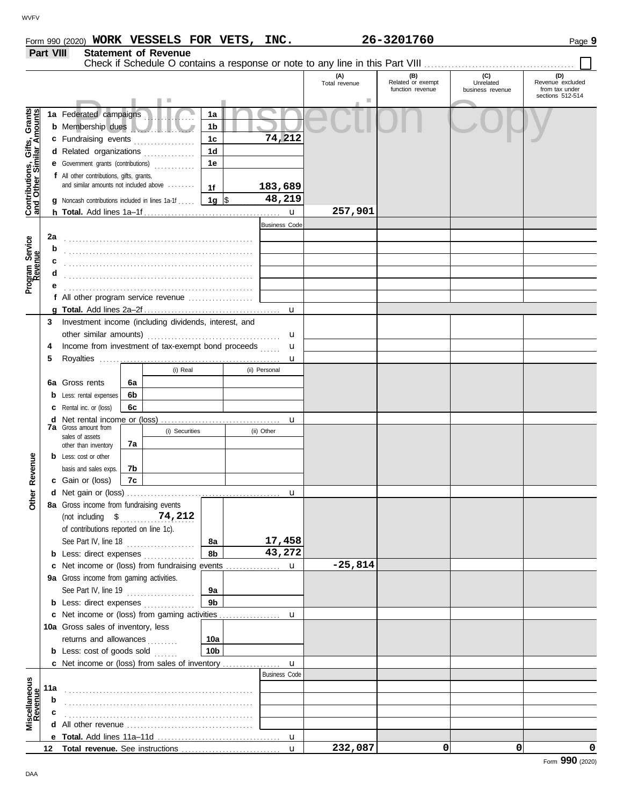# **Form 990 (2020) WORK VESSELS FOR VETS, INC.** 26-3201760 2010 2020 Page 9

|                                                                  | Part VIII<br><b>Statement of Revenue</b><br>Check if Schedule O contains a response or note to any line in this Part VIII |                                                                                           |    |                            |                      |               |                                      |               |                          |                               |                                    |
|------------------------------------------------------------------|---------------------------------------------------------------------------------------------------------------------------|-------------------------------------------------------------------------------------------|----|----------------------------|----------------------|---------------|--------------------------------------|---------------|--------------------------|-------------------------------|------------------------------------|
|                                                                  |                                                                                                                           |                                                                                           |    |                            |                      |               |                                      | (A)           | (B)<br>Related or exempt | (C)                           | (D)                                |
|                                                                  |                                                                                                                           |                                                                                           |    |                            |                      |               |                                      | Total revenue | function revenue         | Unrelated<br>business revenue | Revenue excluded<br>from tax under |
|                                                                  |                                                                                                                           |                                                                                           |    |                            |                      |               |                                      |               |                          |                               | sections 512-514                   |
| <b>Contributions, Gifts, Grants</b><br>and Other Similar Amounts |                                                                                                                           | 1a Federated campaigns                                                                    |    |                            | 1a                   |               |                                      |               |                          |                               |                                    |
|                                                                  |                                                                                                                           | <b>b</b> Membership dues                                                                  |    |                            | 1b<br>1 <sub>c</sub> |               | 74,212                               |               |                          |                               |                                    |
|                                                                  |                                                                                                                           | c Fundraising events<br>d Related organizations                                           |    |                            | 1 <sub>d</sub>       |               |                                      |               |                          |                               |                                    |
|                                                                  |                                                                                                                           | e Government grants (contributions)                                                       |    |                            | 1e                   |               |                                      |               |                          |                               |                                    |
|                                                                  |                                                                                                                           | f All other contributions, gifts, grants,                                                 |    |                            |                      |               |                                      |               |                          |                               |                                    |
|                                                                  |                                                                                                                           | and similar amounts not included above                                                    |    |                            | 1f                   |               | 183,689                              |               |                          |                               |                                    |
|                                                                  |                                                                                                                           | g Noncash contributions included in lines 1a-1f                                           |    |                            | 1g $\vert$ \$        |               | 48,219                               |               |                          |                               |                                    |
|                                                                  |                                                                                                                           |                                                                                           |    |                            |                      |               | $\mathbf{u}$                         | 257,901       |                          |                               |                                    |
|                                                                  | 2a                                                                                                                        |                                                                                           |    |                            |                      |               | <b>Business Code</b>                 |               |                          |                               |                                    |
| Program Service<br>Revenue                                       | b                                                                                                                         |                                                                                           |    |                            |                      |               |                                      |               |                          |                               |                                    |
|                                                                  | c                                                                                                                         |                                                                                           |    |                            |                      |               |                                      |               |                          |                               |                                    |
|                                                                  | d                                                                                                                         |                                                                                           |    |                            |                      |               |                                      |               |                          |                               |                                    |
|                                                                  | е                                                                                                                         |                                                                                           |    |                            |                      |               |                                      |               |                          |                               |                                    |
|                                                                  |                                                                                                                           | f All other program service revenue                                                       |    |                            |                      |               |                                      |               |                          |                               |                                    |
|                                                                  | 3                                                                                                                         | Investment income (including dividends, interest, and                                     |    |                            |                      |               | u                                    |               |                          |                               |                                    |
|                                                                  |                                                                                                                           |                                                                                           |    |                            |                      |               | u                                    |               |                          |                               |                                    |
|                                                                  | 4                                                                                                                         | Income from investment of tax-exempt bond proceeds                                        |    |                            |                      |               | u                                    |               |                          |                               |                                    |
|                                                                  | 5                                                                                                                         |                                                                                           |    |                            |                      |               | u                                    |               |                          |                               |                                    |
|                                                                  |                                                                                                                           |                                                                                           |    | (i) Real                   |                      | (ii) Personal |                                      |               |                          |                               |                                    |
|                                                                  |                                                                                                                           | 6a Gross rents                                                                            | 6a |                            |                      |               |                                      |               |                          |                               |                                    |
|                                                                  |                                                                                                                           | <b>b</b> Less: rental expenses                                                            | 6b |                            |                      |               |                                      |               |                          |                               |                                    |
|                                                                  |                                                                                                                           | C Rental inc. or (loss)                                                                   | 6c |                            |                      |               | u                                    |               |                          |                               |                                    |
|                                                                  |                                                                                                                           | <b>7a</b> Gross amount from                                                               |    | (i) Securities             |                      | (ii) Other    |                                      |               |                          |                               |                                    |
|                                                                  |                                                                                                                           | sales of assets<br>other than inventory                                                   | 7a |                            |                      |               |                                      |               |                          |                               |                                    |
|                                                                  |                                                                                                                           | <b>b</b> Less: cost or other                                                              |    |                            |                      |               |                                      |               |                          |                               |                                    |
| Revenue                                                          |                                                                                                                           | basis and sales exps.                                                                     | 7b |                            |                      |               |                                      |               |                          |                               |                                    |
|                                                                  |                                                                                                                           | c Gain or (loss)                                                                          | 7c |                            |                      |               |                                      |               |                          |                               |                                    |
| <u>br</u><br>δ                                                   |                                                                                                                           | 8a Gross income from fundraising events                                                   |    | the company of the company |                      |               | u                                    |               |                          |                               |                                    |
|                                                                  |                                                                                                                           | (not including $$$ 74, 212                                                                |    |                            |                      |               |                                      |               |                          |                               |                                    |
|                                                                  |                                                                                                                           | of contributions reported on line 1c).                                                    |    |                            |                      |               |                                      |               |                          |                               |                                    |
|                                                                  |                                                                                                                           | See Part IV, line 18                                                                      |    |                            | 8а                   |               | 17,458                               |               |                          |                               |                                    |
|                                                                  |                                                                                                                           | <b>b</b> Less: direct expenses <i>minimum</i>                                             |    |                            | 8b                   |               | 43,272                               |               |                          |                               |                                    |
|                                                                  |                                                                                                                           | c Net income or (loss) from fundraising events<br>9a Gross income from gaming activities. |    |                            |                      |               | u                                    | $-25,814$     |                          |                               |                                    |
|                                                                  |                                                                                                                           |                                                                                           |    |                            | 9а                   |               |                                      |               |                          |                               |                                    |
|                                                                  |                                                                                                                           | <b>b</b> Less: direct expenses $\ldots$                                                   |    |                            | 9 <sub>b</sub>       |               |                                      |               |                          |                               |                                    |
|                                                                  |                                                                                                                           | c Net income or (loss) from gaming activities                                             |    |                            |                      |               | u                                    |               |                          |                               |                                    |
|                                                                  |                                                                                                                           | 10a Gross sales of inventory, less                                                        |    |                            |                      |               |                                      |               |                          |                               |                                    |
|                                                                  |                                                                                                                           | returns and allowances                                                                    |    |                            | 10a                  |               |                                      |               |                          |                               |                                    |
|                                                                  |                                                                                                                           | <b>b</b> Less: cost of goods sold                                                         |    |                            | 10 <sub>b</sub>      |               |                                      |               |                          |                               |                                    |
|                                                                  |                                                                                                                           | <b>c</b> Net income or (loss) from sales of inventory                                     |    |                            |                      |               | $\mathbf{u}$<br><b>Business Code</b> |               |                          |                               |                                    |
| Miscellaneous<br>Revenue                                         | 11a                                                                                                                       |                                                                                           |    |                            |                      |               |                                      |               |                          |                               |                                    |
|                                                                  | b                                                                                                                         |                                                                                           |    |                            |                      |               |                                      |               |                          |                               |                                    |
|                                                                  |                                                                                                                           |                                                                                           |    |                            |                      |               |                                      |               |                          |                               |                                    |
|                                                                  |                                                                                                                           | <b>d</b> All other revenue $\ldots$ $\ldots$ $\ldots$ $\ldots$ $\ldots$ $\ldots$ $\ldots$ |    |                            |                      |               |                                      |               |                          |                               |                                    |
|                                                                  |                                                                                                                           |                                                                                           |    |                            |                      |               | $\mathbf{u}$<br>$\mathbf{u}$         | 232,087       | 0                        | 0                             | 0                                  |
|                                                                  |                                                                                                                           |                                                                                           |    |                            |                      |               |                                      |               |                          |                               |                                    |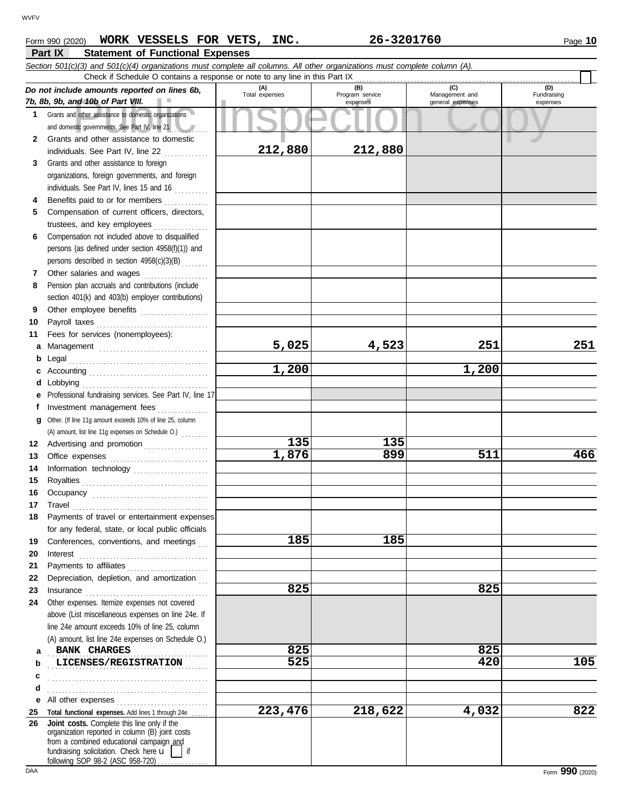| <b>VVFV</b> |                                                                                                                            |                       |         |                        |                       |                    |         |
|-------------|----------------------------------------------------------------------------------------------------------------------------|-----------------------|---------|------------------------|-----------------------|--------------------|---------|
|             | Form 990 (2020) WORK VESSELS FOR VETS, INC.                                                                                |                       |         | 26-3201760             |                       |                    | Page 10 |
|             | Part IX<br><b>Statement of Functional Expenses</b>                                                                         |                       |         |                        |                       |                    |         |
|             | Section 501(c)(3) and 501(c)(4) organizations must complete all columns. All other organizations must complete column (A). |                       |         |                        |                       |                    |         |
|             | Check if Schedule O contains a response or note to any line in this Part IX                                                |                       |         |                        |                       |                    |         |
|             | Do not include amounts reported on lines 6b,                                                                               | (A)<br>Total expenses |         | (B)<br>Program service | (C)<br>Management and | (D)<br>Fundraising |         |
|             | 7b, 8b, 9b, and 10b of Part VIII.                                                                                          |                       |         | expenses               | general expenses      | expenses           |         |
| 1.          | Grants and other assistance to domestic organizations                                                                      |                       |         |                        |                       |                    |         |
|             | and domestic governments. See Part IV, line 21                                                                             |                       |         |                        |                       |                    |         |
|             | Grants and other assistance to domestic                                                                                    |                       |         |                        |                       |                    |         |
|             | individuals. See Part IV, line 22                                                                                          |                       | 212,880 | 212,880                |                       |                    |         |
| 3.          | Grants and other assistance to foreign                                                                                     |                       |         |                        |                       |                    |         |
|             | organizations, foreign governments, and foreign                                                                            |                       |         |                        |                       |                    |         |
|             | individuals. See Part IV, lines 15 and 16                                                                                  |                       |         |                        |                       |                    |         |
|             | Benefits paid to or for members                                                                                            |                       |         |                        |                       |                    |         |
| 5.          | Compensation of current officers, directors,                                                                               |                       |         |                        |                       |                    |         |
|             | trustees, and key employees                                                                                                |                       |         |                        |                       |                    |         |
|             | Compensation not included above to disqualified                                                                            |                       |         |                        |                       |                    |         |
|             | persons (as defined under section $4958(f)(1)$ ) and                                                                       |                       |         |                        |                       |                    |         |
|             | persons described in section 4958(c)(3)(B)                                                                                 |                       |         |                        |                       |                    |         |
|             | Other salaries and wages                                                                                                   |                       |         |                        |                       |                    |         |
|             |                                                                                                                            |                       |         |                        |                       |                    |         |

**5,025 4,523 251 251**

**1,200 1,200**

**825 825**

**223,476 218,622 4,032 822**

**185 185**

- **8** Pension plan accruals and contributions (include section 401(k) and 403(b) employer contributions)
- **9 10** Other employee benefits .................... Payroll taxes . . . . . . . . . . . . . . . . . . . . . . . . . . . . . . . . .
- **11 a** Management ................................. **b** Legal . . . . . . . . . . . . . . . . . . . . . . . . . . . . . . . . . . . . . . . . . **c** Accounting . . . . . . . . . . . . . . . . . . . . . . . . . . . . . . . . . . . Fees for services (nonemployees):
- **d** Lobbying . . . . . . . . . . . . . . . . . . . . . . . . . . . . . . . . . . . . . **e** Professional fundraising services. See Part IV, line 17 **f g** Other. (If line 11g amount exceeds 10% of line 25, column Investment management fees ............... (A) amount, list line 11g expenses on Schedule O.) .......
- **12** Advertising and promotion . . . . . . . . . . . . . . . . . . Office expenses . . . . . . . . . . . . . . . . . . . . . . . . . . . . . Information technology ...................... Royalties . . . . . . . . . . . . . . . . . . . . . . . . . . . . . . . . . . . . . Occupancy . . . . . . . . . . . . . . . . . . . . . . . . . . . . . . . . . . Travel . . . . . . . . . . . . . . . . . . . . . . . . . . . . . . . . . . . . . . . . **135 135 1,876 899 511 466**
- **17 18 19 20 21 22 23 24** Payments of travel or entertainment expenses for any federal, state, or local public officials Conferences, conventions, and meetings Interest . . . . . . . . . . . . . . . . . . . . . . . . . . . . . . . . . . . . . . Payments to affiliates . . . . . . . . . . . . . . . . . . . . . . . . Depreciation, depletion, and amortization  ${\color{red}Insurance} \begin{picture}(1,0) \put(0,0.5) {\vector(0,1){100}} \put(1,0.5) {\vector(0,1){100}} \put(1,0.5) {\vector(0,1){100}} \put(2,0.5) {\vector(0,1){100}} \put(2,0.5) {\vector(0,1){100}} \put(2,0.5) {\vector(0,1){100}} \put(2,0.5) {\vector(0,1){100}} \put(2,0.5) {\vector(0,1){100}} \put(2,0.5) {\vector(0,1){100}} \put(2,0.5) {\vector(0,1){100}} \put$ Other expenses. Itemize expenses not covered above (List miscellaneous expenses on line 24e. If line 24e amount exceeds 10% of line 25, column (A) amount, list line 24e expenses on Schedule O.)
	- **a b c d** . . . . . . . . . . . . . . . . . . . . . . . . . . . . . . . . . . . . . . . . . . . . . . . **105 105 105 105 105 105 105 105 105 105 105 105 105 105 105** . . . . . . . . . . . . . . . . . . . . . . . . . . . . . . . . . . . . . . . . . . . . . . . . . . . . . . . . . . . . . . . . . . . . . . . . . . . . . . . . . . . . . . . . . . . . . . **BANK CHARGES** 825<br> **ELICENSES/REGISTRATION** 525<br> **BANK CHARGES**
- **e** All other expenses . . . . . . . . . . . . . . . . . . . . . . . . . . . **25 Total functional expenses.** Add lines 1 through 24e . . . . . **26** fundraising solicitation. Check here  $\mathbf{u}$  | if organization reported in column (B) joint costs from a combined educational campaign and following SOP 98-2 (ASC 958-720) **Joint costs.** Complete this line only if the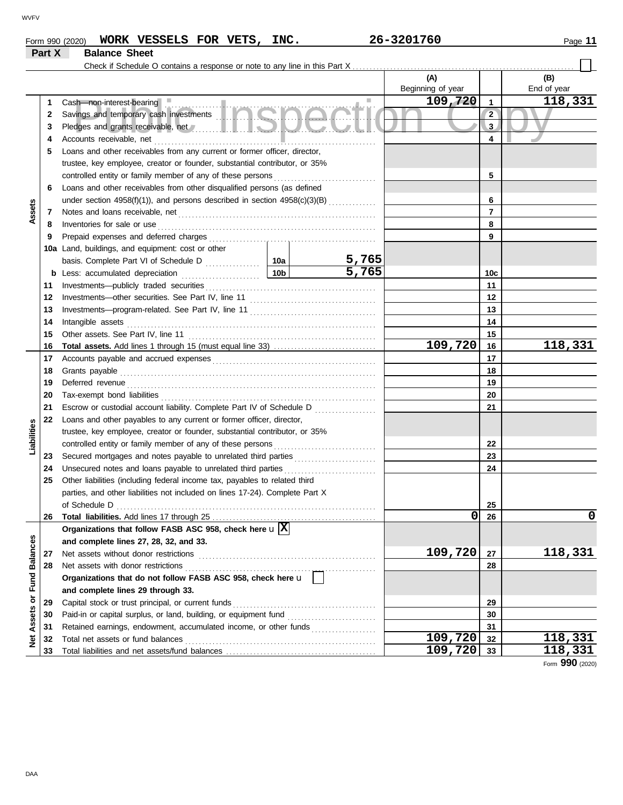| Form 990 (2020) |                      | WORK VESSELS FOR                                                                   | <b>VETS.</b> | INC. | 26-3201760 | Page |
|-----------------|----------------------|------------------------------------------------------------------------------------|--------------|------|------------|------|
| Part X          | <b>Balance Sheet</b> |                                                                                    |              |      |            |      |
|                 |                      | Chock if Schoolule $\Omega$ contains a response or note to any line in this Part Y |              |      |            |      |

|                      |    |                                                                                                                                     |                 |        | (A)               |                | (B)             |
|----------------------|----|-------------------------------------------------------------------------------------------------------------------------------------|-----------------|--------|-------------------|----------------|-----------------|
|                      |    |                                                                                                                                     |                 |        | Beginning of year |                | End of year     |
|                      | 1  | Cash-non-interest-bearing                                                                                                           |                 | $\sim$ | 109,720           | $\mathbf{1}$   | 118,331         |
|                      | 2  |                                                                                                                                     |                 |        |                   | $\overline{2}$ |                 |
|                      | 3  | Pledges and grants receivable, net //www.all.com/all.com/all.com/all.com/all.com/all.com/all.com/all                                |                 |        |                   | 3              |                 |
|                      | 4  | Accounts receivable, net                                                                                                            |                 |        |                   | 4              |                 |
|                      | 5  | Loans and other receivables from any current or former officer, director,                                                           |                 |        |                   |                |                 |
|                      |    | trustee, key employee, creator or founder, substantial contributor, or 35%                                                          |                 |        |                   |                |                 |
|                      |    | controlled entity or family member of any of these persons                                                                          |                 |        |                   | 5              |                 |
|                      | 6  | Loans and other receivables from other disqualified persons (as defined                                                             |                 |        |                   |                |                 |
|                      |    | under section 4958(f)(1)), and persons described in section 4958(c)(3)(B)                                                           |                 |        |                   | 6              |                 |
| Assets               | 7  | Notes and loans receivable, net                                                                                                     |                 |        |                   | 7              |                 |
|                      | 8  | Inventories for sale or use                                                                                                         |                 |        |                   | 8              |                 |
|                      | 9  |                                                                                                                                     |                 |        |                   | 9              |                 |
|                      |    | 10a Land, buildings, and equipment: cost or other                                                                                   |                 |        |                   |                |                 |
|                      |    |                                                                                                                                     | 10a             | 5,765  |                   |                |                 |
|                      |    |                                                                                                                                     | 10 <sub>b</sub> | 5,765  |                   | 10c            |                 |
|                      | 11 |                                                                                                                                     |                 |        |                   | 11             |                 |
|                      | 12 |                                                                                                                                     |                 |        |                   | 12             |                 |
|                      | 13 |                                                                                                                                     |                 |        |                   | 13             |                 |
|                      | 14 | Intangible assets                                                                                                                   |                 |        |                   | 14             |                 |
|                      | 15 |                                                                                                                                     |                 |        |                   | 15             |                 |
|                      | 16 |                                                                                                                                     |                 |        | 109,720           | 16             | 118,331         |
|                      | 17 |                                                                                                                                     |                 |        |                   | 17             |                 |
|                      | 18 | Grants payable                                                                                                                      |                 |        |                   | 18             |                 |
|                      | 19 | Deferred revenue                                                                                                                    |                 |        |                   | 19             |                 |
|                      | 20 | Tax-exempt bond liabilities                                                                                                         |                 |        | 20                |                |                 |
|                      | 21 | Escrow or custodial account liability. Complete Part IV of Schedule D                                                               |                 |        | 21                |                |                 |
|                      | 22 | Loans and other payables to any current or former officer, director,                                                                |                 |        |                   |                |                 |
| Liabilities          |    | trustee, key employee, creator or founder, substantial contributor, or 35%                                                          |                 |        |                   |                |                 |
|                      |    | controlled entity or family member of any of these persons                                                                          |                 |        |                   | 22             |                 |
|                      | 23 | Secured mortgages and notes payable to unrelated third parties [111] Secured mortgages and notes payable to unrelated third parties |                 |        |                   | 23             |                 |
|                      | 24 |                                                                                                                                     |                 |        |                   | 24             |                 |
|                      | 25 | Other liabilities (including federal income tax, payables to related third                                                          |                 |        |                   |                |                 |
|                      |    | parties, and other liabilities not included on lines 17-24). Complete Part X                                                        |                 |        |                   |                |                 |
|                      |    | of Schedule D                                                                                                                       |                 |        |                   | 25             |                 |
|                      | 26 |                                                                                                                                     |                 |        | 0                 | 26             | 0               |
|                      |    | Organizations that follow FASB ASC 958, check here $\mathbf{u} \mathbf{X}$                                                          |                 |        |                   |                |                 |
|                      |    | and complete lines 27, 28, 32, and 33.                                                                                              |                 |        |                   |                |                 |
|                      | 27 | Net assets without donor restrictions                                                                                               |                 |        | 109,720           | 27             | 118,331         |
|                      | 28 | Net assets with donor restrictions                                                                                                  |                 |        |                   | 28             |                 |
| <b>Fund Balances</b> |    | Organizations that do not follow FASB ASC 958, check here u                                                                         |                 |        |                   |                |                 |
|                      |    | and complete lines 29 through 33.                                                                                                   |                 |        |                   |                |                 |
| Net Assets or        | 29 | Capital stock or trust principal, or current funds                                                                                  |                 |        |                   | 29             |                 |
|                      | 30 |                                                                                                                                     |                 |        |                   | 30             |                 |
|                      | 31 | Retained earnings, endowment, accumulated income, or other funds                                                                    |                 |        |                   | 31             |                 |
|                      | 32 | Total net assets or fund balances                                                                                                   |                 |        | 109,720           | 32             | 118,331         |
|                      | 33 |                                                                                                                                     |                 |        | 109,720           | 33             | 118,331         |
|                      |    |                                                                                                                                     |                 |        |                   |                | Form 990 (2020) |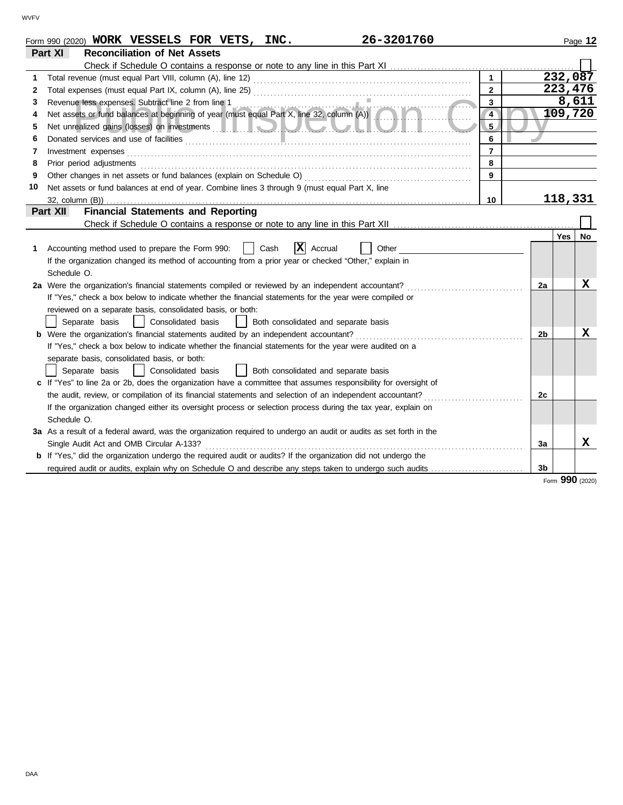|    | 26-3201760<br>Form 990 (2020) WORK VESSELS FOR VETS, INC.                                                                                                                                                                            |                |    |            | Page 12              |
|----|--------------------------------------------------------------------------------------------------------------------------------------------------------------------------------------------------------------------------------------|----------------|----|------------|----------------------|
|    | <b>Reconciliation of Net Assets</b><br>Part XI                                                                                                                                                                                       |                |    |            |                      |
|    |                                                                                                                                                                                                                                      |                |    |            |                      |
| 1  |                                                                                                                                                                                                                                      |                |    |            | $\overline{232,087}$ |
| 2  |                                                                                                                                                                                                                                      | $\mathbf{2}$   |    | 223,476    |                      |
| 3  |                                                                                                                                                                                                                                      | $\mathbf{3}$   |    |            | 8,611                |
| 4  | Revenue less expenses. Subtract line 2 from line 1<br>Net assets or fund balances at beginning of year (must equal Part X, line 32, column (A))                                                                                      | $\overline{4}$ |    | 109,720    |                      |
| 5  |                                                                                                                                                                                                                                      | 5 <sub>1</sub> |    |            |                      |
| 6  | Donated services and use of facilities <b>constant of the constant of the constant of the constant of the constant of the constant of the constant of the constant of the constant of the constant of the constant of the consta</b> | 6              |    |            |                      |
| 7  | Investment expenses                                                                                                                                                                                                                  | $\overline{7}$ |    |            |                      |
| 8  | Prior period adjustments                                                                                                                                                                                                             | 8              |    |            |                      |
| 9  | Other changes in net assets or fund balances (explain on Schedule O)                                                                                                                                                                 | 9              |    |            |                      |
| 10 | Net assets or fund balances at end of year. Combine lines 3 through 9 (must equal Part X, line                                                                                                                                       |                |    |            |                      |
|    |                                                                                                                                                                                                                                      | 10             |    | 118,331    |                      |
|    | <b>Financial Statements and Reporting</b><br>Part XII                                                                                                                                                                                |                |    |            |                      |
|    |                                                                                                                                                                                                                                      |                |    |            |                      |
|    |                                                                                                                                                                                                                                      |                |    | <b>Yes</b> | No                   |
| 1  | $ {\bf x} $<br>Accounting method used to prepare the Form 990:<br>Cash<br>Other<br>Accrual                                                                                                                                           |                |    |            |                      |
|    | If the organization changed its method of accounting from a prior year or checked "Other," explain in                                                                                                                                |                |    |            |                      |
|    | Schedule O.                                                                                                                                                                                                                          |                |    |            |                      |
|    | 2a Were the organization's financial statements compiled or reviewed by an independent accountant?                                                                                                                                   |                | 2a |            | x                    |
|    | If "Yes," check a box below to indicate whether the financial statements for the year were compiled or                                                                                                                               |                |    |            |                      |
|    | reviewed on a separate basis, consolidated basis, or both:                                                                                                                                                                           |                |    |            |                      |
|    | Separate basis<br>  Consolidated basis<br>Both consolidated and separate basis<br>$\perp$                                                                                                                                            |                |    |            |                      |
|    | <b>b</b> Were the organization's financial statements audited by an independent accountant?                                                                                                                                          |                | 2b |            | x                    |
|    | If "Yes," check a box below to indicate whether the financial statements for the year were audited on a                                                                                                                              |                |    |            |                      |
|    | separate basis, consolidated basis, or both:                                                                                                                                                                                         |                |    |            |                      |
|    | Separate basis<br>Consolidated basis<br>Both consolidated and separate basis                                                                                                                                                         |                |    |            |                      |
|    | c If "Yes" to line 2a or 2b, does the organization have a committee that assumes responsibility for oversight of                                                                                                                     |                |    |            |                      |
|    | the audit, review, or compilation of its financial statements and selection of an independent accountant?                                                                                                                            |                | 2c |            |                      |
|    | If the organization changed either its oversight process or selection process during the tax year, explain on<br>Schedule O.                                                                                                         |                |    |            |                      |
|    |                                                                                                                                                                                                                                      |                |    |            |                      |
|    | 3a As a result of a federal award, was the organization required to undergo an audit or audits as set forth in the                                                                                                                   |                |    |            | x                    |
|    | Single Audit Act and OMB Circular A-133?<br>b If "Yes," did the organization undergo the required audit or audits? If the organization did not undergo the                                                                           |                | За |            |                      |
|    | required audit or audits, explain why on Schedule O and describe any steps taken to undergo such audits                                                                                                                              |                | 3b |            |                      |
|    |                                                                                                                                                                                                                                      |                |    |            |                      |

Form **990** (2020)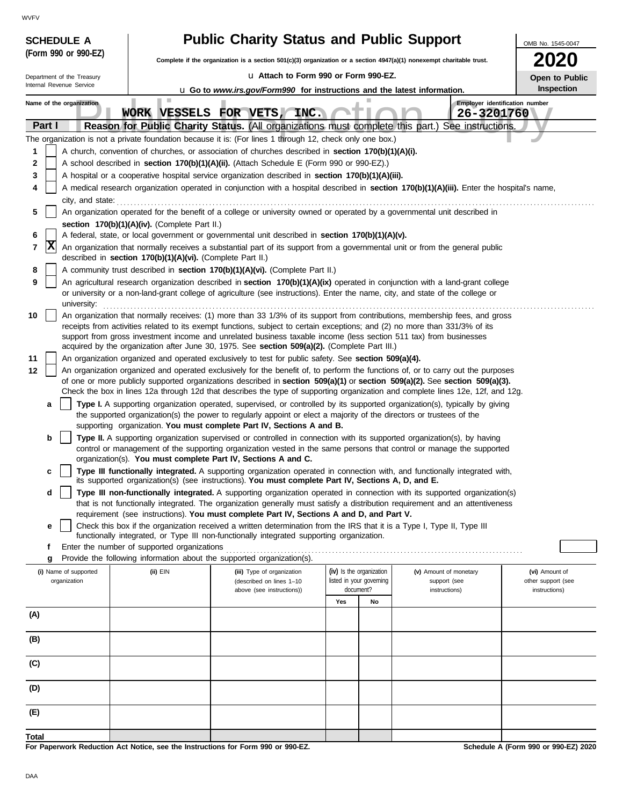| <b>SCHEDULE A</b>                     |                                                                                                  | <b>Public Charity Status and Public Support</b>                                                                                                                                                                                                                 |                                                      |    |                                        | OMB No. 1545-0047                    |  |  |  |  |
|---------------------------------------|--------------------------------------------------------------------------------------------------|-----------------------------------------------------------------------------------------------------------------------------------------------------------------------------------------------------------------------------------------------------------------|------------------------------------------------------|----|----------------------------------------|--------------------------------------|--|--|--|--|
| (Form 990 or 990-EZ)                  |                                                                                                  | Complete if the organization is a section 501(c)(3) organization or a section 4947(a)(1) nonexempt charitable trust.                                                                                                                                            |                                                      |    |                                        |                                      |  |  |  |  |
| Department of the Treasury            |                                                                                                  | La Attach to Form 990 or Form 990-EZ.                                                                                                                                                                                                                           |                                                      |    |                                        | <b>ZUZU</b><br>Open to Public        |  |  |  |  |
| Internal Revenue Service              |                                                                                                  | <b>u</b> Go to www.irs.gov/Form990 for instructions and the latest information.                                                                                                                                                                                 |                                                      |    |                                        | Inspection                           |  |  |  |  |
| Name of the organization              | ш                                                                                                |                                                                                                                                                                                                                                                                 |                                                      |    |                                        | Employer identification number       |  |  |  |  |
| Part I                                | WORK VESSELS FOR VETS,                                                                           | INC.<br>Reason for Public Charity Status. (All organizations must complete this part.)                                                                                                                                                                          |                                                      |    | 26-3201760<br>See instructions.        |                                      |  |  |  |  |
|                                       |                                                                                                  | The organization is not a private foundation because it is: (For lines 1 through 12, check only one box.)                                                                                                                                                       |                                                      |    |                                        |                                      |  |  |  |  |
| 1                                     |                                                                                                  | A church, convention of churches, or association of churches described in section 170(b)(1)(A)(i).                                                                                                                                                              |                                                      |    |                                        |                                      |  |  |  |  |
| 2                                     |                                                                                                  | A school described in section 170(b)(1)(A)(ii). (Attach Schedule E (Form 990 or 990-EZ).)                                                                                                                                                                       |                                                      |    |                                        |                                      |  |  |  |  |
| 3                                     |                                                                                                  | A hospital or a cooperative hospital service organization described in section 170(b)(1)(A)(iii).                                                                                                                                                               |                                                      |    |                                        |                                      |  |  |  |  |
| 4<br>city, and state:                 |                                                                                                  | A medical research organization operated in conjunction with a hospital described in section 170(b)(1)(A)(iii). Enter the hospital's name,                                                                                                                      |                                                      |    |                                        |                                      |  |  |  |  |
| 5                                     |                                                                                                  | An organization operated for the benefit of a college or university owned or operated by a governmental unit described in                                                                                                                                       |                                                      |    |                                        |                                      |  |  |  |  |
|                                       | section 170(b)(1)(A)(iv). (Complete Part II.)                                                    |                                                                                                                                                                                                                                                                 |                                                      |    |                                        |                                      |  |  |  |  |
| 6                                     | A federal, state, or local government or governmental unit described in section 170(b)(1)(A)(v). |                                                                                                                                                                                                                                                                 |                                                      |    |                                        |                                      |  |  |  |  |
| X<br>7                                | described in section 170(b)(1)(A)(vi). (Complete Part II.)                                       | An organization that normally receives a substantial part of its support from a governmental unit or from the general public                                                                                                                                    |                                                      |    |                                        |                                      |  |  |  |  |
| 8                                     |                                                                                                  | A community trust described in section 170(b)(1)(A)(vi). (Complete Part II.)                                                                                                                                                                                    |                                                      |    |                                        |                                      |  |  |  |  |
| 9<br>university:                      |                                                                                                  | An agricultural research organization described in section 170(b)(1)(A)(ix) operated in conjunction with a land-grant college<br>or university or a non-land-grant college of agriculture (see instructions). Enter the name, city, and state of the college or |                                                      |    |                                        |                                      |  |  |  |  |
| 10                                    |                                                                                                  | An organization that normally receives: (1) more than 33 1/3% of its support from contributions, membership fees, and gross                                                                                                                                     |                                                      |    |                                        |                                      |  |  |  |  |
|                                       |                                                                                                  | receipts from activities related to its exempt functions, subject to certain exceptions; and (2) no more than 331/3% of its<br>support from gross investment income and unrelated business taxable income (less section 511 tax) from businesses                |                                                      |    |                                        |                                      |  |  |  |  |
|                                       |                                                                                                  | acquired by the organization after June 30, 1975. See section 509(a)(2). (Complete Part III.)                                                                                                                                                                   |                                                      |    |                                        |                                      |  |  |  |  |
| 11                                    |                                                                                                  | An organization organized and operated exclusively to test for public safety. See section 509(a)(4).                                                                                                                                                            |                                                      |    |                                        |                                      |  |  |  |  |
| 12                                    |                                                                                                  | An organization organized and operated exclusively for the benefit of, to perform the functions of, or to carry out the purposes                                                                                                                                |                                                      |    |                                        |                                      |  |  |  |  |
|                                       |                                                                                                  | of one or more publicly supported organizations described in section 509(a)(1) or section 509(a)(2). See section 509(a)(3).<br>Check the box in lines 12a through 12d that describes the type of supporting organization and complete lines 12e, 12f, and 12g.  |                                                      |    |                                        |                                      |  |  |  |  |
| a                                     |                                                                                                  | Type I. A supporting organization operated, supervised, or controlled by its supported organization(s), typically by giving                                                                                                                                     |                                                      |    |                                        |                                      |  |  |  |  |
|                                       |                                                                                                  | the supported organization(s) the power to regularly appoint or elect a majority of the directors or trustees of the                                                                                                                                            |                                                      |    |                                        |                                      |  |  |  |  |
|                                       |                                                                                                  | supporting organization. You must complete Part IV, Sections A and B.                                                                                                                                                                                           |                                                      |    |                                        |                                      |  |  |  |  |
| b                                     |                                                                                                  | Type II. A supporting organization supervised or controlled in connection with its supported organization(s), by having<br>control or management of the supporting organization vested in the same persons that control or manage the supported                 |                                                      |    |                                        |                                      |  |  |  |  |
|                                       |                                                                                                  | organization(s). You must complete Part IV, Sections A and C.                                                                                                                                                                                                   |                                                      |    |                                        |                                      |  |  |  |  |
| c                                     |                                                                                                  | Type III functionally integrated. A supporting organization operated in connection with, and functionally integrated with,<br>its supported organization(s) (see instructions). You must complete Part IV, Sections A, D, and E.                                |                                                      |    |                                        |                                      |  |  |  |  |
| d                                     |                                                                                                  | Type III non-functionally integrated. A supporting organization operated in connection with its supported organization(s)                                                                                                                                       |                                                      |    |                                        |                                      |  |  |  |  |
|                                       |                                                                                                  | that is not functionally integrated. The organization generally must satisfy a distribution requirement and an attentiveness                                                                                                                                    |                                                      |    |                                        |                                      |  |  |  |  |
|                                       |                                                                                                  | requirement (see instructions). You must complete Part IV, Sections A and D, and Part V.<br>Check this box if the organization received a written determination from the IRS that it is a Type I, Type II, Type III                                             |                                                      |    |                                        |                                      |  |  |  |  |
| е                                     |                                                                                                  | functionally integrated, or Type III non-functionally integrated supporting organization.                                                                                                                                                                       |                                                      |    |                                        |                                      |  |  |  |  |
| f                                     | Enter the number of supported organizations                                                      |                                                                                                                                                                                                                                                                 |                                                      |    |                                        |                                      |  |  |  |  |
| g                                     |                                                                                                  | Provide the following information about the supported organization(s).                                                                                                                                                                                          |                                                      |    |                                        |                                      |  |  |  |  |
| (i) Name of supported<br>organization | (ii) EIN                                                                                         | (iii) Type of organization<br>(described on lines 1-10                                                                                                                                                                                                          | (iv) Is the organization<br>listed in your governing |    | (v) Amount of monetary<br>support (see | (vi) Amount of<br>other support (see |  |  |  |  |
|                                       |                                                                                                  | above (see instructions))                                                                                                                                                                                                                                       | document?                                            |    | instructions)                          | instructions)                        |  |  |  |  |
| (A)                                   |                                                                                                  |                                                                                                                                                                                                                                                                 | Yes                                                  | No |                                        |                                      |  |  |  |  |
|                                       |                                                                                                  |                                                                                                                                                                                                                                                                 |                                                      |    |                                        |                                      |  |  |  |  |
| (B)                                   |                                                                                                  |                                                                                                                                                                                                                                                                 |                                                      |    |                                        |                                      |  |  |  |  |
| (C)                                   |                                                                                                  |                                                                                                                                                                                                                                                                 |                                                      |    |                                        |                                      |  |  |  |  |
| (D)                                   |                                                                                                  |                                                                                                                                                                                                                                                                 |                                                      |    |                                        |                                      |  |  |  |  |
| (E)                                   |                                                                                                  |                                                                                                                                                                                                                                                                 |                                                      |    |                                        |                                      |  |  |  |  |
| <b>Total</b>                          |                                                                                                  |                                                                                                                                                                                                                                                                 |                                                      |    |                                        |                                      |  |  |  |  |

**For Paperwork Reduction Act Notice, see the Instructions for Form 990 or 990-EZ.**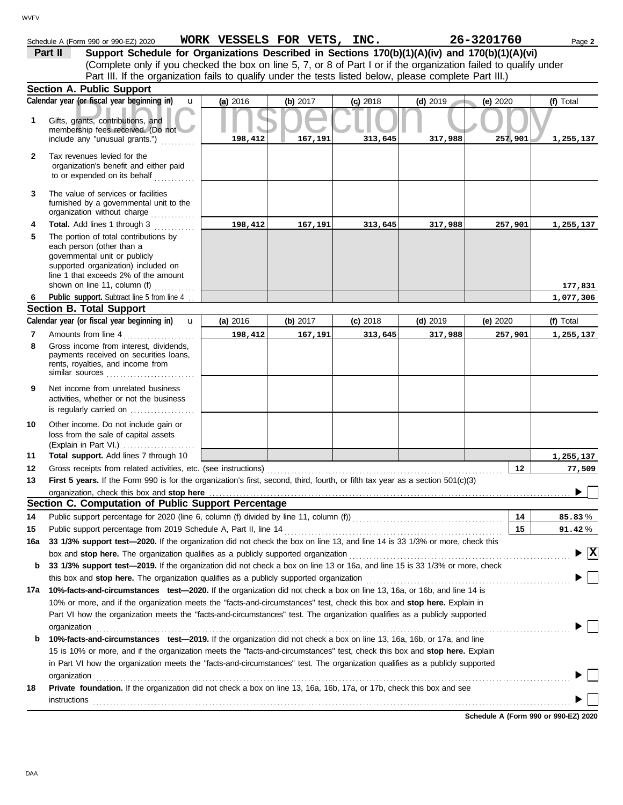|              | Schedule A (Form 990 or 990-EZ) 2020                                                                                                                                               | WORK VESSELS FOR VETS, INC. |            |            |            | 26-3201760 | Page 2                                        |
|--------------|------------------------------------------------------------------------------------------------------------------------------------------------------------------------------------|-----------------------------|------------|------------|------------|------------|-----------------------------------------------|
|              | Support Schedule for Organizations Described in Sections 170(b)(1)(A)(iv) and 170(b)(1)(A)(vi)<br>Part II                                                                          |                             |            |            |            |            |                                               |
|              | (Complete only if you checked the box on line 5, 7, or 8 of Part I or if the organization failed to qualify under                                                                  |                             |            |            |            |            |                                               |
|              | Part III. If the organization fails to qualify under the tests listed below, please complete Part III.)                                                                            |                             |            |            |            |            |                                               |
|              | <b>Section A. Public Support</b>                                                                                                                                                   |                             |            |            |            |            |                                               |
|              | Calendar year (or fiscal year beginning in)<br>$\mathbf{u}$                                                                                                                        | (a) 2016                    | (b) 2017   | $(c)$ 2018 | $(d)$ 2019 | (e) 2020   | (f) Total                                     |
| 1            | Gifts, grants, contributions, and                                                                                                                                                  |                             |            |            |            |            |                                               |
|              | membership fees received. (Do not<br>include any "unusual grants.")                                                                                                                | 198,412                     | 167,191    | 313,645    | 317,988    | 257,901    | 1,255,137                                     |
| $\mathbf{2}$ | Tax revenues levied for the<br>organization's benefit and either paid<br>to or expended on its behalf                                                                              |                             |            |            |            |            |                                               |
| 3            | The value of services or facilities<br>furnished by a governmental unit to the<br>organization without charge                                                                      |                             |            |            |            |            |                                               |
| 4            | Total. Add lines 1 through 3                                                                                                                                                       | 198,412                     | 167,191    | 313,645    | 317,988    | 257,901    | 1,255,137                                     |
| 5            | The portion of total contributions by<br>each person (other than a<br>governmental unit or publicly<br>supported organization) included on<br>line 1 that exceeds 2% of the amount |                             |            |            |            |            |                                               |
| 6            | shown on line 11, column (f)<br>Public support. Subtract line 5 from line 4.                                                                                                       |                             |            |            |            |            | 177,831<br>1,077,306                          |
|              | <b>Section B. Total Support</b>                                                                                                                                                    |                             |            |            |            |            |                                               |
|              | Calendar year (or fiscal year beginning in)<br>$\mathbf{u}$                                                                                                                        | (a) 2016                    | (b) $2017$ | $(c)$ 2018 | $(d)$ 2019 | (e) 2020   | (f) Total                                     |
| 7            | Amounts from line 4                                                                                                                                                                | 198,412                     | 167,191    | 313,645    | 317,988    | 257,901    | 1,255,137                                     |
| 8            | Gross income from interest, dividends,<br>payments received on securities loans,<br>rents, royalties, and income from<br>similar sources                                           |                             |            |            |            |            |                                               |
| 9            | Net income from unrelated business<br>activities, whether or not the business<br>is regularly carried on                                                                           |                             |            |            |            |            |                                               |
| 10           | Other income. Do not include gain or<br>loss from the sale of capital assets<br>(Explain in Part VI.)                                                                              |                             |            |            |            |            |                                               |
| 11           | Total support. Add lines 7 through 10                                                                                                                                              |                             |            |            |            |            | 1,255,137                                     |
| 12           | Gross receipts from related activities, etc. (see instructions)                                                                                                                    |                             |            |            |            | 12         | 77,509                                        |
| 13           | First 5 years. If the Form 990 is for the organization's first, second, third, fourth, or fifth tax year as a section 501(c)(3)                                                    |                             |            |            |            |            |                                               |
|              |                                                                                                                                                                                    |                             |            |            |            |            |                                               |
|              | Section C. Computation of Public Support Percentage                                                                                                                                |                             |            |            |            |            |                                               |
| 14           | Public support percentage for 2020 (line 6, column (f) divided by line 11, column (f)) [[[[[[[[[[[[[[[[[[[[[[                                                                      |                             |            |            |            | 14         | 85.83%                                        |
| 15           | Public support percentage from 2019 Schedule A, Part II, line 14                                                                                                                   |                             |            |            |            | 15         | 91.42%                                        |
| 16a          | 33 1/3% support test-2020. If the organization did not check the box on line 13, and line 14 is 33 1/3% or more, check this                                                        |                             |            |            |            |            |                                               |
|              | box and stop here. The organization qualifies as a publicly supported organization                                                                                                 |                             |            |            |            |            | $\blacktriangleright$ $\overline{\mathbf{X}}$ |
| b            | 33 1/3% support test-2019. If the organization did not check a box on line 13 or 16a, and line 15 is 33 1/3% or more, check                                                        |                             |            |            |            |            |                                               |
|              | this box and stop here. The organization qualifies as a publicly supported organization                                                                                            |                             |            |            |            |            |                                               |
|              | 17a 10%-facts-and-circumstances test-2020. If the organization did not check a box on line 13, 16a, or 16b, and line 14 is                                                         |                             |            |            |            |            |                                               |
|              | 10% or more, and if the organization meets the "facts-and-circumstances" test, check this box and stop here. Explain in                                                            |                             |            |            |            |            |                                               |
|              | Part VI how the organization meets the "facts-and-circumstances" test. The organization qualifies as a publicly supported                                                          |                             |            |            |            |            |                                               |
|              | organization                                                                                                                                                                       |                             |            |            |            |            |                                               |
|              | <b>b</b> 10%-facts-and-circumstances test-2019. If the organization did not check a box on line 13, 16a, 16b, or 17a, and line                                                     |                             |            |            |            |            |                                               |
|              | 15 is 10% or more, and if the organization meets the "facts-and-circumstances" test, check this box and stop here. Explain                                                         |                             |            |            |            |            |                                               |
|              | in Part VI how the organization meets the "facts-and-circumstances" test. The organization qualifies as a publicly supported                                                       |                             |            |            |            |            |                                               |
|              | organization                                                                                                                                                                       |                             |            |            |            |            |                                               |
| 18           | Private foundation. If the organization did not check a box on line 13, 16a, 16b, 17a, or 17b, check this box and see                                                              |                             |            |            |            |            |                                               |
|              | instructions                                                                                                                                                                       |                             |            |            |            |            |                                               |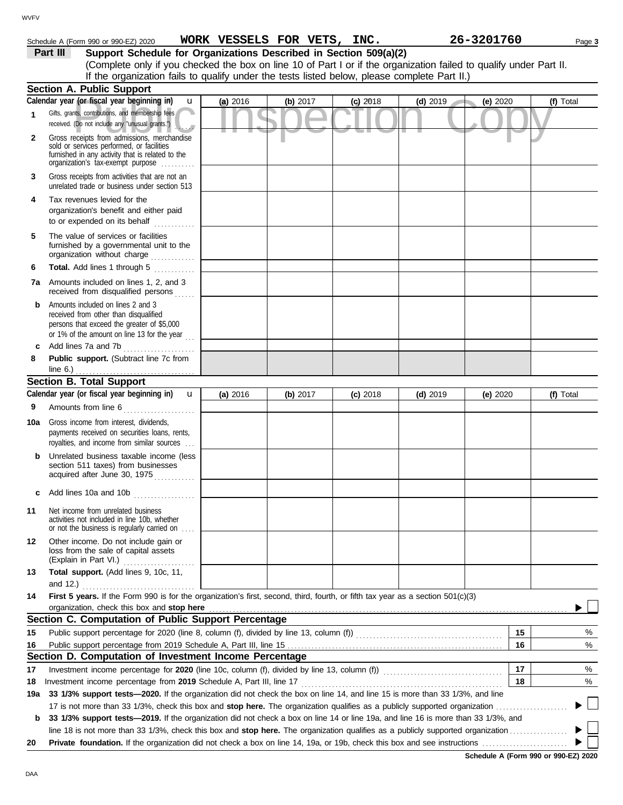## Schedule A (Form 990 or 990-EZ) 2020 Page **3 WORK VESSELS FOR VETS, INC. 26-3201760**

**Part III** Support Schedule for Organizations Described in Section 509(a)(2) (Complete only if you checked the box on line 10 of Part I or if the organization failed to qualify under Part II. If the organization fails to qualify under the tests listed below, please complete Part II.)

|              | <b>Section A. Public Support</b>                                                                                                                                                  |          |            |            |            |          |                |
|--------------|-----------------------------------------------------------------------------------------------------------------------------------------------------------------------------------|----------|------------|------------|------------|----------|----------------|
|              | Calendar year (or fiscal year beginning in)<br>u                                                                                                                                  | (a) 2016 | (b) $2017$ | $(c)$ 2018 | $(d)$ 2019 | (e) 2020 | (f) Total      |
| 1            | Gifts, grants, contributions, and membership fees<br>received. (Do not include any "unusual grants.")                                                                             |          |            |            |            |          |                |
| $\mathbf{2}$ | Gross receipts from admissions, merchandise<br>sold or services performed, or facilities<br>furnished in any activity that is related to the<br>organization's fax-exempt purpose |          |            |            |            |          |                |
| 3            | Gross receipts from activities that are not an<br>unrelated trade or business under section 513                                                                                   |          |            |            |            |          |                |
| 4            | Tax revenues levied for the<br>organization's benefit and either paid<br>to or expended on its behalf<br>. <b>.</b> .                                                             |          |            |            |            |          |                |
| 5            | The value of services or facilities<br>furnished by a governmental unit to the<br>organization without charge                                                                     |          |            |            |            |          |                |
| 6            | Total. Add lines 1 through 5                                                                                                                                                      |          |            |            |            |          |                |
| 7a           | Amounts included on lines 1, 2, and 3<br>received from disqualified persons                                                                                                       |          |            |            |            |          |                |
| b            | Amounts included on lines 2 and 3<br>received from other than disqualified<br>persons that exceed the greater of \$5,000<br>or 1% of the amount on line 13 for the year $\ldots$  |          |            |            |            |          |                |
| c            | Add lines 7a and 7b                                                                                                                                                               |          |            |            |            |          |                |
| 8            | Public support. (Subtract line 7c from<br>line $6.$ )                                                                                                                             |          |            |            |            |          |                |
|              | <b>Section B. Total Support</b>                                                                                                                                                   |          |            |            |            |          |                |
|              | Calendar year (or fiscal year beginning in)<br>$\mathbf{u}$                                                                                                                       | (a) 2016 | (b) 2017   | $(c)$ 2018 | $(d)$ 2019 | (e) 2020 | (f) Total      |
| 9            | Amounts from line 6                                                                                                                                                               |          |            |            |            |          |                |
| 10a          | Gross income from interest, dividends,<br>payments received on securities loans, rents,<br>royalties, and income from similar sources                                             |          |            |            |            |          |                |
| b            | Unrelated business taxable income (less<br>section 511 taxes) from businesses<br>acquired after June 30, 1975                                                                     |          |            |            |            |          |                |
| c            | Add lines 10a and 10b $\ldots$ $\ldots$ $\ldots$                                                                                                                                  |          |            |            |            |          |                |
| 11           | Net income from unrelated business<br>activities not included in line 10b, whether<br>or not the business is regularly carried on                                                 |          |            |            |            |          |                |
| 12           | Other income. Do not include gain or<br>loss from the sale of capital assets<br>(Explain in Part VI.)<br>.                                                                        |          |            |            |            |          |                |
| 13           | Total support. (Add lines 9, 10c, 11,<br>and 12.)                                                                                                                                 |          |            |            |            |          |                |
| 14           | First 5 years. If the Form 990 is for the organization's first, second, third, fourth, or fifth tax year as a section 501(c)(3)                                                   |          |            |            |            |          |                |
|              | organization, check this box and stop here                                                                                                                                        |          |            |            |            |          |                |
|              | Section C. Computation of Public Support Percentage                                                                                                                               |          |            |            |            |          |                |
| 15           |                                                                                                                                                                                   |          |            |            |            | 15       | %              |
| 16           |                                                                                                                                                                                   |          |            |            |            | 16       | %              |
|              | Section D. Computation of Investment Income Percentage                                                                                                                            |          |            |            |            |          |                |
| 17           | Investment income percentage for 2020 (line 10c, column (f), divided by line 13, column (f)) [[[[[[[[[[[[[[[[[                                                                    |          |            |            |            | 17       | %              |
| 18           | Investment income percentage from 2019 Schedule A, Part III, line 17                                                                                                              |          |            |            |            | 18       | %              |
| 19a          | 33 1/3% support tests-2020. If the organization did not check the box on line 14, and line 15 is more than 33 1/3%, and line                                                      |          |            |            |            |          | $\mathbb{R}^n$ |
|              | 17 is not more than 33 1/3%, check this box and <b>stop here.</b> The organization qualifies as a publicly supported organization <i>marrorrorrorrorrorrorrorrorrorror</i>        |          |            |            |            |          |                |
| b            | 33 1/3% support tests-2019. If the organization did not check a box on line 14 or line 19a, and line 16 is more than 33 1/3%, and                                                 |          |            |            |            |          |                |
| 20           |                                                                                                                                                                                   |          |            |            |            |          |                |
|              |                                                                                                                                                                                   |          |            |            |            |          |                |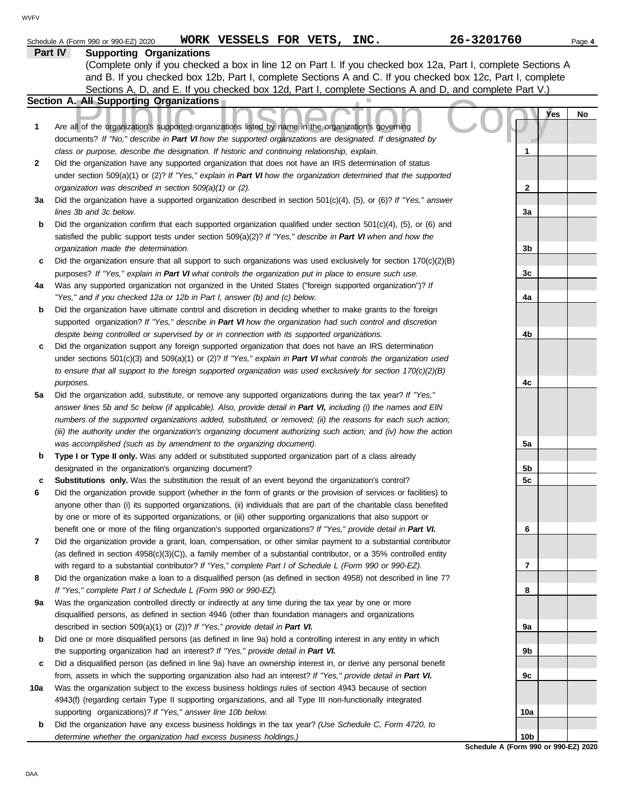|         | WORK VESSELS FOR VETS, INC.<br>Schedule A (Form 990 or 990-EZ) 2020                                                                                                                                                | 26-3201760                           | Page 4           |
|---------|--------------------------------------------------------------------------------------------------------------------------------------------------------------------------------------------------------------------|--------------------------------------|------------------|
| Part IV | <b>Supporting Organizations</b>                                                                                                                                                                                    |                                      |                  |
|         | (Complete only if you checked a box in line 12 on Part I. If you checked box 12a, Part I, complete Sections A                                                                                                      |                                      |                  |
|         | and B. If you checked box 12b, Part I, complete Sections A and C. If you checked box 12c, Part I, complete                                                                                                         |                                      |                  |
|         | Sections A, D, and E. If you checked box 12d, Part I, complete Sections A and D, and complete Part V.)                                                                                                             |                                      |                  |
|         | Section A. All Supporting Organizations                                                                                                                                                                            |                                      |                  |
|         |                                                                                                                                                                                                                    |                                      | <b>Yes</b><br>No |
| 1       | Are all of the organization's supported organizations listed by name in the organization's governing                                                                                                               |                                      |                  |
|         | documents? If "No," describe in Part VI how the supported organizations are designated. If designated by                                                                                                           |                                      |                  |
|         | class or purpose, describe the designation. If historic and continuing relationship, explain.                                                                                                                      | 1                                    |                  |
| 2       | Did the organization have any supported organization that does not have an IRS determination of status                                                                                                             |                                      |                  |
|         | under section 509(a)(1) or (2)? If "Yes," explain in Part VI how the organization determined that the supported                                                                                                    |                                      |                  |
|         | organization was described in section 509(a)(1) or (2).                                                                                                                                                            | 2                                    |                  |
| За      | Did the organization have a supported organization described in section $501(c)(4)$ , (5), or (6)? If "Yes," answer                                                                                                |                                      |                  |
|         | lines 3b and 3c below.                                                                                                                                                                                             | 3a                                   |                  |
| b       | Did the organization confirm that each supported organization qualified under section $501(c)(4)$ , $(5)$ , or $(6)$ and                                                                                           |                                      |                  |
|         | satisfied the public support tests under section 509(a)(2)? If "Yes," describe in Part VI when and how the                                                                                                         |                                      |                  |
|         | organization made the determination.                                                                                                                                                                               | 3b                                   |                  |
| c       | Did the organization ensure that all support to such organizations was used exclusively for section $170(c)(2)(B)$                                                                                                 |                                      |                  |
| 4a      | purposes? If "Yes," explain in Part VI what controls the organization put in place to ensure such use.<br>Was any supported organization not organized in the United States ("foreign supported organization")? If | 3c                                   |                  |
|         | "Yes," and if you checked 12a or 12b in Part I, answer (b) and (c) below.                                                                                                                                          | 4a                                   |                  |
| b       | Did the organization have ultimate control and discretion in deciding whether to make grants to the foreign                                                                                                        |                                      |                  |
|         | supported organization? If "Yes," describe in Part VI how the organization had such control and discretion                                                                                                         |                                      |                  |
|         | despite being controlled or supervised by or in connection with its supported organizations.                                                                                                                       | 4b                                   |                  |
| c       | Did the organization support any foreign supported organization that does not have an IRS determination                                                                                                            |                                      |                  |
|         | under sections $501(c)(3)$ and $509(a)(1)$ or (2)? If "Yes," explain in Part VI what controls the organization used                                                                                                |                                      |                  |
|         | to ensure that all support to the foreign supported organization was used exclusively for section $170(c)(2)(B)$                                                                                                   |                                      |                  |
|         | purposes.                                                                                                                                                                                                          | 4c                                   |                  |
| 5a      | Did the organization add, substitute, or remove any supported organizations during the tax year? If "Yes,"                                                                                                         |                                      |                  |
|         | answer lines 5b and 5c below (if applicable). Also, provide detail in Part VI, including (i) the names and EIN                                                                                                     |                                      |                  |
|         | numbers of the supported organizations added, substituted, or removed; (ii) the reasons for each such action;                                                                                                      |                                      |                  |
|         | (iii) the authority under the organization's organizing document authorizing such action; and (iv) how the action                                                                                                  |                                      |                  |
|         | was accomplished (such as by amendment to the organizing document).                                                                                                                                                | 5a                                   |                  |
| b       | Type I or Type II only. Was any added or substituted supported organization part of a class already                                                                                                                |                                      |                  |
|         | designated in the organization's organizing document?                                                                                                                                                              | 5b                                   |                  |
| c       | Substitutions only. Was the substitution the result of an event beyond the organization's control?                                                                                                                 | 5c                                   |                  |
| 6       | Did the organization provide support (whether in the form of grants or the provision of services or facilities) to                                                                                                 |                                      |                  |
|         | anyone other than (i) its supported organizations, (ii) individuals that are part of the charitable class benefited                                                                                                |                                      |                  |
|         | by one or more of its supported organizations, or (iii) other supporting organizations that also support or                                                                                                        |                                      |                  |
|         | benefit one or more of the filing organization's supported organizations? If "Yes," provide detail in Part VI.                                                                                                     | 6                                    |                  |
| 7       | Did the organization provide a grant, loan, compensation, or other similar payment to a substantial contributor                                                                                                    |                                      |                  |
|         | (as defined in section $4958(c)(3)(C)$ ), a family member of a substantial contributor, or a 35% controlled entity                                                                                                 |                                      |                  |
|         | with regard to a substantial contributor? If "Yes," complete Part I of Schedule L (Form 990 or 990-EZ).                                                                                                            | 7                                    |                  |
| 8       | Did the organization make a loan to a disqualified person (as defined in section 4958) not described in line 7?                                                                                                    |                                      |                  |
|         | If "Yes," complete Part I of Schedule L (Form 990 or 990-EZ).                                                                                                                                                      | 8                                    |                  |
| 9a      | Was the organization controlled directly or indirectly at any time during the tax year by one or more                                                                                                              |                                      |                  |
|         | disqualified persons, as defined in section 4946 (other than foundation managers and organizations                                                                                                                 |                                      |                  |
| b       | described in section 509(a)(1) or (2))? If "Yes," provide detail in Part VI.<br>Did one or more disqualified persons (as defined in line 9a) hold a controlling interest in any entity in which                    | 9a                                   |                  |
|         | the supporting organization had an interest? If "Yes," provide detail in Part VI.                                                                                                                                  | 9b                                   |                  |
| c       | Did a disqualified person (as defined in line 9a) have an ownership interest in, or derive any personal benefit                                                                                                    |                                      |                  |
|         | from, assets in which the supporting organization also had an interest? If "Yes," provide detail in Part VI.                                                                                                       | 9с                                   |                  |
| 10a     | Was the organization subject to the excess business holdings rules of section 4943 because of section                                                                                                              |                                      |                  |
|         | 4943(f) (regarding certain Type II supporting organizations, and all Type III non-functionally integrated                                                                                                          |                                      |                  |
|         | supporting organizations)? If "Yes," answer line 10b below.                                                                                                                                                        | 10a                                  |                  |
| b       | Did the organization have any excess business holdings in the tax year? (Use Schedule C, Form 4720, to                                                                                                             |                                      |                  |
|         | determine whether the organization had excess business holdings.)                                                                                                                                                  | 10 <sub>b</sub>                      |                  |
|         |                                                                                                                                                                                                                    | Schedule A (Form 990 or 990-EZ) 2020 |                  |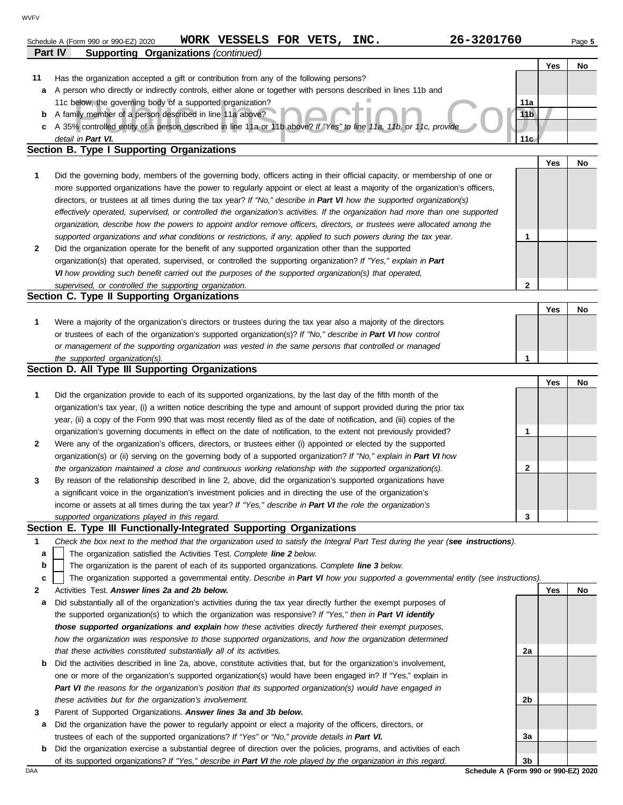|    | 26-3201760<br>WORK VESSELS FOR VETS, INC.<br>Schedule A (Form 990 or 990-EZ) 2020                                                 |                 |     | Page 5 |
|----|-----------------------------------------------------------------------------------------------------------------------------------|-----------------|-----|--------|
|    | <b>Supporting Organizations (continued)</b><br><b>Part IV</b>                                                                     |                 |     |        |
|    |                                                                                                                                   |                 | Yes | No     |
| 11 | Has the organization accepted a gift or contribution from any of the following persons?                                           |                 |     |        |
| а  | A person who directly or indirectly controls, either alone or together with persons described in lines 11b and                    |                 |     |        |
|    | 11c below, the governing body of a supported organization?                                                                        | 11a             |     |        |
| b  | A family member of a person described in line 11a above?                                                                          | 11 <sub>b</sub> |     |        |
|    | c A 35% controlled entity of a person described in line 11a or 11b above? If "Yes" to line 11a, 11b, or 11c, provide              |                 |     |        |
|    | detail in Part VI.<br><b>Section B. Type I Supporting Organizations</b>                                                           | 11c             |     |        |
|    |                                                                                                                                   |                 | Yes | No     |
| 1  | Did the governing body, members of the governing body, officers acting in their official capacity, or membership of one or        |                 |     |        |
|    | more supported organizations have the power to regularly appoint or elect at least a majority of the organization's officers,     |                 |     |        |
|    | directors, or trustees at all times during the tax year? If "No," describe in Part VI how the supported organization(s)           |                 |     |        |
|    | effectively operated, supervised, or controlled the organization's activities. If the organization had more than one supported    |                 |     |        |
|    | organization, describe how the powers to appoint and/or remove officers, directors, or trustees were allocated among the          |                 |     |        |
|    | supported organizations and what conditions or restrictions, if any, applied to such powers during the tax year.                  | 1               |     |        |
| 2  | Did the organization operate for the benefit of any supported organization other than the supported                               |                 |     |        |
|    | organization(s) that operated, supervised, or controlled the supporting organization? If "Yes," explain in Part                   |                 |     |        |
|    | VI how providing such benefit carried out the purposes of the supported organization(s) that operated,                            |                 |     |        |
|    | supervised, or controlled the supporting organization.                                                                            | $\mathbf{2}$    |     |        |
|    | Section C. Type II Supporting Organizations                                                                                       |                 |     |        |
|    |                                                                                                                                   |                 | Yes | No     |
| 1  | Were a majority of the organization's directors or trustees during the tax year also a majority of the directors                  |                 |     |        |
|    | or trustees of each of the organization's supported organization(s)? If "No," describe in Part VI how control                     |                 |     |        |
|    | or management of the supporting organization was vested in the same persons that controlled or managed                            |                 |     |        |
|    | the supported organization(s).                                                                                                    | 1               |     |        |
|    | Section D. All Type III Supporting Organizations                                                                                  |                 |     |        |
|    |                                                                                                                                   |                 | Yes | No     |
| 1  | Did the organization provide to each of its supported organizations, by the last day of the fifth month of the                    |                 |     |        |
|    | organization's tax year, (i) a written notice describing the type and amount of support provided during the prior tax             |                 |     |        |
|    | year, (ii) a copy of the Form 990 that was most recently filed as of the date of notification, and (iii) copies of the            |                 |     |        |
|    | organization's governing documents in effect on the date of notification, to the extent not previously provided?                  | 1               |     |        |
| 2  | Were any of the organization's officers, directors, or trustees either (i) appointed or elected by the supported                  |                 |     |        |
|    | organization(s) or (ii) serving on the governing body of a supported organization? If "No," explain in Part VI how                |                 |     |        |
|    | the organization maintained a close and continuous working relationship with the supported organization(s).                       | 2               |     |        |
| 3  | By reason of the relationship described in line 2, above, did the organization's supported organizations have                     |                 |     |        |
|    | a significant voice in the organization's investment policies and in directing the use of the organization's                      |                 |     |        |
|    | income or assets at all times during the tax year? If "Yes," describe in Part VI the role the organization's                      |                 |     |        |
|    | supported organizations played in this regard.                                                                                    | 3               |     |        |
|    | Section E. Type III Functionally-Integrated Supporting Organizations                                                              |                 |     |        |
| 1  | Check the box next to the method that the organization used to satisfy the Integral Part Test during the year (see instructions). |                 |     |        |
| а  | The organization satisfied the Activities Test. Complete line 2 below.                                                            |                 |     |        |
| b  | The organization is the parent of each of its supported organizations. Complete line 3 below.                                     |                 |     |        |
| с  | The organization supported a governmental entity. Describe in Part VI how you supported a governmental entity (see instructions). |                 |     |        |
| 2  | Activities Test. Answer lines 2a and 2b below.                                                                                    |                 | Yes | No     |
| а  | Did substantially all of the organization's activities during the tax year directly further the exempt purposes of                |                 |     |        |
|    | the supported organization(s) to which the organization was responsive? If "Yes," then in Part VI identify                        |                 |     |        |
|    | those supported organizations and explain how these activities directly furthered their exempt purposes,                          |                 |     |        |
|    | how the organization was responsive to those supported organizations, and how the organization determined                         |                 |     |        |
|    | that these activities constituted substantially all of its activities.                                                            | 2a              |     |        |
| b  | Did the activities described in line 2a, above, constitute activities that, but for the organization's involvement,               |                 |     |        |
|    | one or more of the organization's supported organization(s) would have been engaged in? If "Yes," explain in                      |                 |     |        |
|    | Part VI the reasons for the organization's position that its supported organization(s) would have engaged in                      |                 |     |        |
|    | these activities but for the organization's involvement.                                                                          | 2b              |     |        |
| 3  | Parent of Supported Organizations. Answer lines 3a and 3b below.                                                                  |                 |     |        |
| а  | Did the organization have the power to regularly appoint or elect a majority of the officers, directors, or                       |                 |     |        |
|    | trustees of each of the supported organizations? If "Yes" or "No," provide details in Part VI.                                    | 3a              |     |        |

**b** Did the organization exercise a substantial degree of direction over the policies, programs, and activities of each

of its supported organizations? *If "Yes," describe in Part VI the role played by the organization in this regard.*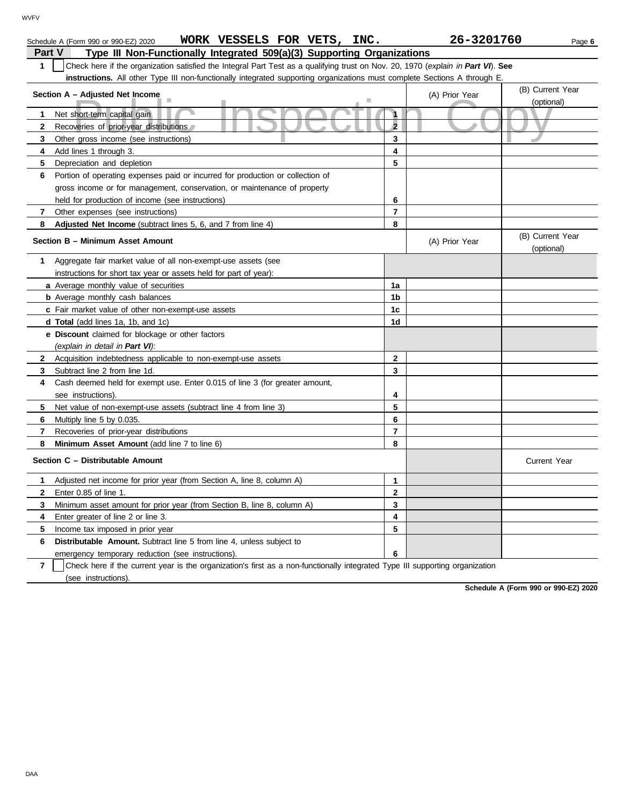|               | WORK VESSELS FOR VETS, INC.<br>Schedule A (Form 990 or 990-EZ) 2020                                                              |                | 26-3201760     | Page 6                         |
|---------------|----------------------------------------------------------------------------------------------------------------------------------|----------------|----------------|--------------------------------|
| <b>Part V</b> | Type III Non-Functionally Integrated 509(a)(3) Supporting Organizations                                                          |                |                |                                |
| $\mathbf{1}$  | Check here if the organization satisfied the Integral Part Test as a qualifying trust on Nov. 20, 1970 (explain in Part VI). See |                |                |                                |
|               | instructions. All other Type III non-functionally integrated supporting organizations must complete Sections A through E.        |                |                |                                |
|               |                                                                                                                                  |                |                | (B) Current Year               |
|               | Section A - Adjusted Net Income                                                                                                  |                | (A) Prior Year | (optional)                     |
| 1             | Net short-term capital gain                                                                                                      | $\mathbf{1}$   |                |                                |
| $\mathbf{2}$  | Recoveries of prior-year distributions                                                                                           | $\overline{2}$ |                |                                |
| 3             | Other gross income (see instructions)                                                                                            | 3              |                |                                |
| 4             | Add lines 1 through 3.                                                                                                           | 4              |                |                                |
| 5             | Depreciation and depletion                                                                                                       | 5              |                |                                |
| 6             | Portion of operating expenses paid or incurred for production or collection of                                                   |                |                |                                |
|               | gross income or for management, conservation, or maintenance of property                                                         |                |                |                                |
|               | held for production of income (see instructions)                                                                                 | 6              |                |                                |
| 7             | Other expenses (see instructions)                                                                                                | $\overline{7}$ |                |                                |
| 8             | Adjusted Net Income (subtract lines 5, 6, and 7 from line 4)                                                                     | 8              |                |                                |
|               | Section B - Minimum Asset Amount                                                                                                 |                | (A) Prior Year | (B) Current Year<br>(optional) |
| 1             | Aggregate fair market value of all non-exempt-use assets (see                                                                    |                |                |                                |
|               | instructions for short tax year or assets held for part of year):                                                                |                |                |                                |
|               | a Average monthly value of securities                                                                                            | 1a             |                |                                |
|               | <b>b</b> Average monthly cash balances                                                                                           | 1b             |                |                                |
|               | c Fair market value of other non-exempt-use assets                                                                               | 1 <sub>c</sub> |                |                                |
|               | d Total (add lines 1a, 1b, and 1c)                                                                                               | 1d             |                |                                |
|               | e Discount claimed for blockage or other factors                                                                                 |                |                |                                |
|               | (explain in detail in Part VI):                                                                                                  |                |                |                                |
| $\mathbf{2}$  | Acquisition indebtedness applicable to non-exempt-use assets                                                                     | $\overline{2}$ |                |                                |
| 3             | Subtract line 2 from line 1d.                                                                                                    | 3              |                |                                |
| 4             | Cash deemed held for exempt use. Enter 0.015 of line 3 (for greater amount,                                                      |                |                |                                |
|               | see instructions).                                                                                                               | 4              |                |                                |
| 5             | Net value of non-exempt-use assets (subtract line 4 from line 3)                                                                 | 5              |                |                                |
| 6             | Multiply line 5 by 0.035.                                                                                                        | 6              |                |                                |
| 7             | Recoveries of prior-year distributions                                                                                           | 7              |                |                                |
| 8             | Minimum Asset Amount (add line 7 to line 6)                                                                                      | 8              |                |                                |
|               | Section C - Distributable Amount                                                                                                 |                |                | <b>Current Year</b>            |
| 1             | Adjusted net income for prior year (from Section A, line 8, column A)                                                            | $\mathbf 1$    |                |                                |
| $\mathbf{2}$  | Enter 0.85 of line 1.                                                                                                            | $\mathbf{2}$   |                |                                |
| 3             | Minimum asset amount for prior year (from Section B, line 8, column A)                                                           | 3              |                |                                |
| 4             | Enter greater of line 2 or line 3.                                                                                               | 4              |                |                                |
| 5             | Income tax imposed in prior year                                                                                                 | 5              |                |                                |
| 6             | <b>Distributable Amount.</b> Subtract line 5 from line 4, unless subject to                                                      |                |                |                                |
|               | emergency temporary reduction (see instructions).                                                                                | 6              |                |                                |

**7** | Check here if the current year is the organization's first as a non-functionally integrated Type III supporting organization (see instructions).

**Schedule A (Form 990 or 990-EZ) 2020**

DAA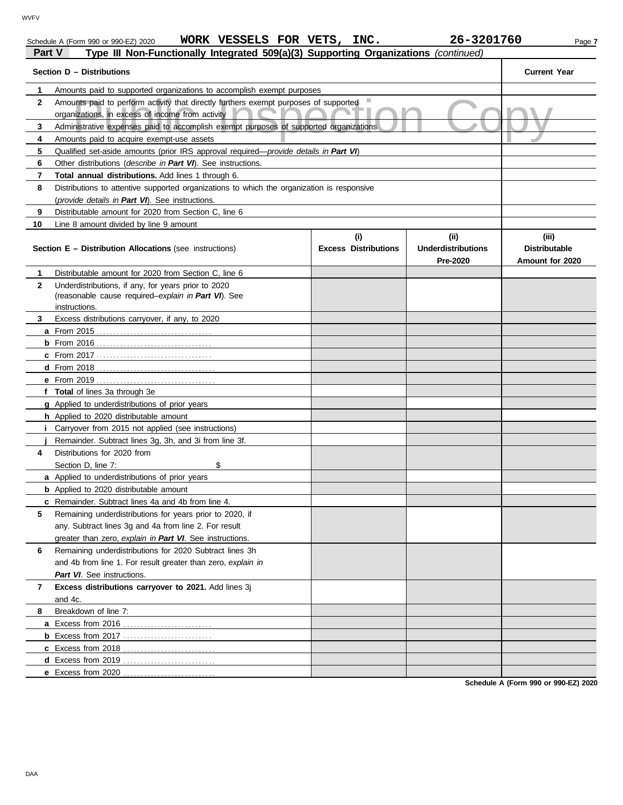| <b>NVFV</b>  |                                                                                                      |                     |
|--------------|------------------------------------------------------------------------------------------------------|---------------------|
|              | 26-3201760<br>WORK VESSELS FOR VETS, INC.<br>Schedule A (Form 990 or 990-EZ) 2020                    | Page 7              |
|              | <b>Part V</b><br>Type III Non-Functionally Integrated 509(a)(3) Supporting Organizations (continued) |                     |
|              | Section D - Distributions                                                                            | <b>Current Year</b> |
|              | Amounts paid to supported organizations to accomplish exempt purposes                                |                     |
| $\mathbf{2}$ | Amounts paid to perform activity that directly furthers exempt purposes of supported                 |                     |
|              | organizations, in excess of income from activity                                                     |                     |
| 3            | Administrative expenses paid to accomplish exempt purposes of supported organizations                |                     |
|              | Amounts paid to acquire exempt-use assets                                                            |                     |
| 5            | Qualified set-aside amounts (prior IRS approval required— <i>provide details in Part VI</i> )        |                     |
| 6            | Other distributions ( <i>describe in Part VI</i> ). See instructions.                                |                     |
|              | Total annual distributions. Add lines 1 through 6.                                                   |                     |
| 8            | Distributions to attentive supported organizations to which the organization is responsive           |                     |
|              | (provide details in Part VI). See instructions.                                                      |                     |
| 9            | Distributable amount for 2020 from Section C, line 6                                                 |                     |
| 10           | Line 8 amount divided by line 9 amount                                                               |                     |

| 10           | Line 8 amount divided by line 9 amount                       |                                    |                                                       |                                                  |
|--------------|--------------------------------------------------------------|------------------------------------|-------------------------------------------------------|--------------------------------------------------|
|              | Section E - Distribution Allocations (see instructions)      | (i)<br><b>Excess Distributions</b> | (iii)<br><b>Underdistributions</b><br><b>Pre-2020</b> | (iii)<br><b>Distributable</b><br>Amount for 2020 |
| $\mathbf{1}$ | Distributable amount for 2020 from Section C, line 6         |                                    |                                                       |                                                  |
| $\mathbf{2}$ | Underdistributions, if any, for years prior to 2020          |                                    |                                                       |                                                  |
|              | (reasonable cause required-explain in Part VI). See          |                                    |                                                       |                                                  |
|              | instructions.                                                |                                    |                                                       |                                                  |
| 3            | Excess distributions carryover, if any, to 2020              |                                    |                                                       |                                                  |
|              |                                                              |                                    |                                                       |                                                  |
|              |                                                              |                                    |                                                       |                                                  |
|              |                                                              |                                    |                                                       |                                                  |
|              |                                                              |                                    |                                                       |                                                  |
|              |                                                              |                                    |                                                       |                                                  |
|              | f Total of lines 3a through 3e                               |                                    |                                                       |                                                  |
|              | g Applied to underdistributions of prior years               |                                    |                                                       |                                                  |
|              | h Applied to 2020 distributable amount                       |                                    |                                                       |                                                  |
|              | <i>i</i> Carryover from 2015 not applied (see instructions)  |                                    |                                                       |                                                  |
|              | Remainder. Subtract lines 3g, 3h, and 3i from line 3f.       |                                    |                                                       |                                                  |
| 4            | Distributions for 2020 from                                  |                                    |                                                       |                                                  |
|              | Section D, line 7:<br>\$                                     |                                    |                                                       |                                                  |
|              | a Applied to underdistributions of prior years               |                                    |                                                       |                                                  |
|              | <b>b</b> Applied to 2020 distributable amount                |                                    |                                                       |                                                  |
|              | c Remainder. Subtract lines 4a and 4b from line 4.           |                                    |                                                       |                                                  |
| 5            | Remaining underdistributions for years prior to 2020, if     |                                    |                                                       |                                                  |
|              | any. Subtract lines 3g and 4a from line 2. For result        |                                    |                                                       |                                                  |
|              | greater than zero, explain in Part VI. See instructions.     |                                    |                                                       |                                                  |
| 6            | Remaining underdistributions for 2020 Subtract lines 3h      |                                    |                                                       |                                                  |
|              | and 4b from line 1. For result greater than zero, explain in |                                    |                                                       |                                                  |
|              | Part VI. See instructions.                                   |                                    |                                                       |                                                  |
| 7            | Excess distributions carryover to 2021. Add lines 3j         |                                    |                                                       |                                                  |
|              | and 4c.                                                      |                                    |                                                       |                                                  |
| 8            | Breakdown of line 7:                                         |                                    |                                                       |                                                  |
|              | a Excess from 2016                                           |                                    |                                                       |                                                  |
|              | <b>b</b> Excess from 2017                                    |                                    |                                                       |                                                  |
|              | c Excess from 2018                                           |                                    |                                                       |                                                  |
|              | <b>d</b> Excess from 2019                                    |                                    |                                                       |                                                  |
|              | e Excess from 2020                                           |                                    |                                                       |                                                  |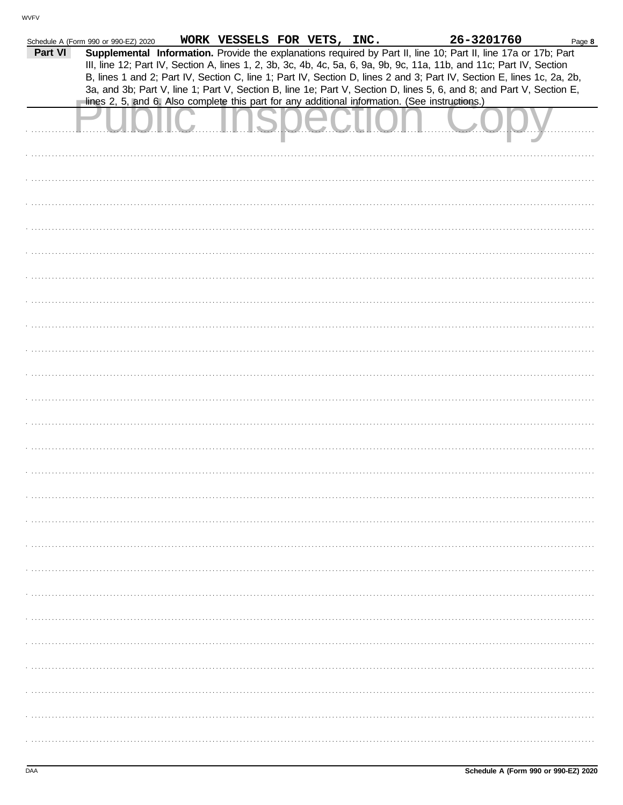|         | Schedule A (Form 990 or 990-EZ) 2020                                                           | WORK VESSELS FOR VETS, INC. |  |  | 26-3201760                                                                                                             | Page 8 |
|---------|------------------------------------------------------------------------------------------------|-----------------------------|--|--|------------------------------------------------------------------------------------------------------------------------|--------|
| Part VI |                                                                                                |                             |  |  | Supplemental Information. Provide the explanations required by Part II, line 10; Part II, line 17a or 17b; Part        |        |
|         |                                                                                                |                             |  |  | III, line 12; Part IV, Section A, lines 1, 2, 3b, 3c, 4b, 4c, 5a, 6, 9a, 9b, 9c, 11a, 11b, and 11c; Part IV, Section   |        |
|         |                                                                                                |                             |  |  | B, lines 1 and 2; Part IV, Section C, line 1; Part IV, Section D, lines 2 and 3; Part IV, Section E, lines 1c, 2a, 2b, |        |
|         |                                                                                                |                             |  |  | 3a, and 3b; Part V, line 1; Part V, Section B, line 1e; Part V, Section D, lines 5, 6, and 8; and Part V, Section E,   |        |
|         | lines 2, 5, and 6. Also complete this part for any additional information. (See instructions.) |                             |  |  |                                                                                                                        |        |
|         |                                                                                                |                             |  |  |                                                                                                                        |        |
|         |                                                                                                |                             |  |  |                                                                                                                        |        |
|         |                                                                                                |                             |  |  |                                                                                                                        |        |
|         |                                                                                                |                             |  |  |                                                                                                                        |        |
|         |                                                                                                |                             |  |  |                                                                                                                        |        |
|         |                                                                                                |                             |  |  |                                                                                                                        |        |
|         |                                                                                                |                             |  |  |                                                                                                                        |        |
|         |                                                                                                |                             |  |  |                                                                                                                        |        |
|         |                                                                                                |                             |  |  |                                                                                                                        |        |
|         |                                                                                                |                             |  |  |                                                                                                                        |        |
|         |                                                                                                |                             |  |  |                                                                                                                        |        |
|         |                                                                                                |                             |  |  |                                                                                                                        |        |
|         |                                                                                                |                             |  |  |                                                                                                                        |        |
|         |                                                                                                |                             |  |  |                                                                                                                        |        |
|         |                                                                                                |                             |  |  |                                                                                                                        |        |
|         |                                                                                                |                             |  |  |                                                                                                                        |        |
|         |                                                                                                |                             |  |  |                                                                                                                        |        |
|         |                                                                                                |                             |  |  |                                                                                                                        |        |
|         |                                                                                                |                             |  |  |                                                                                                                        |        |
|         |                                                                                                |                             |  |  |                                                                                                                        |        |
|         |                                                                                                |                             |  |  |                                                                                                                        |        |
|         |                                                                                                |                             |  |  |                                                                                                                        |        |
|         |                                                                                                |                             |  |  |                                                                                                                        |        |
|         |                                                                                                |                             |  |  |                                                                                                                        |        |
|         |                                                                                                |                             |  |  |                                                                                                                        |        |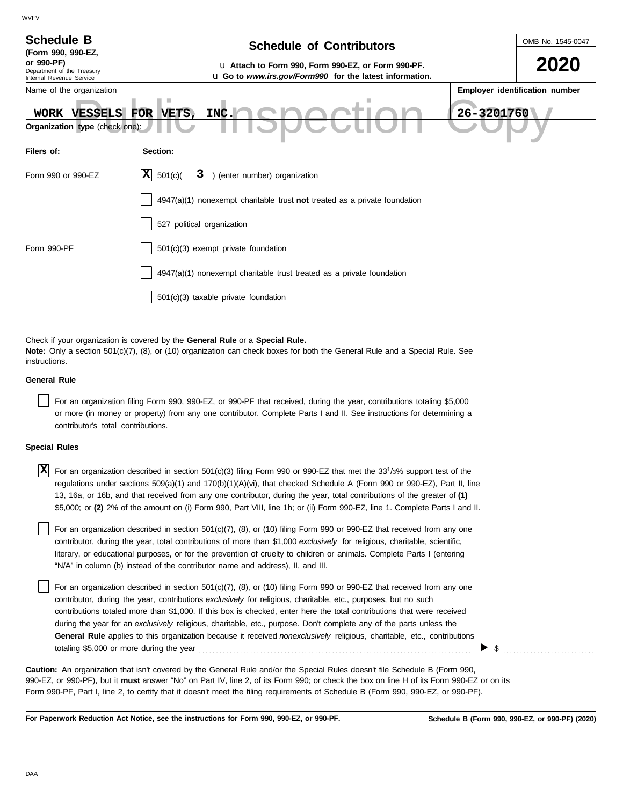| <b>Schedule B</b><br>(Form 990, 990-EZ,<br>or 990-PF)<br>Department of the Treasury<br>Internal Revenue Service<br>Name of the organization<br>WORK VESSELS FOR VETS,<br>Organization type (check one):                         | <b>Schedule of Contributors</b><br>u Attach to Form 990, Form 990-EZ, or Form 990-PF.<br>u Go to www.irs.gov/Form990 for the latest information.<br>Employer identification number<br>26-3201760<br><b>INC</b>                                                                      | OMB No. 1545-0047 |  |  |  |  |  |
|---------------------------------------------------------------------------------------------------------------------------------------------------------------------------------------------------------------------------------|-------------------------------------------------------------------------------------------------------------------------------------------------------------------------------------------------------------------------------------------------------------------------------------|-------------------|--|--|--|--|--|
| Filers of:                                                                                                                                                                                                                      | Section:                                                                                                                                                                                                                                                                            |                   |  |  |  |  |  |
| Form 990 or 990-EZ                                                                                                                                                                                                              | IXI<br>3 ) (enter number) organization<br>501(c)                                                                                                                                                                                                                                    |                   |  |  |  |  |  |
|                                                                                                                                                                                                                                 | 4947(a)(1) nonexempt charitable trust not treated as a private foundation                                                                                                                                                                                                           |                   |  |  |  |  |  |
|                                                                                                                                                                                                                                 | 527 political organization                                                                                                                                                                                                                                                          |                   |  |  |  |  |  |
| Form 990-PF                                                                                                                                                                                                                     | 501(c)(3) exempt private foundation                                                                                                                                                                                                                                                 |                   |  |  |  |  |  |
|                                                                                                                                                                                                                                 | 4947(a)(1) nonexempt charitable trust treated as a private foundation                                                                                                                                                                                                               |                   |  |  |  |  |  |
|                                                                                                                                                                                                                                 | 501(c)(3) taxable private foundation                                                                                                                                                                                                                                                |                   |  |  |  |  |  |
|                                                                                                                                                                                                                                 |                                                                                                                                                                                                                                                                                     |                   |  |  |  |  |  |
| Check if your organization is covered by the General Rule or a Special Rule.<br>Note: Only a section $501(c)(7)$ , (8), or (10) organization can check boxes for both the General Rule and a Special Rule. See<br>instructions. |                                                                                                                                                                                                                                                                                     |                   |  |  |  |  |  |
| <b>General Rule</b>                                                                                                                                                                                                             |                                                                                                                                                                                                                                                                                     |                   |  |  |  |  |  |
|                                                                                                                                                                                                                                 | For an organization filing Form 990, 990-EZ, or 990-PF that received, during the year, contributions totaling \$5,000<br>or more (in money or property) from any one contributor. Complete Parts I and II. See instructions for determining a<br>contributor's total contributions. |                   |  |  |  |  |  |
| Special Rules                                                                                                                                                                                                                   |                                                                                                                                                                                                                                                                                     |                   |  |  |  |  |  |

#### **Special Rules**

| <b>X</b> For an organization described in section 501(c)(3) filing Form 990 or 990-EZ that met the 33 <sup>1</sup> /3% support test of the |
|--------------------------------------------------------------------------------------------------------------------------------------------|
| regulations under sections 509(a)(1) and 170(b)(1)(A)(vi), that checked Schedule A (Form 990 or 990-EZ), Part II, line                     |
| 13, 16a, or 16b, and that received from any one contributor, during the year, total contributions of the greater of (1)                    |
| \$5,000; or (2) 2% of the amount on (i) Form 990, Part VIII, line 1h; or (ii) Form 990-EZ, line 1. Complete Parts I and II.                |

literary, or educational purposes, or for the prevention of cruelty to children or animals. Complete Parts I (entering For an organization described in section 501(c)(7), (8), or (10) filing Form 990 or 990-EZ that received from any one contributor, during the year, total contributions of more than \$1,000 *exclusively* for religious, charitable, scientific, "N/A" in column (b) instead of the contributor name and address), II, and III.

For an organization described in section 501(c)(7), (8), or (10) filing Form 990 or 990-EZ that received from any one contributor, during the year, contributions *exclusively* for religious, charitable, etc., purposes, but no such contributions totaled more than \$1,000. If this box is checked, enter here the total contributions that were received during the year for an *exclusively* religious, charitable, etc., purpose. Don't complete any of the parts unless the **General Rule** applies to this organization because it received *nonexclusively* religious, charitable, etc., contributions totaling \$5,000 or more during the year . . . . . . . . . . . . . . . . . . . . . . . . . . . . . . . . . . . . . . . . . . . . . . . . . . . . . . . . . . . . . . . . . . . . . . . . . . . . . . . .

990-EZ, or 990-PF), but it **must** answer "No" on Part IV, line 2, of its Form 990; or check the box on line H of its Form 990-EZ or on its Form 990-PF, Part I, line 2, to certify that it doesn't meet the filing requirements of Schedule B (Form 990, 990-EZ, or 990-PF). **Caution:** An organization that isn't covered by the General Rule and/or the Special Rules doesn't file Schedule B (Form 990,

**For Paperwork Reduction Act Notice, see the instructions for Form 990, 990-EZ, or 990-PF.**

 $\triangleright$  \$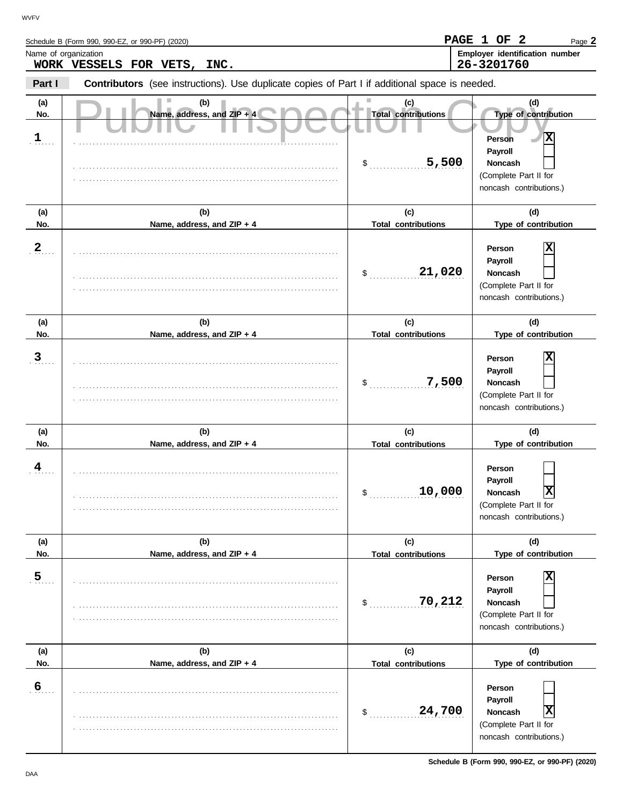Schedule B (Form 990, 990-EZ, or 990-PF) (2020)

| Name of organization       | WORK VESSELS FOR VETS, INC.                                                                    |                                                             | Employer identification number<br>26-3201760                                                                                 |
|----------------------------|------------------------------------------------------------------------------------------------|-------------------------------------------------------------|------------------------------------------------------------------------------------------------------------------------------|
| Part I                     | Contributors (see instructions). Use duplicate copies of Part I if additional space is needed. |                                                             |                                                                                                                              |
| (a)<br>No.<br>$\mathbf{1}$ | (b)<br>Name, address, and ZIP + 4                                                              | (c)<br><b>Total contributions</b><br>5,500<br>$\frac{1}{2}$ | (d)<br>Type of contribution<br>ΙX<br><b>Person</b><br>Payroll<br>Noncash<br>(Complete Part II for<br>noncash contributions.) |
| (a)<br>No.                 | (b)<br>Name, address, and ZIP + 4                                                              | (c)<br><b>Total contributions</b>                           | (d)<br>Type of contribution                                                                                                  |
| $\overline{2}$             |                                                                                                | 21,020<br>\$                                                | X<br>Person<br>Payroll<br>Noncash<br>(Complete Part II for<br>noncash contributions.)                                        |
| (a)<br>No.                 | (b)<br>Name, address, and ZIP + 4                                                              | (c)<br><b>Total contributions</b>                           | (d)<br>Type of contribution                                                                                                  |
| $\overline{3}$             |                                                                                                | 7,500<br>\$                                                 | X<br>Person<br>Payroll<br>Noncash<br>(Complete Part II for<br>noncash contributions.)                                        |
| (a)<br>No.                 | (b)<br>Name, address, and ZIP + 4                                                              | (c)<br><b>Total contributions</b>                           | (d)<br>Type of contribution                                                                                                  |
| 4                          |                                                                                                | 10,000<br>\$                                                | Person<br>Payroll<br>х<br>Noncash<br>(Complete Part II for<br>noncash contributions.)                                        |
| (a)<br>No.                 | (b)<br>Name, address, and ZIP + 4                                                              | (c)<br><b>Total contributions</b>                           | (d)<br>Type of contribution                                                                                                  |
| $\overline{5}$             |                                                                                                | 70,212<br>\$                                                | X<br>Person<br>Payroll<br>Noncash<br>(Complete Part II for<br>noncash contributions.)                                        |
| (a)<br>No.                 | (b)<br>Name, address, and ZIP + 4                                                              | (c)                                                         | (d)<br>Type of contribution                                                                                                  |
| 6                          |                                                                                                | <b>Total contributions</b><br>24,700<br>\$                  | Person<br>Payroll<br>X<br><b>Noncash</b><br>(Complete Part II for<br>noncash contributions.)                                 |

Page **2**

**PAGE 1 OF 2**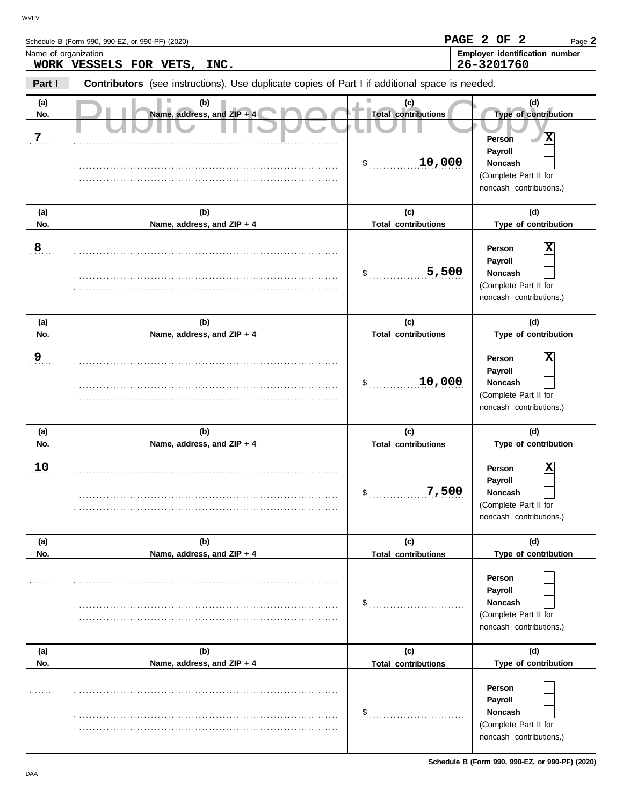|                      | Schedule B (Form 990, 990-EZ, or 990-PF) (2020)                                                |                                                      | PAGE 2 OF 2<br>Page 2                                                                                                |
|----------------------|------------------------------------------------------------------------------------------------|------------------------------------------------------|----------------------------------------------------------------------------------------------------------------------|
| Name of organization | WORK VESSELS FOR VETS, INC.                                                                    |                                                      | Employer identification number<br>26-3201760                                                                         |
| Part I               | Contributors (see instructions). Use duplicate copies of Part I if additional space is needed. |                                                      |                                                                                                                      |
| (a)<br>No.<br>7      | (b)<br>Name, address, and ZIP + 4                                                              | (c)<br><b>Total contributions</b><br>10,000<br>\$    | (d)<br>Type of contribution<br>X<br>Person<br>Payroll<br>Noncash<br>(Complete Part II for<br>noncash contributions.) |
| (a)                  | (b)                                                                                            | (c)                                                  | (d)                                                                                                                  |
| No.<br>8             | Name, address, and ZIP + 4                                                                     | <b>Total contributions</b><br>5,500<br>\$            | Type of contribution<br>Person<br>Payroll<br>Noncash<br>(Complete Part II for<br>noncash contributions.)             |
| (a)<br>No.           | (b)<br>Name, address, and ZIP + 4                                                              | (c)<br><b>Total contributions</b>                    | (d)<br>Type of contribution                                                                                          |
| 9                    |                                                                                                | 10,000<br>\$                                         | Person<br>Payroll<br>Noncash<br>(Complete Part II for<br>noncash contributions.)                                     |
| (a)                  | (b)                                                                                            | (c)                                                  | (d)                                                                                                                  |
| No.<br>10            | Name, address, and ZIP + 4                                                                     | <b>Total contributions</b><br>7,500<br>$\mathsf{\$}$ | Type of contribution<br>Person<br>Payroll<br><b>Noncash</b><br>(Complete Part II for<br>noncash contributions.)      |
| (a)<br>No.           | (b)<br>Name, address, and ZIP + 4                                                              | (c)                                                  | (d)<br>Type of contribution                                                                                          |
|                      |                                                                                                | <b>Total contributions</b><br>$\mathsf{S}$           | Person<br>Payroll<br>Noncash<br>(Complete Part II for<br>noncash contributions.)                                     |
| (a)<br>No.           | (b)<br>Name, address, and ZIP + 4                                                              | (c)<br><b>Total contributions</b>                    | (d)<br>Type of contribution                                                                                          |
| .                    |                                                                                                | \$                                                   | Person<br>Payroll<br>Noncash                                                                                         |

. . . . . . . . . . . . . . . . . . . . . . . . . . . . . . . . . . . . . . . . . . . . . . . . . . . . . . . . . . . . . . . . . . . . . . . . . . . . .

**Schedule B (Form 990, 990-EZ, or 990-PF) (2020)**

(Complete Part II for noncash contributions.)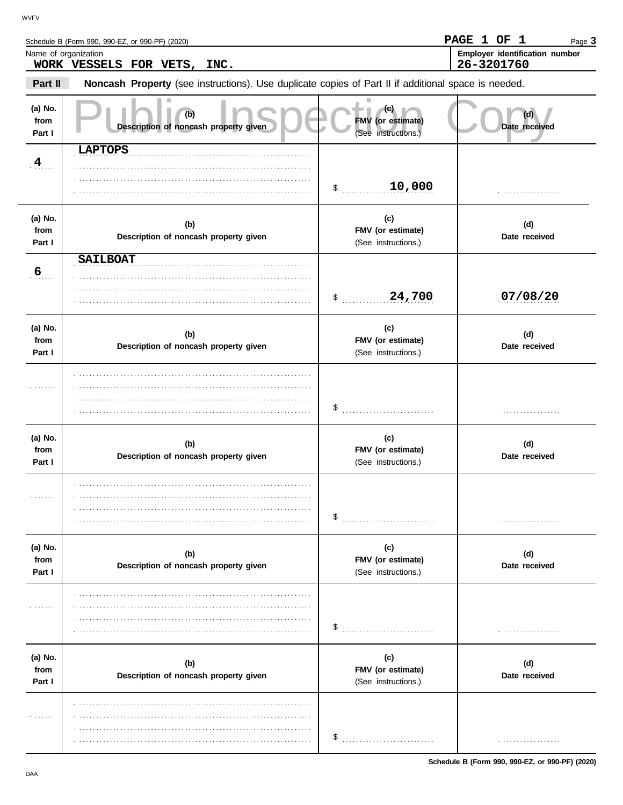|                           | Schedule B (Form 990, 990-EZ, or 990-PF) (2020)                                                     |                                                 | PAGE 1 OF 1<br>Page 3                        |
|---------------------------|-----------------------------------------------------------------------------------------------------|-------------------------------------------------|----------------------------------------------|
|                           | Name of organization<br>WORK VESSELS FOR VETS, INC.                                                 |                                                 | Employer identification number<br>26-3201760 |
| Part II                   | Noncash Property (see instructions). Use duplicate copies of Part II if additional space is needed. |                                                 |                                              |
| (a) No.<br>from<br>Part I | (b)<br>Description of noncash property given                                                        | (C)<br>FMV (or estimate)<br>(See instructions.) | Date received                                |
| $\overline{\mathbf{4}}$   | <b>LAPTOPS</b>                                                                                      | 10,000<br>$\updownarrow$                        |                                              |
|                           |                                                                                                     |                                                 | .                                            |
| (a) No.<br>from<br>Part I | (b)<br>Description of noncash property given                                                        | (c)<br>FMV (or estimate)<br>(See instructions.) | (d)<br>Date received                         |
|                           | <b>SAILBOAT</b>                                                                                     |                                                 |                                              |
| 6                         |                                                                                                     | 24,700<br>$\frac{1}{2}$                         | 07/08/20                                     |
| (a) No.<br>from<br>Part I | (b)<br>Description of noncash property given                                                        | (c)<br>FMV (or estimate)<br>(See instructions.) | (d)<br>Date received                         |
| .                         |                                                                                                     | \$                                              |                                              |
| (a) No.<br>from<br>Part I | (b)<br>Description of noncash property given                                                        | (c)<br>FMV (or estimate)<br>(See instructions.) | (d)<br>Date received                         |
| .                         |                                                                                                     | \$                                              |                                              |
| (a) No.<br>from<br>Part I | (b)<br>Description of noncash property given                                                        | (c)<br>FMV (or estimate)<br>(See instructions.) | (d)<br>Date received                         |
| .                         |                                                                                                     | \$                                              |                                              |
| (a) No.<br>from<br>Part I | (b)<br>Description of noncash property given                                                        | (c)<br>FMV (or estimate)<br>(See instructions.) | (d)<br>Date received                         |
| .                         |                                                                                                     | \$                                              |                                              |

Schedule B (Form 990, 990-EZ, or 990-PF) (2020)

PAGE 1 OF 1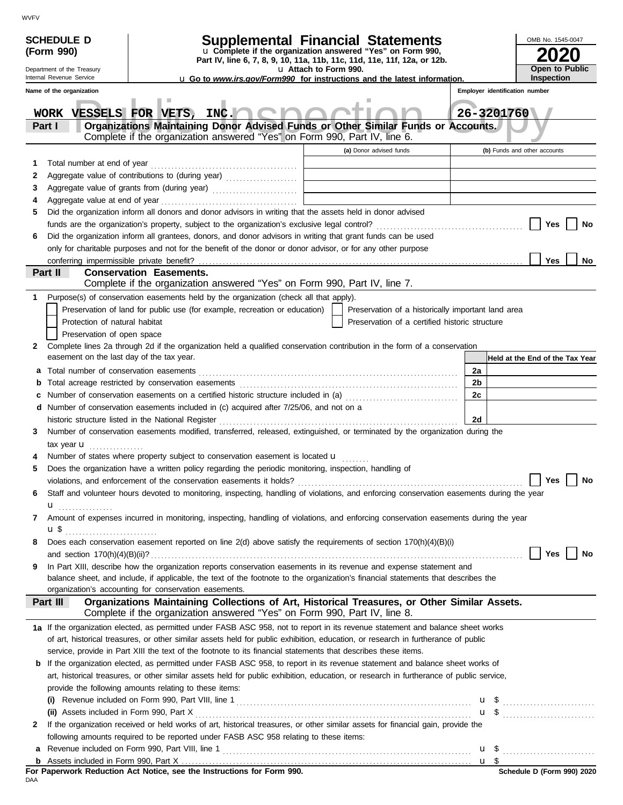|     | <b>SCHEDULE D</b>                                                                                          | Supplemental Financial Statements                                                                                                                                                                                                                                    |  |            | OMB No. 1545-0047               |  |  |
|-----|------------------------------------------------------------------------------------------------------------|----------------------------------------------------------------------------------------------------------------------------------------------------------------------------------------------------------------------------------------------------------------------|--|------------|---------------------------------|--|--|
|     | (Form 990)                                                                                                 | u Complete if the organization answered "Yes" on Form 990,                                                                                                                                                                                                           |  |            |                                 |  |  |
|     | Department of the Treasury                                                                                 | Part IV, line 6, 7, 8, 9, 10, 11a, 11b, 11c, 11d, 11e, 11f, 12a, or 12b.<br>u Attach to Form 990.                                                                                                                                                                    |  |            |                                 |  |  |
|     | Internal Revenue Service                                                                                   | <b>u</b> Go to <i>www.irs.gov/Form990</i> for instructions and the latest information.                                                                                                                                                                               |  |            | <b>Inspection</b>               |  |  |
|     | Name of the organization                                                                                   |                                                                                                                                                                                                                                                                      |  |            | Employer identification number  |  |  |
|     |                                                                                                            | WORK VESSELS FOR VETS, INC.                                                                                                                                                                                                                                          |  | 26-3201760 |                                 |  |  |
|     | Part I                                                                                                     | Organizations Maintaining Donor Advised Funds or Other Similar Funds or Accounts.<br>Complete if the organization answered "Yes" on Form 990, Part IV, line 6.                                                                                                       |  |            |                                 |  |  |
|     |                                                                                                            | (a) Donor advised funds                                                                                                                                                                                                                                              |  |            | (b) Funds and other accounts    |  |  |
| 1   |                                                                                                            |                                                                                                                                                                                                                                                                      |  |            |                                 |  |  |
| 2   |                                                                                                            |                                                                                                                                                                                                                                                                      |  |            |                                 |  |  |
| 3   |                                                                                                            |                                                                                                                                                                                                                                                                      |  |            |                                 |  |  |
| 4   | Aggregate value at end of year                                                                             |                                                                                                                                                                                                                                                                      |  |            |                                 |  |  |
| 5   | Did the organization inform all donors and donor advisors in writing that the assets held in donor advised |                                                                                                                                                                                                                                                                      |  |            |                                 |  |  |
|     |                                                                                                            |                                                                                                                                                                                                                                                                      |  |            | Yes<br>No                       |  |  |
| 6   |                                                                                                            | Did the organization inform all grantees, donors, and donor advisors in writing that grant funds can be used                                                                                                                                                         |  |            |                                 |  |  |
|     |                                                                                                            | only for charitable purposes and not for the benefit of the donor or donor advisor, or for any other purpose                                                                                                                                                         |  |            |                                 |  |  |
|     | Part II                                                                                                    | <b>Conservation Easements.</b>                                                                                                                                                                                                                                       |  |            | <b>Yes</b><br>No                |  |  |
|     |                                                                                                            | Complete if the organization answered "Yes" on Form 990, Part IV, line 7.                                                                                                                                                                                            |  |            |                                 |  |  |
| 1   |                                                                                                            | Purpose(s) of conservation easements held by the organization (check all that apply).                                                                                                                                                                                |  |            |                                 |  |  |
|     |                                                                                                            | Preservation of land for public use (for example, recreation or education)<br>Preservation of a historically important land area                                                                                                                                     |  |            |                                 |  |  |
|     | Protection of natural habitat                                                                              | Preservation of a certified historic structure                                                                                                                                                                                                                       |  |            |                                 |  |  |
|     | Preservation of open space                                                                                 |                                                                                                                                                                                                                                                                      |  |            |                                 |  |  |
| 2   |                                                                                                            | Complete lines 2a through 2d if the organization held a qualified conservation contribution in the form of a conservation                                                                                                                                            |  |            |                                 |  |  |
|     | easement on the last day of the tax year.                                                                  |                                                                                                                                                                                                                                                                      |  |            | Held at the End of the Tax Year |  |  |
| a   |                                                                                                            |                                                                                                                                                                                                                                                                      |  | 2a         |                                 |  |  |
| b   |                                                                                                            |                                                                                                                                                                                                                                                                      |  | 2b         |                                 |  |  |
| c   |                                                                                                            | Number of conservation easements on a certified historic structure included in (a) [11] Number of conservation easements on a certified historic structure included in (a)                                                                                           |  | 2c         |                                 |  |  |
|     |                                                                                                            | d Number of conservation easements included in (c) acquired after 7/25/06, and not on a<br>historic structure listed in the National Register                                                                                                                        |  | 2d         |                                 |  |  |
| 3   |                                                                                                            | Number of conservation easements modified, transferred, released, extinguished, or terminated by the organization during the                                                                                                                                         |  |            |                                 |  |  |
|     | tax year $\mathbf{u}$                                                                                      |                                                                                                                                                                                                                                                                      |  |            |                                 |  |  |
|     |                                                                                                            | Number of states where property subject to conservation easement is located u                                                                                                                                                                                        |  |            |                                 |  |  |
| 5   |                                                                                                            | Does the organization have a written policy regarding the periodic monitoring, inspection, handling of                                                                                                                                                               |  |            |                                 |  |  |
|     |                                                                                                            | violations, and enforcement of the conservation easements it holds? $\Box$ Yes $\Box$ No                                                                                                                                                                             |  |            |                                 |  |  |
| 6   |                                                                                                            | Staff and volunteer hours devoted to monitoring, inspecting, handling of violations, and enforcing conservation easements during the year                                                                                                                            |  |            |                                 |  |  |
|     |                                                                                                            |                                                                                                                                                                                                                                                                      |  |            |                                 |  |  |
| 7   |                                                                                                            | Amount of expenses incurred in monitoring, inspecting, handling of violations, and enforcing conservation easements during the year                                                                                                                                  |  |            |                                 |  |  |
|     | <b>u</b> \$                                                                                                |                                                                                                                                                                                                                                                                      |  |            |                                 |  |  |
| 8   |                                                                                                            | Does each conservation easement reported on line 2(d) above satisfy the requirements of section 170(h)(4)(B)(i)                                                                                                                                                      |  |            | Yes<br>No                       |  |  |
| 9   |                                                                                                            | In Part XIII, describe how the organization reports conservation easements in its revenue and expense statement and                                                                                                                                                  |  |            |                                 |  |  |
|     |                                                                                                            | balance sheet, and include, if applicable, the text of the footnote to the organization's financial statements that describes the                                                                                                                                    |  |            |                                 |  |  |
|     |                                                                                                            | organization's accounting for conservation easements.                                                                                                                                                                                                                |  |            |                                 |  |  |
|     | Part III                                                                                                   | Organizations Maintaining Collections of Art, Historical Treasures, or Other Similar Assets.<br>Complete if the organization answered "Yes" on Form 990, Part IV, line 8.                                                                                            |  |            |                                 |  |  |
|     |                                                                                                            |                                                                                                                                                                                                                                                                      |  |            |                                 |  |  |
|     |                                                                                                            | 1a If the organization elected, as permitted under FASB ASC 958, not to report in its revenue statement and balance sheet works<br>of art, historical treasures, or other similar assets held for public exhibition, education, or research in furtherance of public |  |            |                                 |  |  |
|     |                                                                                                            | service, provide in Part XIII the text of the footnote to its financial statements that describes these items.                                                                                                                                                       |  |            |                                 |  |  |
|     |                                                                                                            | <b>b</b> If the organization elected, as permitted under FASB ASC 958, to report in its revenue statement and balance sheet works of                                                                                                                                 |  |            |                                 |  |  |
|     |                                                                                                            | art, historical treasures, or other similar assets held for public exhibition, education, or research in furtherance of public service,                                                                                                                              |  |            |                                 |  |  |
|     |                                                                                                            | provide the following amounts relating to these items:                                                                                                                                                                                                               |  |            |                                 |  |  |
|     |                                                                                                            |                                                                                                                                                                                                                                                                      |  |            | $\mathbf{u}$ \$                 |  |  |
|     |                                                                                                            |                                                                                                                                                                                                                                                                      |  |            |                                 |  |  |
| 2   |                                                                                                            | If the organization received or held works of art, historical treasures, or other similar assets for financial gain, provide the                                                                                                                                     |  |            |                                 |  |  |
|     |                                                                                                            | following amounts required to be reported under FASB ASC 958 relating to these items:                                                                                                                                                                                |  |            |                                 |  |  |
| a   |                                                                                                            |                                                                                                                                                                                                                                                                      |  | u \$       |                                 |  |  |
|     |                                                                                                            | For Paperwork Reduction Act Notice, see the Instructions for Form 990.                                                                                                                                                                                               |  |            | Schedule D (Form 990) 2020      |  |  |
| DAA |                                                                                                            |                                                                                                                                                                                                                                                                      |  |            |                                 |  |  |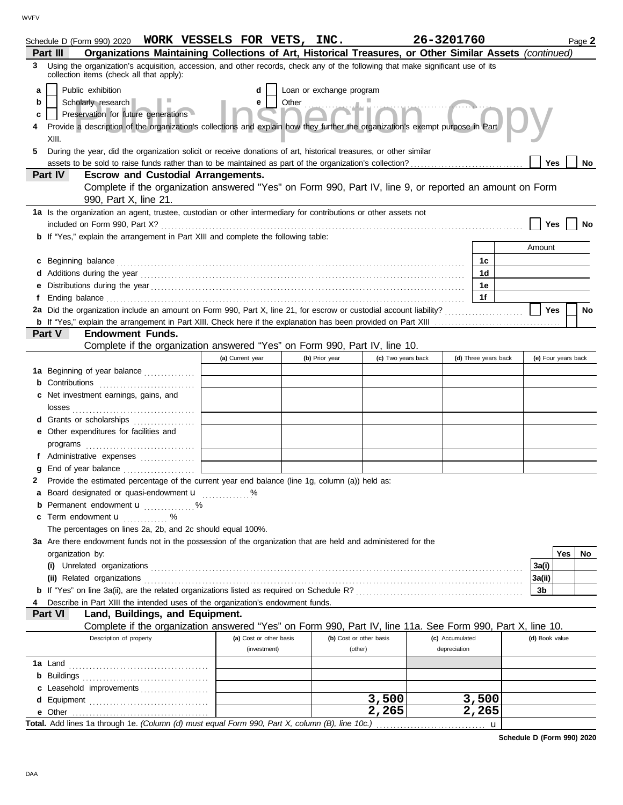|        | Schedule D (Form 990) 2020 WORK VESSELS FOR VETS, INC.<br>Organizations Maintaining Collections of Art, Historical Treasures, or Other Similar Assets (continued)<br>Part III                                                        |                         |                          |                    | 26-3201760          |                      |                 | Page 2              |    |
|--------|--------------------------------------------------------------------------------------------------------------------------------------------------------------------------------------------------------------------------------------|-------------------------|--------------------------|--------------------|---------------------|----------------------|-----------------|---------------------|----|
| 3      | Using the organization's acquisition, accession, and other records, check any of the following that make significant use of its                                                                                                      |                         |                          |                    |                     |                      |                 |                     |    |
|        | collection items (check all that apply):                                                                                                                                                                                             |                         |                          |                    |                     |                      |                 |                     |    |
| a      | Public exhibition                                                                                                                                                                                                                    | d                       | Loan or exchange program |                    |                     |                      |                 |                     |    |
| b      | Scholarly research                                                                                                                                                                                                                   | е                       | Other $\frac{1}{2}$      |                    | $\overline{\Omega}$ |                      |                 |                     |    |
| c<br>4 | Preservation for future generations<br>Provide a description of the organization's collections and explain how they further the organization's exempt purpose in Part                                                                |                         |                          |                    |                     |                      |                 |                     |    |
|        | XIII.                                                                                                                                                                                                                                |                         |                          |                    |                     |                      |                 |                     |    |
| 5      | During the year, did the organization solicit or receive donations of art, historical treasures, or other similar                                                                                                                    |                         |                          |                    |                     |                      |                 |                     |    |
|        |                                                                                                                                                                                                                                      |                         |                          |                    |                     |                      | <b>Yes</b>      |                     | No |
|        | Part IV<br><b>Escrow and Custodial Arrangements.</b>                                                                                                                                                                                 |                         |                          |                    |                     |                      |                 |                     |    |
|        | Complete if the organization answered "Yes" on Form 990, Part IV, line 9, or reported an amount on Form                                                                                                                              |                         |                          |                    |                     |                      |                 |                     |    |
|        | 990, Part X, line 21.<br>1a Is the organization an agent, trustee, custodian or other intermediary for contributions or other assets not                                                                                             |                         |                          |                    |                     |                      |                 |                     |    |
|        |                                                                                                                                                                                                                                      |                         |                          |                    |                     |                      | Yes             |                     |    |
|        | <b>b</b> If "Yes," explain the arrangement in Part XIII and complete the following table:                                                                                                                                            |                         |                          |                    |                     |                      |                 |                     |    |
|        |                                                                                                                                                                                                                                      |                         |                          |                    |                     |                      | Amount          |                     |    |
|        | c Beginning balance <b>contract to the contract of the contract of the contract of the contract of the contract of the contract of the contract of the contract of the contract of the contract of the contract of the contract </b> |                         |                          |                    |                     | 1c                   |                 |                     |    |
|        |                                                                                                                                                                                                                                      |                         |                          |                    |                     | 1d                   |                 |                     |    |
|        |                                                                                                                                                                                                                                      |                         |                          |                    |                     | 1е                   |                 |                     |    |
| f      | 2a Did the organization include an amount on Form 990, Part X, line 21, for escrow or custodial account liability?                                                                                                                   |                         |                          |                    |                     | 1f                   | <b>Yes</b>      |                     | No |
|        |                                                                                                                                                                                                                                      |                         |                          |                    |                     |                      |                 |                     |    |
|        | <b>Endowment Funds.</b><br>Part V                                                                                                                                                                                                    |                         |                          |                    |                     |                      |                 |                     |    |
|        | Complete if the organization answered "Yes" on Form 990, Part IV, line 10.                                                                                                                                                           |                         |                          |                    |                     |                      |                 |                     |    |
|        |                                                                                                                                                                                                                                      | (a) Current year        | (b) Prior year           | (c) Two years back |                     | (d) Three years back |                 | (e) Four years back |    |
|        | 1a Beginning of year balance                                                                                                                                                                                                         |                         |                          |                    |                     |                      |                 |                     |    |
|        | <b>b</b> Contributions <b>contributions</b><br>c Net investment earnings, gains, and                                                                                                                                                 |                         |                          |                    |                     |                      |                 |                     |    |
|        |                                                                                                                                                                                                                                      |                         |                          |                    |                     |                      |                 |                     |    |
|        | d Grants or scholarships                                                                                                                                                                                                             |                         |                          |                    |                     |                      |                 |                     |    |
|        | e Other expenditures for facilities and                                                                                                                                                                                              |                         |                          |                    |                     |                      |                 |                     |    |
|        |                                                                                                                                                                                                                                      |                         |                          |                    |                     |                      |                 |                     |    |
|        | f Administrative expenses                                                                                                                                                                                                            |                         |                          |                    |                     |                      |                 |                     |    |
| g      |                                                                                                                                                                                                                                      |                         |                          |                    |                     |                      |                 |                     |    |
|        | 2 Provide the estimated percentage of the current year end balance (line 1g, column (a)) held as:<br>a Board designated or quasi-endowment u                                                                                         | %                       |                          |                    |                     |                      |                 |                     |    |
|        | Permanent endowment <b>u</b> %                                                                                                                                                                                                       |                         |                          |                    |                     |                      |                 |                     |    |
|        | c Term endowment <b>u</b> %                                                                                                                                                                                                          |                         |                          |                    |                     |                      |                 |                     |    |
|        | The percentages on lines 2a, 2b, and 2c should equal 100%.                                                                                                                                                                           |                         |                          |                    |                     |                      |                 |                     |    |
|        | 3a Are there endowment funds not in the possession of the organization that are held and administered for the                                                                                                                        |                         |                          |                    |                     |                      |                 |                     |    |
|        | organization by:                                                                                                                                                                                                                     |                         |                          |                    |                     |                      |                 | Yes                 | No |
|        |                                                                                                                                                                                                                                      |                         |                          |                    |                     |                      | 3a(i)<br>3a(ii) |                     |    |
|        |                                                                                                                                                                                                                                      |                         |                          |                    |                     |                      | 3b              |                     |    |
|        | Describe in Part XIII the intended uses of the organization's endowment funds.                                                                                                                                                       |                         |                          |                    |                     |                      |                 |                     |    |
|        | Part VI<br>Land, Buildings, and Equipment.                                                                                                                                                                                           |                         |                          |                    |                     |                      |                 |                     |    |
|        | Complete if the organization answered "Yes" on Form 990, Part IV, line 11a. See Form 990, Part X, line 10.                                                                                                                           |                         |                          |                    |                     |                      |                 |                     |    |
|        | Description of property                                                                                                                                                                                                              | (a) Cost or other basis | (b) Cost or other basis  |                    | (c) Accumulated     |                      | (d) Book value  |                     |    |
|        |                                                                                                                                                                                                                                      | (investment)            | (other)                  |                    | depreciation        |                      |                 |                     |    |
|        |                                                                                                                                                                                                                                      |                         |                          |                    |                     |                      |                 |                     |    |
|        | c Leasehold improvements                                                                                                                                                                                                             |                         |                          |                    |                     |                      |                 |                     |    |
|        |                                                                                                                                                                                                                                      |                         |                          | 3,500              |                     | 3,500                |                 |                     |    |
|        |                                                                                                                                                                                                                                      |                         |                          | 2,265              |                     | 2,265                |                 |                     |    |
|        | Total. Add lines 1a through 1e. (Column (d) must equal Form 990, Part X, column (B), line 10c.)                                                                                                                                      |                         |                          |                    |                     | u                    |                 |                     |    |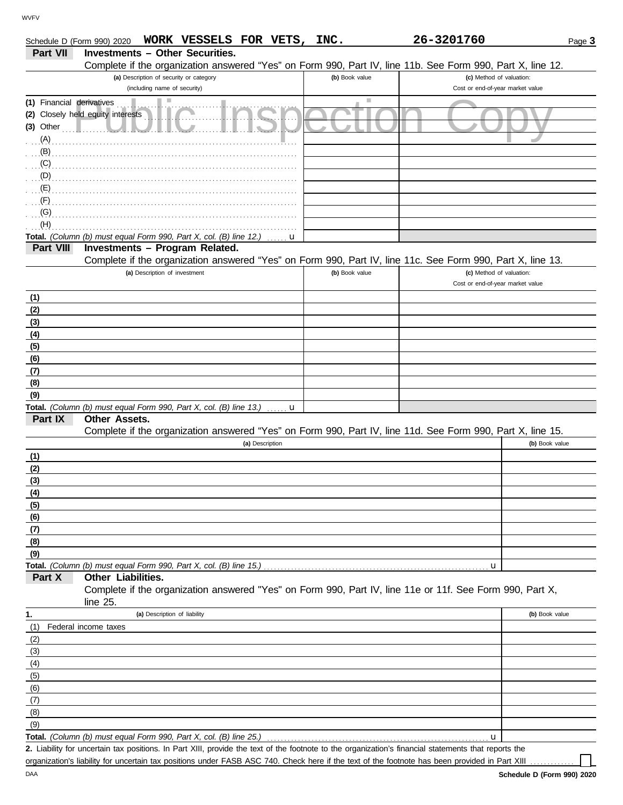DAA

| Schedule D (Form 990) 2020 | WORK VESSELS FOR VETS, INC.                                                                                |                | 26-3201760                       | Page 3         |
|----------------------------|------------------------------------------------------------------------------------------------------------|----------------|----------------------------------|----------------|
| Part VII                   | <b>Investments - Other Securities.</b>                                                                     |                |                                  |                |
|                            | Complete if the organization answered "Yes" on Form 990, Part IV, line 11b. See Form 990, Part X, line 12. |                |                                  |                |
|                            | (a) Description of security or category                                                                    | (b) Book value | (c) Method of valuation:         |                |
|                            | (including name of security)                                                                               |                | Cost or end-of-year market value |                |
| (1) Financial derivatives  |                                                                                                            | ш              |                                  |                |
|                            | (2) Closely held equity interests                                                                          |                |                                  |                |
| $(3)$ Other                |                                                                                                            |                |                                  |                |
| (A)                        |                                                                                                            |                |                                  |                |
| (B)                        |                                                                                                            |                |                                  |                |
| (C)                        |                                                                                                            |                |                                  |                |
| (D)                        |                                                                                                            |                |                                  |                |
| (E)<br>(F)                 |                                                                                                            |                |                                  |                |
| (G)                        |                                                                                                            |                |                                  |                |
| (H)                        |                                                                                                            |                |                                  |                |
|                            | Total. (Column (b) must equal Form 990, Part X, col. (B) line 12.)<br>u                                    |                |                                  |                |
| Part VIII                  | Investments - Program Related.                                                                             |                |                                  |                |
|                            | Complete if the organization answered "Yes" on Form 990, Part IV, line 11c. See Form 990, Part X, line 13. |                |                                  |                |
|                            | (a) Description of investment                                                                              | (b) Book value | (c) Method of valuation:         |                |
|                            |                                                                                                            |                | Cost or end-of-year market value |                |
| (1)                        |                                                                                                            |                |                                  |                |
| (2)                        |                                                                                                            |                |                                  |                |
| (3)                        |                                                                                                            |                |                                  |                |
| (4)                        |                                                                                                            |                |                                  |                |
| (5)                        |                                                                                                            |                |                                  |                |
| (6)                        |                                                                                                            |                |                                  |                |
| (7)                        |                                                                                                            |                |                                  |                |
| (8)                        |                                                                                                            |                |                                  |                |
| (9)                        | Total. (Column (b) must equal Form 990, Part X, col. (B) line 13.)                                         |                |                                  |                |
| Part IX                    | u<br>Other Assets.                                                                                         |                |                                  |                |
|                            | Complete if the organization answered "Yes" on Form 990, Part IV, line 11d. See Form 990, Part X, line 15. |                |                                  |                |
|                            | (a) Description                                                                                            |                |                                  | (b) Book value |
| (1)                        |                                                                                                            |                |                                  |                |
| (2)                        |                                                                                                            |                |                                  |                |
| (3)                        |                                                                                                            |                |                                  |                |
| <u>(4)</u>                 |                                                                                                            |                |                                  |                |
| (5)                        |                                                                                                            |                |                                  |                |
| (6)                        |                                                                                                            |                |                                  |                |
| (7)                        |                                                                                                            |                |                                  |                |
| (8)                        |                                                                                                            |                |                                  |                |
| (9)                        |                                                                                                            |                |                                  |                |
| Part X                     | Total. (Column (b) must equal Form 990, Part X, col. (B) line 15.).<br>Other Liabilities.                  |                | u                                |                |
|                            | Complete if the organization answered "Yes" on Form 990, Part IV, line 11e or 11f. See Form 990, Part X,   |                |                                  |                |
|                            | line 25.                                                                                                   |                |                                  |                |
| 1.                         | (a) Description of liability                                                                               |                |                                  | (b) Book value |
| (1)                        | Federal income taxes                                                                                       |                |                                  |                |
| (2)                        |                                                                                                            |                |                                  |                |
| (3)                        |                                                                                                            |                |                                  |                |
| (4)                        |                                                                                                            |                |                                  |                |
| (5)                        |                                                                                                            |                |                                  |                |
| (6)                        |                                                                                                            |                |                                  |                |
| (7)                        |                                                                                                            |                |                                  |                |
| (8)                        |                                                                                                            |                |                                  |                |
| (9)                        |                                                                                                            |                |                                  |                |
|                            | <b>Total.</b> (Column (b) must equal Form 990, Part X, col. (B) line 25.)                                  |                | u                                |                |

Liability for uncertain tax positions. In Part XIII, provide the text of the footnote to the organization's financial statements that reports the **2.** organization's liability for uncertain tax positions under FASB ASC 740. Check here if the text of the footnote has been provided in Part XIII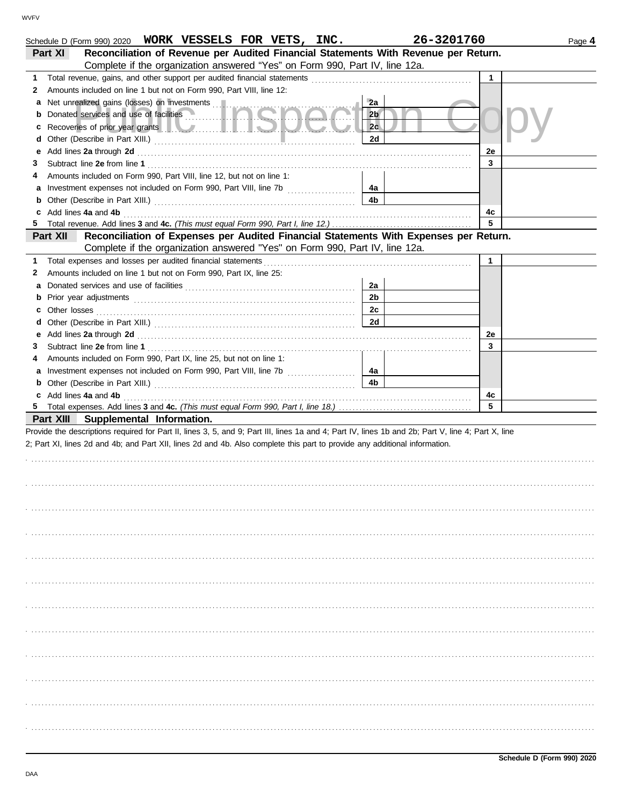|   | Schedule D (Form 990) 2020 WORK VESSELS FOR VETS, INC.                                                                                                                                                                                   | 26-3201760     |    | Page 4 |
|---|------------------------------------------------------------------------------------------------------------------------------------------------------------------------------------------------------------------------------------------|----------------|----|--------|
|   | Reconciliation of Revenue per Audited Financial Statements With Revenue per Return.<br>Part XI                                                                                                                                           |                |    |        |
|   | Complete if the organization answered "Yes" on Form 990, Part IV, line 12a.                                                                                                                                                              |                |    |        |
| 1 | Total revenue, gains, and other support per audited financial statements                                                                                                                                                                 |                | 1  |        |
| 2 | Amounts included on line 1 but not on Form 990, Part VIII, line 12:                                                                                                                                                                      |                |    |        |
| а | Net unrealized gains (losses) on investments                                                                                                                                                                                             | 2a             |    |        |
|   | Donated services and use of facilities                                                                                                                                                                                                   | 2 <sub>b</sub> |    |        |
| c | Recoveries of prior year grants <b>the contract of the contract of prior</b>                                                                                                                                                             | 2c             |    |        |
| d |                                                                                                                                                                                                                                          | 2d             |    |        |
| е |                                                                                                                                                                                                                                          |                | 2e |        |
| 3 |                                                                                                                                                                                                                                          |                | 3  |        |
|   | Amounts included on Form 990, Part VIII, line 12, but not on line 1:                                                                                                                                                                     |                |    |        |
|   |                                                                                                                                                                                                                                          | 4a             |    |        |
|   | <b>b</b> Other (Describe in Part XIII.) <b>CONSIDENT DESCRIPTION DESCRIPTION DESCRIPTION DESCRIPTION DESCRIPTION DESCRIPTION DESCRIPTION DESCRIPTION DESCRIPTION DESCRIPTION DESCRIPTION DESCRIPTION DESCRI</b>                          | 4b             |    |        |
|   | c Add lines 4a and 4b                                                                                                                                                                                                                    |                | 4c |        |
|   |                                                                                                                                                                                                                                          |                | 5  |        |
|   | Reconciliation of Expenses per Audited Financial Statements With Expenses per Return.<br>Part XII                                                                                                                                        |                |    |        |
|   | Complete if the organization answered "Yes" on Form 990, Part IV, line 12a.                                                                                                                                                              |                |    |        |
| 1 | Total expenses and losses per audited financial statements                                                                                                                                                                               |                | 1  |        |
| 2 | Amounts included on line 1 but not on Form 990, Part IX, line 25:                                                                                                                                                                        |                |    |        |
| а |                                                                                                                                                                                                                                          | 2a             |    |        |
| b |                                                                                                                                                                                                                                          | 2 <sub>b</sub> |    |        |
|   |                                                                                                                                                                                                                                          | 2c             |    |        |
| d |                                                                                                                                                                                                                                          | 2d             |    |        |
| е |                                                                                                                                                                                                                                          |                | 2e |        |
| 3 |                                                                                                                                                                                                                                          |                | 3  |        |
|   | Amounts included on Form 990, Part IX, line 25, but not on line 1:                                                                                                                                                                       |                |    |        |
|   | a Investment expenses not included on Form 990, Part VIII, line 7b [100] [100] [100] [100] [100] [100] [100] [100] [100] [100] [100] [100] [100] [100] [100] [100] [100] [100] [100] [100] [100] [100] [100] [100] [100] [100]           | 4a             |    |        |
|   | <b>b</b> Other (Describe in Part XIII.) <b>CONSIDENT</b> 2014 12:2010 12:2010 12:2010 12:2010 12:2010 12:2010 12:2010 12:2010 12:2010 12:2010 12:2010 12:2010 12:2010 12:2010 12:2010 12:2010 12:2010 12:2010 12:2010 12:2010 12:2010 12 | 4b             |    |        |
|   | c Add lines 4a and 4b                                                                                                                                                                                                                    |                | 4c |        |
|   |                                                                                                                                                                                                                                          |                | 5  |        |
|   | Part XIII Supplemental Information.                                                                                                                                                                                                      |                |    |        |
|   | Provide the descriptions required for Part II, lines 3, 5, and 9; Part III, lines 1a and 4; Part IV, lines 1b and 2b; Part V, line 4; Part X, line                                                                                       |                |    |        |
|   | 2; Part XI, lines 2d and 4b; and Part XII, lines 2d and 4b. Also complete this part to provide any additional information.                                                                                                               |                |    |        |
|   |                                                                                                                                                                                                                                          |                |    |        |
|   |                                                                                                                                                                                                                                          |                |    |        |
|   |                                                                                                                                                                                                                                          |                |    |        |
|   |                                                                                                                                                                                                                                          |                |    |        |
|   |                                                                                                                                                                                                                                          |                |    |        |
|   |                                                                                                                                                                                                                                          |                |    |        |
|   |                                                                                                                                                                                                                                          |                |    |        |
|   |                                                                                                                                                                                                                                          |                |    |        |
|   |                                                                                                                                                                                                                                          |                |    |        |
|   |                                                                                                                                                                                                                                          |                |    |        |
|   |                                                                                                                                                                                                                                          |                |    |        |
|   |                                                                                                                                                                                                                                          |                |    |        |
|   |                                                                                                                                                                                                                                          |                |    |        |
|   |                                                                                                                                                                                                                                          |                |    |        |
|   |                                                                                                                                                                                                                                          |                |    |        |
|   |                                                                                                                                                                                                                                          |                |    |        |
|   |                                                                                                                                                                                                                                          |                |    |        |
|   |                                                                                                                                                                                                                                          |                |    |        |
|   |                                                                                                                                                                                                                                          |                |    |        |
|   |                                                                                                                                                                                                                                          |                |    |        |
|   |                                                                                                                                                                                                                                          |                |    |        |
|   |                                                                                                                                                                                                                                          |                |    |        |
|   |                                                                                                                                                                                                                                          |                |    |        |
|   |                                                                                                                                                                                                                                          |                |    |        |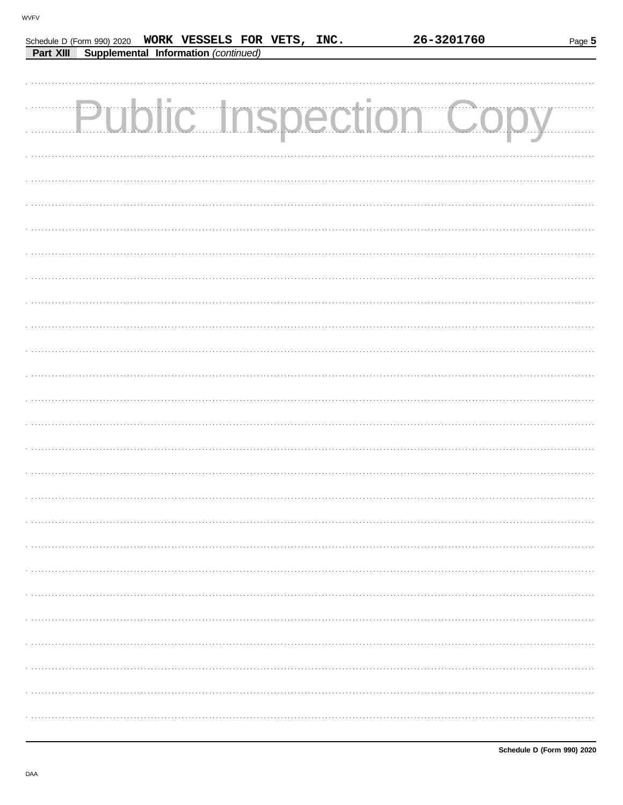| Schedule D (Form 990) 2020 WORK VESSELS FOR VETS, INC. |  | 26-3201760 | Page 5 |
|--------------------------------------------------------|--|------------|--------|
| Part XIII Supplemental Information (continued)         |  |            |        |
|                                                        |  |            |        |
|                                                        |  |            |        |
| Public Inspection Copy                                 |  |            |        |
|                                                        |  |            |        |
|                                                        |  |            |        |
|                                                        |  |            |        |
|                                                        |  |            |        |
|                                                        |  |            |        |
|                                                        |  |            |        |
|                                                        |  |            |        |
|                                                        |  |            |        |
|                                                        |  |            |        |
|                                                        |  |            |        |
|                                                        |  |            |        |
|                                                        |  |            |        |
|                                                        |  |            |        |
|                                                        |  |            |        |
|                                                        |  |            |        |
|                                                        |  |            |        |
|                                                        |  |            |        |
|                                                        |  |            |        |
|                                                        |  |            |        |
|                                                        |  |            |        |
|                                                        |  |            |        |
|                                                        |  |            |        |
|                                                        |  |            |        |
|                                                        |  |            |        |
|                                                        |  |            |        |
|                                                        |  |            |        |
|                                                        |  |            |        |
|                                                        |  |            |        |
|                                                        |  |            |        |
|                                                        |  |            |        |
|                                                        |  |            |        |
|                                                        |  |            |        |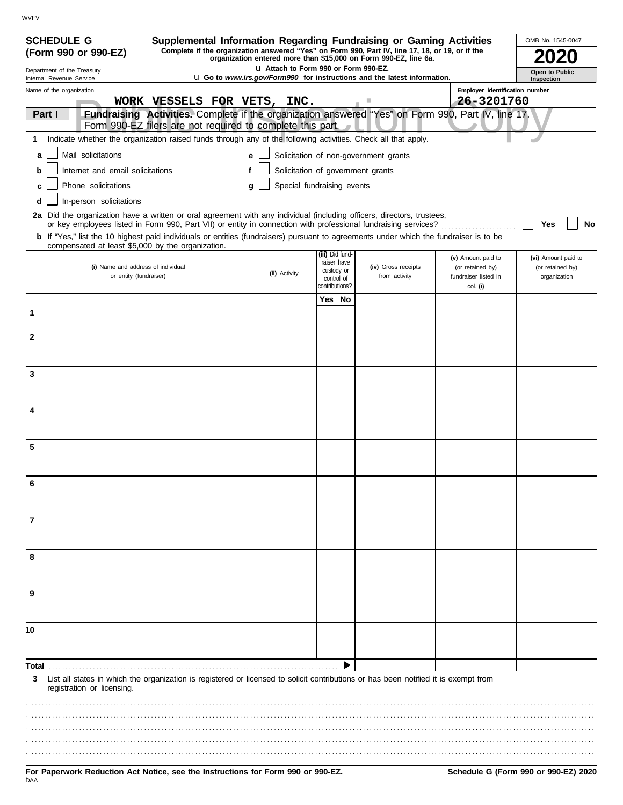| <b>SCHEDULE G</b><br>Supplemental Information Regarding Fundraising or Gaming Activities<br>Complete if the organization answered "Yes" on Form 990, Part IV, line 17, 18, or 19, or if the                                                                    |                                       |                                |    |                                                                                 |                                        | OMB No. 1545-0047                       |
|----------------------------------------------------------------------------------------------------------------------------------------------------------------------------------------------------------------------------------------------------------------|---------------------------------------|--------------------------------|----|---------------------------------------------------------------------------------|----------------------------------------|-----------------------------------------|
| (Form 990 or 990-EZ)                                                                                                                                                                                                                                           |                                       |                                |    | organization entered more than \$15,000 on Form 990-EZ, line 6a.                |                                        |                                         |
| Department of the Treasury<br>Internal Revenue Service                                                                                                                                                                                                         | L1 Attach to Form 990 or Form 990-EZ. |                                |    | <b>u</b> Go to www.irs.gov/Form990 for instructions and the latest information. |                                        | Open to Public<br>Inspection            |
| Name of the organization                                                                                                                                                                                                                                       |                                       |                                |    |                                                                                 | Employer identification number         |                                         |
| WORK VESSELS FOR VETS, INC.<br>Fundraising Activities. Complete if the organization answered "Yes" on Form 990, Part IV, line 17.<br>Part I                                                                                                                    |                                       |                                |    |                                                                                 | 26-3201760                             |                                         |
| Form 990-EZ filers are not required to complete this part.                                                                                                                                                                                                     |                                       |                                |    |                                                                                 |                                        |                                         |
| Indicate whether the organization raised funds through any of the following activities. Check all that apply.<br>1.                                                                                                                                            |                                       |                                |    |                                                                                 |                                        |                                         |
| Mail solicitations<br>a                                                                                                                                                                                                                                        | е                                     |                                |    | Solicitation of non-government grants                                           |                                        |                                         |
| Internet and email solicitations                                                                                                                                                                                                                               |                                       |                                |    | Solicitation of government grants                                               |                                        |                                         |
| Phone solicitations<br>c                                                                                                                                                                                                                                       | Special fundraising events<br>g       |                                |    |                                                                                 |                                        |                                         |
| In-person solicitations<br>d                                                                                                                                                                                                                                   |                                       |                                |    |                                                                                 |                                        |                                         |
| 2a Did the organization have a written or oral agreement with any individual (including officers, directors, trustees,                                                                                                                                         |                                       |                                |    |                                                                                 |                                        |                                         |
| or key employees listed in Form 990, Part VII) or entity in connection with professional fundraising services?<br><b>b</b> If "Yes," list the 10 highest paid individuals or entities (fundraisers) pursuant to agreements under which the fundraiser is to be |                                       |                                |    |                                                                                 |                                        | Yes<br>No                               |
| compensated at least \$5,000 by the organization.                                                                                                                                                                                                              |                                       |                                |    |                                                                                 |                                        |                                         |
| (i) Name and address of individual                                                                                                                                                                                                                             |                                       | (iii) Did fund-<br>raiser have |    | (iv) Gross receipts                                                             | (v) Amount paid to<br>(or retained by) | (vi) Amount paid to<br>(or retained by) |
| or entity (fundraiser)                                                                                                                                                                                                                                         | (ii) Activity                         | custody or<br>control of       |    | from activity                                                                   | fundraiser listed in                   | organization                            |
|                                                                                                                                                                                                                                                                |                                       | contributions?<br>Yes          | No |                                                                                 | col. (i)                               |                                         |
| 1                                                                                                                                                                                                                                                              |                                       |                                |    |                                                                                 |                                        |                                         |
|                                                                                                                                                                                                                                                                |                                       |                                |    |                                                                                 |                                        |                                         |
| $\mathbf{2}$                                                                                                                                                                                                                                                   |                                       |                                |    |                                                                                 |                                        |                                         |
|                                                                                                                                                                                                                                                                |                                       |                                |    |                                                                                 |                                        |                                         |
| 3                                                                                                                                                                                                                                                              |                                       |                                |    |                                                                                 |                                        |                                         |
|                                                                                                                                                                                                                                                                |                                       |                                |    |                                                                                 |                                        |                                         |
|                                                                                                                                                                                                                                                                |                                       |                                |    |                                                                                 |                                        |                                         |
| 4                                                                                                                                                                                                                                                              |                                       |                                |    |                                                                                 |                                        |                                         |
|                                                                                                                                                                                                                                                                |                                       |                                |    |                                                                                 |                                        |                                         |
| 5                                                                                                                                                                                                                                                              |                                       |                                |    |                                                                                 |                                        |                                         |
|                                                                                                                                                                                                                                                                |                                       |                                |    |                                                                                 |                                        |                                         |
|                                                                                                                                                                                                                                                                |                                       |                                |    |                                                                                 |                                        |                                         |
|                                                                                                                                                                                                                                                                |                                       |                                |    |                                                                                 |                                        |                                         |
|                                                                                                                                                                                                                                                                |                                       |                                |    |                                                                                 |                                        |                                         |
| 7                                                                                                                                                                                                                                                              |                                       |                                |    |                                                                                 |                                        |                                         |
|                                                                                                                                                                                                                                                                |                                       |                                |    |                                                                                 |                                        |                                         |
| 8                                                                                                                                                                                                                                                              |                                       |                                |    |                                                                                 |                                        |                                         |
|                                                                                                                                                                                                                                                                |                                       |                                |    |                                                                                 |                                        |                                         |
|                                                                                                                                                                                                                                                                |                                       |                                |    |                                                                                 |                                        |                                         |
| 9                                                                                                                                                                                                                                                              |                                       |                                |    |                                                                                 |                                        |                                         |
|                                                                                                                                                                                                                                                                |                                       |                                |    |                                                                                 |                                        |                                         |
| 10                                                                                                                                                                                                                                                             |                                       |                                |    |                                                                                 |                                        |                                         |
|                                                                                                                                                                                                                                                                |                                       |                                |    |                                                                                 |                                        |                                         |
| Total                                                                                                                                                                                                                                                          |                                       |                                |    |                                                                                 |                                        |                                         |
| List all states in which the organization is registered or licensed to solicit contributions or has been notified it is exempt from<br>3                                                                                                                       |                                       |                                |    |                                                                                 |                                        |                                         |
| registration or licensing.                                                                                                                                                                                                                                     |                                       |                                |    |                                                                                 |                                        |                                         |
|                                                                                                                                                                                                                                                                |                                       |                                |    |                                                                                 |                                        |                                         |
|                                                                                                                                                                                                                                                                |                                       |                                |    |                                                                                 |                                        |                                         |
|                                                                                                                                                                                                                                                                |                                       |                                |    |                                                                                 |                                        |                                         |
|                                                                                                                                                                                                                                                                |                                       |                                |    |                                                                                 |                                        |                                         |
|                                                                                                                                                                                                                                                                |                                       |                                |    |                                                                                 |                                        |                                         |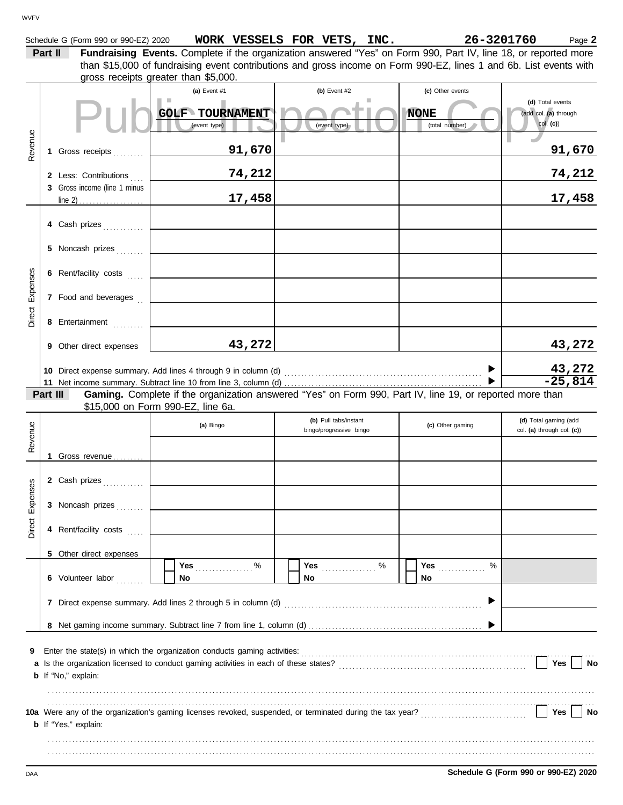# Schedule G (Form 990 or 990-EZ) 2020 **WORK VESSELS FOR VETS, INC. 26-3201760** Page 2 **Part II Fundraising Events.** Complete if the organization and Tennis<br>**Part II Fundraising Events**

| Part II | <b>Fundraising Events.</b> Complete if the organization answered "Yes" on Form 990, Part IV, line 18, or reported more |
|---------|------------------------------------------------------------------------------------------------------------------------|
|         | than \$15,000 of fundraising event contributions and gross income on Form 990-EZ, lines 1 and 6b. List events with     |
|         | gross receipts greater than \$5,000.                                                                                   |

| Revenue         |                                                                                                                                                                                                             | 1 Gross receipts<br>2 Less: Contributions<br>3 Gross income (line 1 minus | (a) Event $#1$<br><b>GOLF TOURNAMENT</b><br>(event type)<br>91,670<br>74,212                                                                  | (b) Event #2<br>(event type)                     | (c) Other events<br><b>NONE</b><br>(total number) | (d) Total events<br>(add col. (a) through<br>$col.$ (c))<br>91,670<br>74,212 |  |  |  |  |
|-----------------|-------------------------------------------------------------------------------------------------------------------------------------------------------------------------------------------------------------|---------------------------------------------------------------------------|-----------------------------------------------------------------------------------------------------------------------------------------------|--------------------------------------------------|---------------------------------------------------|------------------------------------------------------------------------------|--|--|--|--|
|                 |                                                                                                                                                                                                             |                                                                           | 17,458                                                                                                                                        |                                                  |                                                   | 17,458                                                                       |  |  |  |  |
|                 |                                                                                                                                                                                                             | 4 Cash prizes<br>5 Noncash prizes                                         |                                                                                                                                               |                                                  |                                                   |                                                                              |  |  |  |  |
|                 |                                                                                                                                                                                                             | 6 Rent/facility costs                                                     |                                                                                                                                               |                                                  |                                                   |                                                                              |  |  |  |  |
| Expenses        |                                                                                                                                                                                                             | 7 Food and beverages                                                      |                                                                                                                                               |                                                  |                                                   |                                                                              |  |  |  |  |
| Direct          |                                                                                                                                                                                                             | 8 Entertainment                                                           |                                                                                                                                               |                                                  |                                                   |                                                                              |  |  |  |  |
|                 |                                                                                                                                                                                                             | 9 Other direct expenses                                                   | 43,272                                                                                                                                        |                                                  |                                                   | 43,272                                                                       |  |  |  |  |
|                 |                                                                                                                                                                                                             |                                                                           |                                                                                                                                               |                                                  |                                                   |                                                                              |  |  |  |  |
|                 |                                                                                                                                                                                                             |                                                                           |                                                                                                                                               |                                                  |                                                   | $\frac{43,272}{-25,814}$                                                     |  |  |  |  |
|                 | Part III                                                                                                                                                                                                    |                                                                           | Gaming. Complete if the organization answered "Yes" on Form 990, Part IV, line 19, or reported more than<br>\$15,000 on Form 990-EZ, line 6a. |                                                  |                                                   |                                                                              |  |  |  |  |
| Revenue         |                                                                                                                                                                                                             |                                                                           | (a) Bingo                                                                                                                                     | (b) Pull tabs/instant<br>bingo/progressive bingo | (c) Other gaming                                  | (d) Total gaming (add<br>col. (a) through col. (c))                          |  |  |  |  |
|                 |                                                                                                                                                                                                             | 1 Gross revenue                                                           |                                                                                                                                               |                                                  |                                                   |                                                                              |  |  |  |  |
|                 |                                                                                                                                                                                                             | 2 Cash prizes                                                             |                                                                                                                                               |                                                  |                                                   |                                                                              |  |  |  |  |
| Direct Expenses |                                                                                                                                                                                                             | 3 Noncash prizes                                                          |                                                                                                                                               |                                                  |                                                   |                                                                              |  |  |  |  |
|                 |                                                                                                                                                                                                             | 4 Rent/facility costs                                                     |                                                                                                                                               |                                                  |                                                   |                                                                              |  |  |  |  |
|                 |                                                                                                                                                                                                             | 5 Other direct expenses                                                   |                                                                                                                                               |                                                  |                                                   |                                                                              |  |  |  |  |
|                 |                                                                                                                                                                                                             | 6 Volunteer labor                                                         | Yes $%$<br>No                                                                                                                                 | No                                               | %<br><b>Yes</b><br>No                             |                                                                              |  |  |  |  |
|                 |                                                                                                                                                                                                             |                                                                           | 7 Direct expense summary. Add lines 2 through 5 in column (d)                                                                                 |                                                  |                                                   |                                                                              |  |  |  |  |
|                 |                                                                                                                                                                                                             |                                                                           |                                                                                                                                               |                                                  |                                                   |                                                                              |  |  |  |  |
| 9               | Enter the state(s) in which the organization conducts gaming activities: [11] content content the state(s) in which the organization conducts gaming activities:<br>Yes<br>No<br><b>b</b> If "No," explain: |                                                                           |                                                                                                                                               |                                                  |                                                   |                                                                              |  |  |  |  |
|                 |                                                                                                                                                                                                             | <b>b</b> If "Yes," explain:                                               |                                                                                                                                               |                                                  |                                                   | Yes<br>No                                                                    |  |  |  |  |
|                 |                                                                                                                                                                                                             |                                                                           |                                                                                                                                               |                                                  |                                                   |                                                                              |  |  |  |  |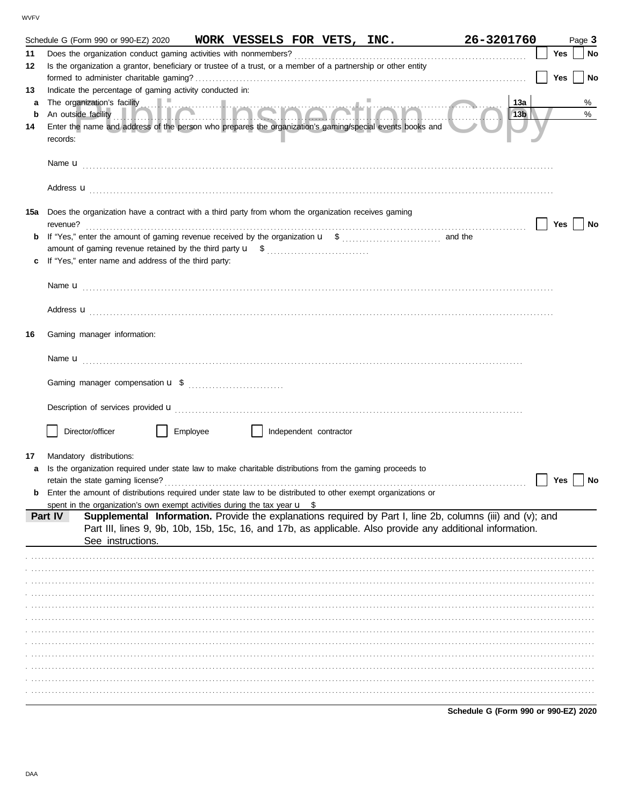|     | Schedule G (Form 990 or 990-EZ) 2020 |                   |                                                                                                                | WORK VESSELS FOR VETS, INC. |  | 26-3201760                                                                                                 |     | Page 3    |
|-----|--------------------------------------|-------------------|----------------------------------------------------------------------------------------------------------------|-----------------------------|--|------------------------------------------------------------------------------------------------------------|-----|-----------|
| 11  |                                      |                   | Does the organization conduct gaming activities with nonmembers?                                               |                             |  |                                                                                                            | Yes | No        |
| 12  |                                      |                   | Is the organization a grantor, beneficiary or trustee of a trust, or a member of a partnership or other entity |                             |  |                                                                                                            |     |           |
|     |                                      |                   |                                                                                                                |                             |  |                                                                                                            | Yes | $ $ No    |
| 13  |                                      |                   | Indicate the percentage of gaming activity conducted in:                                                       |                             |  |                                                                                                            |     |           |
| a   |                                      |                   |                                                                                                                |                             |  | 13a                                                                                                        |     | %         |
| b   |                                      |                   |                                                                                                                |                             |  | 13b                                                                                                        |     | $\%$      |
| 14  |                                      |                   | Enter the name and address of the person who prepares the organization's gaming/special events books and       |                             |  |                                                                                                            |     |           |
|     | records:                             |                   |                                                                                                                |                             |  |                                                                                                            |     |           |
|     |                                      |                   |                                                                                                                |                             |  |                                                                                                            |     |           |
|     |                                      |                   |                                                                                                                |                             |  |                                                                                                            |     |           |
|     |                                      |                   |                                                                                                                |                             |  | Name $\mathbf{u}$                                                                                          |     |           |
|     |                                      |                   |                                                                                                                |                             |  |                                                                                                            |     |           |
|     |                                      |                   |                                                                                                                |                             |  | Address <b>u</b>                                                                                           |     |           |
|     |                                      |                   |                                                                                                                |                             |  |                                                                                                            |     |           |
| 15a |                                      |                   | Does the organization have a contract with a third party from whom the organization receives gaming            |                             |  |                                                                                                            |     |           |
|     | revenue?                             |                   |                                                                                                                |                             |  |                                                                                                            | Yes | No        |
| b   |                                      |                   |                                                                                                                |                             |  |                                                                                                            |     |           |
|     |                                      |                   |                                                                                                                |                             |  |                                                                                                            |     |           |
|     |                                      |                   | If "Yes," enter name and address of the third party:                                                           |                             |  |                                                                                                            |     |           |
|     |                                      |                   |                                                                                                                |                             |  |                                                                                                            |     |           |
|     |                                      |                   |                                                                                                                |                             |  | Name $\mathbf{u}$                                                                                          |     |           |
|     |                                      |                   |                                                                                                                |                             |  |                                                                                                            |     |           |
|     |                                      |                   |                                                                                                                |                             |  | Address <b>u</b>                                                                                           |     |           |
|     |                                      |                   |                                                                                                                |                             |  |                                                                                                            |     |           |
| 16  | Gaming manager information:          |                   |                                                                                                                |                             |  |                                                                                                            |     |           |
|     |                                      |                   |                                                                                                                |                             |  |                                                                                                            |     |           |
|     |                                      |                   |                                                                                                                |                             |  |                                                                                                            |     |           |
|     |                                      |                   |                                                                                                                |                             |  |                                                                                                            |     |           |
|     |                                      |                   |                                                                                                                |                             |  |                                                                                                            |     |           |
|     |                                      |                   |                                                                                                                |                             |  |                                                                                                            |     |           |
|     |                                      |                   |                                                                                                                |                             |  |                                                                                                            |     |           |
|     |                                      |                   |                                                                                                                |                             |  |                                                                                                            |     |           |
|     | Director/officer                     |                   | Employee                                                                                                       | Independent contractor      |  |                                                                                                            |     |           |
|     |                                      |                   |                                                                                                                |                             |  |                                                                                                            |     |           |
| 17  | Mandatory distributions:             |                   |                                                                                                                |                             |  |                                                                                                            |     |           |
| a   |                                      |                   | Is the organization required under state law to make charitable distributions from the gaming proceeds to      |                             |  |                                                                                                            |     |           |
|     |                                      |                   |                                                                                                                |                             |  |                                                                                                            | Yes | <b>No</b> |
|     |                                      |                   | Enter the amount of distributions required under state law to be distributed to other exempt organizations or  |                             |  |                                                                                                            |     |           |
|     |                                      |                   | spent in the organization's own exempt activities during the tax year $\mathbf{u}$ \$                          |                             |  |                                                                                                            |     |           |
|     | Part IV                              |                   |                                                                                                                |                             |  | Supplemental Information. Provide the explanations required by Part I, line 2b, columns (iii) and (v); and |     |           |
|     |                                      |                   |                                                                                                                |                             |  | Part III, lines 9, 9b, 10b, 15b, 15c, 16, and 17b, as applicable. Also provide any additional information. |     |           |
|     |                                      | See instructions. |                                                                                                                |                             |  |                                                                                                            |     |           |
|     |                                      |                   |                                                                                                                |                             |  |                                                                                                            |     |           |
|     |                                      |                   |                                                                                                                |                             |  |                                                                                                            |     |           |
|     |                                      |                   |                                                                                                                |                             |  |                                                                                                            |     |           |
|     |                                      |                   |                                                                                                                |                             |  |                                                                                                            |     |           |
|     |                                      |                   |                                                                                                                |                             |  |                                                                                                            |     |           |
|     |                                      |                   |                                                                                                                |                             |  |                                                                                                            |     |           |
|     |                                      |                   |                                                                                                                |                             |  |                                                                                                            |     |           |
|     |                                      |                   |                                                                                                                |                             |  |                                                                                                            |     |           |
|     |                                      |                   |                                                                                                                |                             |  |                                                                                                            |     |           |
|     |                                      |                   |                                                                                                                |                             |  |                                                                                                            |     |           |
|     |                                      |                   |                                                                                                                |                             |  |                                                                                                            |     |           |
|     |                                      |                   |                                                                                                                |                             |  |                                                                                                            |     |           |
|     |                                      |                   |                                                                                                                |                             |  |                                                                                                            |     |           |
|     |                                      |                   |                                                                                                                |                             |  |                                                                                                            |     |           |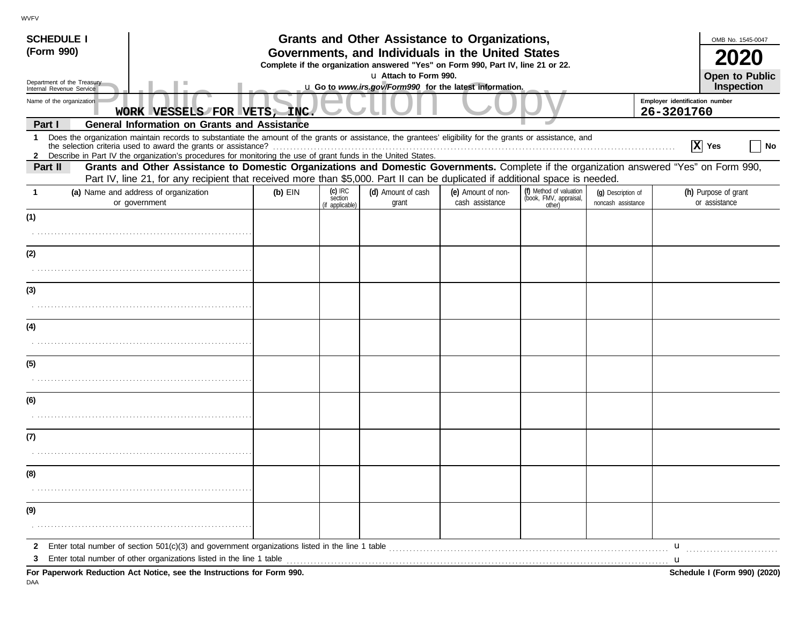| <b>SCHEDULE I</b><br>(Form 990) |                                                                                                                                                                                                                                                                                                                                                 | Grants and Other Assistance to Organizations,<br>Governments, and Individuals in the United States<br>Complete if the organization answered "Yes" on Form 990, Part IV, line 21 or 22. |                                                         | OMB No. 1545-0047              |                                       |                                                             |                                          |              |                                       |    |  |
|---------------------------------|-------------------------------------------------------------------------------------------------------------------------------------------------------------------------------------------------------------------------------------------------------------------------------------------------------------------------------------------------|----------------------------------------------------------------------------------------------------------------------------------------------------------------------------------------|---------------------------------------------------------|--------------------------------|---------------------------------------|-------------------------------------------------------------|------------------------------------------|--------------|---------------------------------------|----|--|
| Department of the Treasury      |                                                                                                                                                                                                                                                                                                                                                 |                                                                                                                                                                                        |                                                         | <b>Open to Public</b>          |                                       |                                                             |                                          |              |                                       |    |  |
| Internal Revenue Service        |                                                                                                                                                                                                                                                                                                                                                 |                                                                                                                                                                                        | u Go to www.irs.gov/Form990 for the latest information. |                                |                                       |                                                             |                                          |              |                                       |    |  |
| Name of the organization        | WORK VESSELS FOR VETS, INC.                                                                                                                                                                                                                                                                                                                     |                                                                                                                                                                                        | 26-3201760                                              | Employer identification number |                                       |                                                             |                                          |              |                                       |    |  |
| Part I                          | <b>General Information on Grants and Assistance</b>                                                                                                                                                                                                                                                                                             |                                                                                                                                                                                        |                                                         |                                |                                       |                                                             |                                          |              |                                       |    |  |
| $\mathbf{1}$                    | Does the organization maintain records to substantiate the amount of the grants or assistance, the grantees' eligibility for the grants or assistance, and<br>the selection criteria used to award the grants or assistance?<br>2 Describe in Part IV the organization's procedures for monitoring the use of grant funds in the United States. |                                                                                                                                                                                        |                                                         |                                |                                       |                                                             |                                          |              | $ X $ Yes                             | No |  |
| Part II                         | Grants and Other Assistance to Domestic Organizations and Domestic Governments. Complete if the organization answered "Yes" on Form 990,<br>Part IV, line 21, for any recipient that received more than \$5,000. Part II can be duplicated if additional space is needed.                                                                       |                                                                                                                                                                                        |                                                         |                                |                                       |                                                             |                                          |              |                                       |    |  |
| -1                              | (a) Name and address of organization<br>or government                                                                                                                                                                                                                                                                                           | $(b)$ EIN                                                                                                                                                                              | $(c)$ IRC<br>section<br>(if applicable)                 | (d) Amount of cash<br>grant    | (e) Amount of non-<br>cash assistance | (f) Method of valuation<br>(book, FMV, appraisal,<br>other) | (q) Description of<br>noncash assistance |              | (h) Purpose of grant<br>or assistance |    |  |
| (1)                             |                                                                                                                                                                                                                                                                                                                                                 |                                                                                                                                                                                        |                                                         |                                |                                       |                                                             |                                          |              |                                       |    |  |
|                                 |                                                                                                                                                                                                                                                                                                                                                 |                                                                                                                                                                                        |                                                         |                                |                                       |                                                             |                                          |              |                                       |    |  |
| (2)                             |                                                                                                                                                                                                                                                                                                                                                 |                                                                                                                                                                                        |                                                         |                                |                                       |                                                             |                                          |              |                                       |    |  |
|                                 |                                                                                                                                                                                                                                                                                                                                                 |                                                                                                                                                                                        |                                                         |                                |                                       |                                                             |                                          |              |                                       |    |  |
| (3)                             |                                                                                                                                                                                                                                                                                                                                                 |                                                                                                                                                                                        |                                                         |                                |                                       |                                                             |                                          |              |                                       |    |  |
|                                 |                                                                                                                                                                                                                                                                                                                                                 |                                                                                                                                                                                        |                                                         |                                |                                       |                                                             |                                          |              |                                       |    |  |
| (4)                             |                                                                                                                                                                                                                                                                                                                                                 |                                                                                                                                                                                        |                                                         |                                |                                       |                                                             |                                          |              |                                       |    |  |
|                                 |                                                                                                                                                                                                                                                                                                                                                 |                                                                                                                                                                                        |                                                         |                                |                                       |                                                             |                                          |              |                                       |    |  |
| (5)                             |                                                                                                                                                                                                                                                                                                                                                 |                                                                                                                                                                                        |                                                         |                                |                                       |                                                             |                                          |              |                                       |    |  |
|                                 |                                                                                                                                                                                                                                                                                                                                                 |                                                                                                                                                                                        |                                                         |                                |                                       |                                                             |                                          |              |                                       |    |  |
| (6)                             |                                                                                                                                                                                                                                                                                                                                                 |                                                                                                                                                                                        |                                                         |                                |                                       |                                                             |                                          |              |                                       |    |  |
|                                 |                                                                                                                                                                                                                                                                                                                                                 |                                                                                                                                                                                        |                                                         |                                |                                       |                                                             |                                          |              |                                       |    |  |
| (7)                             |                                                                                                                                                                                                                                                                                                                                                 |                                                                                                                                                                                        |                                                         |                                |                                       |                                                             |                                          |              |                                       |    |  |
|                                 |                                                                                                                                                                                                                                                                                                                                                 |                                                                                                                                                                                        |                                                         |                                |                                       |                                                             |                                          |              |                                       |    |  |
| (8)                             |                                                                                                                                                                                                                                                                                                                                                 |                                                                                                                                                                                        |                                                         |                                |                                       |                                                             |                                          |              |                                       |    |  |
|                                 |                                                                                                                                                                                                                                                                                                                                                 |                                                                                                                                                                                        |                                                         |                                |                                       |                                                             |                                          |              |                                       |    |  |
| (9)                             |                                                                                                                                                                                                                                                                                                                                                 |                                                                                                                                                                                        |                                                         |                                |                                       |                                                             |                                          |              |                                       |    |  |
|                                 |                                                                                                                                                                                                                                                                                                                                                 |                                                                                                                                                                                        |                                                         |                                |                                       |                                                             |                                          |              |                                       |    |  |
| 3                               | Enter total number of other organizations listed in the line 1 table <i>manufacture in the content of the line</i> 1 table manufacture in the line 1 table                                                                                                                                                                                      |                                                                                                                                                                                        |                                                         |                                |                                       |                                                             |                                          | $\mathbf{u}$ |                                       |    |  |
|                                 | For Paperwork Reduction Act Notice, see the Instructions for Form 990.                                                                                                                                                                                                                                                                          |                                                                                                                                                                                        |                                                         |                                |                                       |                                                             |                                          |              | Schedule I (Form 990) (2020)          |    |  |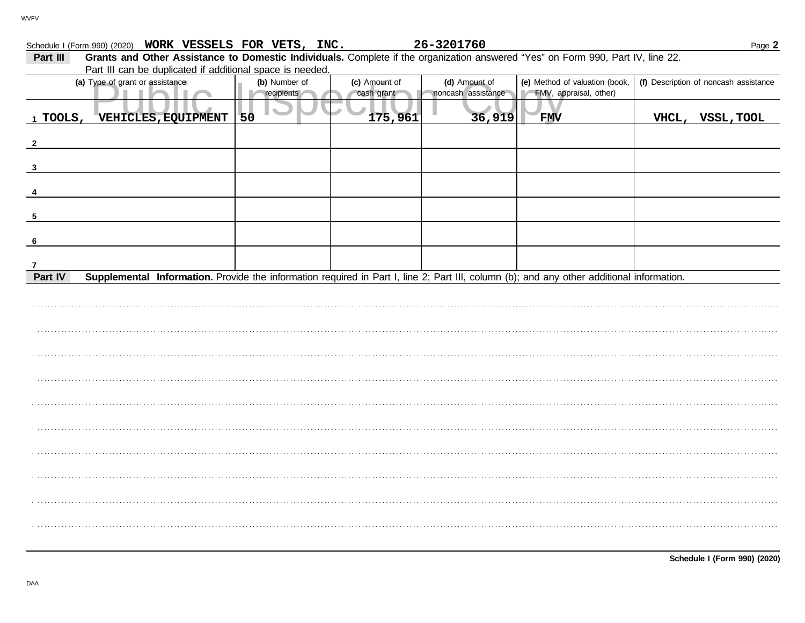| Schedule I (Form 990) (2020) WORK VESSELS FOR VETS, INC.                                                                                             |               |               | 26-3201760         |                                | Page 2                                |
|------------------------------------------------------------------------------------------------------------------------------------------------------|---------------|---------------|--------------------|--------------------------------|---------------------------------------|
| Grants and Other Assistance to Domestic Individuals. Complete if the organization answered "Yes" on Form 990, Part IV, line 22.<br>Part III          |               |               |                    |                                |                                       |
| Part III can be duplicated if additional space is needed.                                                                                            |               |               |                    |                                |                                       |
| (a) Type of grant or assistance                                                                                                                      | (b) Number of | (c) Amount of | (d) Amount of      | (e) Method of valuation (book, | (f) Description of noncash assistance |
|                                                                                                                                                      | recipients    | cash grant    | noncash assistance | FMV, appraisal, other)         |                                       |
|                                                                                                                                                      |               |               |                    |                                |                                       |
| 1 $TOOLS$ ,<br>VEHICLES, EQUIPMENT                                                                                                                   | 50            | 175,961       | 36,919             | <b>FMV</b>                     | VHCL, VSSL, TOOL                      |
|                                                                                                                                                      |               |               |                    |                                |                                       |
| -2                                                                                                                                                   |               |               |                    |                                |                                       |
| $\mathbf{3}$                                                                                                                                         |               |               |                    |                                |                                       |
|                                                                                                                                                      |               |               |                    |                                |                                       |
|                                                                                                                                                      |               |               |                    |                                |                                       |
|                                                                                                                                                      |               |               |                    |                                |                                       |
|                                                                                                                                                      |               |               |                    |                                |                                       |
|                                                                                                                                                      |               |               |                    |                                |                                       |
| 6                                                                                                                                                    |               |               |                    |                                |                                       |
|                                                                                                                                                      |               |               |                    |                                |                                       |
| Supplemental Information. Provide the information required in Part I, line 2; Part III, column (b); and any other additional information.<br>Part IV |               |               |                    |                                |                                       |
|                                                                                                                                                      |               |               |                    |                                |                                       |
|                                                                                                                                                      |               |               |                    |                                |                                       |
|                                                                                                                                                      |               |               |                    |                                |                                       |
|                                                                                                                                                      |               |               |                    |                                |                                       |
|                                                                                                                                                      |               |               |                    |                                |                                       |
|                                                                                                                                                      |               |               |                    |                                |                                       |
|                                                                                                                                                      |               |               |                    |                                |                                       |
|                                                                                                                                                      |               |               |                    |                                |                                       |
|                                                                                                                                                      |               |               |                    |                                |                                       |
|                                                                                                                                                      |               |               |                    |                                |                                       |
|                                                                                                                                                      |               |               |                    |                                |                                       |
|                                                                                                                                                      |               |               |                    |                                |                                       |
|                                                                                                                                                      |               |               |                    |                                |                                       |
|                                                                                                                                                      |               |               |                    |                                |                                       |
|                                                                                                                                                      |               |               |                    |                                |                                       |
|                                                                                                                                                      |               |               |                    |                                |                                       |
|                                                                                                                                                      |               |               |                    |                                |                                       |
|                                                                                                                                                      |               |               |                    |                                |                                       |
|                                                                                                                                                      |               |               |                    |                                |                                       |
|                                                                                                                                                      |               |               |                    |                                |                                       |
|                                                                                                                                                      |               |               |                    |                                |                                       |

26-3201760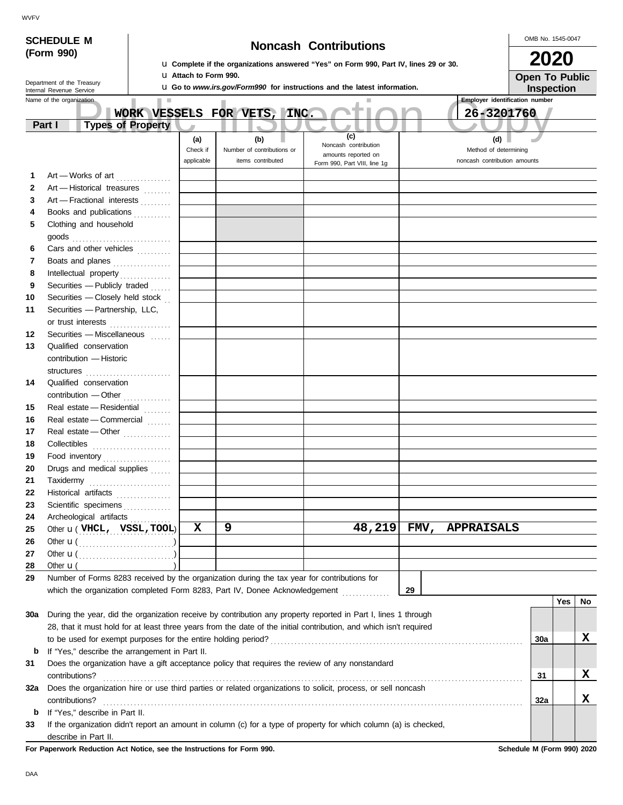|              | <b>SCHEDULE M</b>                                                                                                  |                              |   |                            |                                                                                       |        |    |                                | OMB No. 1545-0047     |     |     |
|--------------|--------------------------------------------------------------------------------------------------------------------|------------------------------|---|----------------------------|---------------------------------------------------------------------------------------|--------|----|--------------------------------|-----------------------|-----|-----|
|              | (Form 990)                                                                                                         |                              |   |                            | <b>Noncash Contributions</b>                                                          |        |    |                                | 2020                  |     |     |
|              |                                                                                                                    |                              |   |                            | La Complete if the organizations answered "Yes" on Form 990, Part IV, lines 29 or 30. |        |    |                                |                       |     |     |
|              | Department of the Treasury                                                                                         | <b>u</b> Attach to Form 990. |   |                            | <b>u</b> Go to www.irs.gov/Form990 for instructions and the latest information.       |        |    |                                | <b>Open To Public</b> |     |     |
|              | Internal Revenue Service<br>Name of the organization                                                               |                              |   |                            |                                                                                       |        |    | Employer identification number | Inspection            |     |     |
|              | WORK VESSELS FOR VETS, INC.                                                                                        |                              |   |                            |                                                                                       |        |    | 26-3201760                     |                       |     |     |
|              | <b>Types of Property</b><br>Part I                                                                                 |                              |   |                            |                                                                                       |        |    |                                |                       |     |     |
|              |                                                                                                                    | (a)                          |   | (b)                        | (c)                                                                                   |        |    | (d) L                          |                       |     |     |
|              |                                                                                                                    | Check if                     |   | Number of contributions or | Noncash contribution                                                                  |        |    | Method of determining          |                       |     |     |
|              |                                                                                                                    | applicable                   |   | items contributed          | amounts reported on<br>Form 990, Part VIII, line 1g                                   |        |    | noncash contribution amounts   |                       |     |     |
| 1            | Art - Works of art<br>.                                                                                            |                              |   |                            |                                                                                       |        |    |                                |                       |     |     |
| $\mathbf{2}$ | Art - Historical treasures                                                                                         |                              |   |                            |                                                                                       |        |    |                                |                       |     |     |
| 3            | Art - Fractional interests                                                                                         |                              |   |                            |                                                                                       |        |    |                                |                       |     |     |
| 4            | Books and publications                                                                                             |                              |   |                            |                                                                                       |        |    |                                |                       |     |     |
| 5            | Clothing and household                                                                                             |                              |   |                            |                                                                                       |        |    |                                |                       |     |     |
|              | goods                                                                                                              |                              |   |                            |                                                                                       |        |    |                                |                       |     |     |
| 6            | Cars and other vehicles                                                                                            |                              |   |                            |                                                                                       |        |    |                                |                       |     |     |
| 7            | Boats and planes                                                                                                   |                              |   |                            |                                                                                       |        |    |                                |                       |     |     |
| 8            |                                                                                                                    |                              |   |                            |                                                                                       |        |    |                                |                       |     |     |
| 9            | Securities - Publicly traded                                                                                       |                              |   |                            |                                                                                       |        |    |                                |                       |     |     |
| 10           | Securities - Closely held stock                                                                                    |                              |   |                            |                                                                                       |        |    |                                |                       |     |     |
| 11           | Securities - Partnership, LLC,                                                                                     |                              |   |                            |                                                                                       |        |    |                                |                       |     |     |
|              | or trust interests                                                                                                 |                              |   |                            |                                                                                       |        |    |                                |                       |     |     |
| 12           | Securities - Miscellaneous                                                                                         |                              |   |                            |                                                                                       |        |    |                                |                       |     |     |
| 13           | Qualified conservation                                                                                             |                              |   |                            |                                                                                       |        |    |                                |                       |     |     |
|              | contribution - Historic                                                                                            |                              |   |                            |                                                                                       |        |    |                                |                       |     |     |
|              |                                                                                                                    |                              |   |                            |                                                                                       |        |    |                                |                       |     |     |
| 14           | Qualified conservation                                                                                             |                              |   |                            |                                                                                       |        |    |                                |                       |     |     |
|              | contribution - Other                                                                                               |                              |   |                            |                                                                                       |        |    |                                |                       |     |     |
| 15           | Real estate - Residential                                                                                          |                              |   |                            |                                                                                       |        |    |                                |                       |     |     |
| 16           | Real estate - Commercial                                                                                           |                              |   |                            |                                                                                       |        |    |                                |                       |     |     |
| 17           | Real estate - Other                                                                                                |                              |   |                            |                                                                                       |        |    |                                |                       |     |     |
| 18           | Collectibles                                                                                                       |                              |   |                            |                                                                                       |        |    |                                |                       |     |     |
| 19           | Food inventory                                                                                                     |                              |   |                            |                                                                                       |        |    |                                |                       |     |     |
| 20           | Drugs and medical supplies                                                                                         |                              |   |                            |                                                                                       |        |    |                                |                       |     |     |
| 21<br>22     | Taxidermy                                                                                                          |                              |   |                            |                                                                                       |        |    |                                |                       |     |     |
| 23           | Historical artifacts<br>Scientific specimens                                                                       |                              |   |                            |                                                                                       |        |    |                                |                       |     |     |
| 24           | Archeological artifacts                                                                                            |                              |   |                            |                                                                                       |        |    |                                |                       |     |     |
| 25           | Other $\mathbf{u}$ ( VHCL, VSSL, TOOL)                                                                             | X                            | 9 |                            |                                                                                       | 48,219 |    | FMV, APPRAISALS                |                       |     |     |
| 26           |                                                                                                                    |                              |   |                            |                                                                                       |        |    |                                |                       |     |     |
| 27           | Other $\mathbf{u}(\dots, \dots, \dots, \dots, \dots, \dots)$                                                       |                              |   |                            |                                                                                       |        |    |                                |                       |     |     |
| 28           | Other $\mathbf{u}$ (                                                                                               |                              |   |                            |                                                                                       |        |    |                                |                       |     |     |
| 29           | Number of Forms 8283 received by the organization during the tax year for contributions for                        |                              |   |                            |                                                                                       |        |    |                                |                       |     |     |
|              | which the organization completed Form 8283, Part IV, Donee Acknowledgement                                         |                              |   |                            |                                                                                       |        | 29 |                                |                       |     |     |
|              |                                                                                                                    |                              |   |                            |                                                                                       |        |    |                                |                       | Yes | No. |
| 30a          | During the year, did the organization receive by contribution any property reported in Part I, lines 1 through     |                              |   |                            |                                                                                       |        |    |                                |                       |     |     |
|              | 28, that it must hold for at least three years from the date of the initial contribution, and which isn't required |                              |   |                            |                                                                                       |        |    |                                |                       |     |     |
|              | to be used for exempt purposes for the entire holding period?                                                      |                              |   |                            |                                                                                       |        |    |                                | <b>30a</b>            |     | x   |
| b            | If "Yes," describe the arrangement in Part II.                                                                     |                              |   |                            |                                                                                       |        |    |                                |                       |     |     |
| 31           | Does the organization have a gift acceptance policy that requires the review of any nonstandard                    |                              |   |                            |                                                                                       |        |    |                                |                       |     |     |
|              | contributions?                                                                                                     |                              |   |                            |                                                                                       |        |    |                                | 31                    |     | x   |
| 32a          | Does the organization hire or use third parties or related organizations to solicit, process, or sell noncash      |                              |   |                            |                                                                                       |        |    |                                |                       |     |     |
|              | contributions?                                                                                                     |                              |   |                            |                                                                                       |        |    |                                | 32a                   |     | x   |
| b            | If "Yes," describe in Part II.                                                                                     |                              |   |                            |                                                                                       |        |    |                                |                       |     |     |
| 33           | If the organization didn't report an amount in column (c) for a type of property for which column (a) is checked,  |                              |   |                            |                                                                                       |        |    |                                |                       |     |     |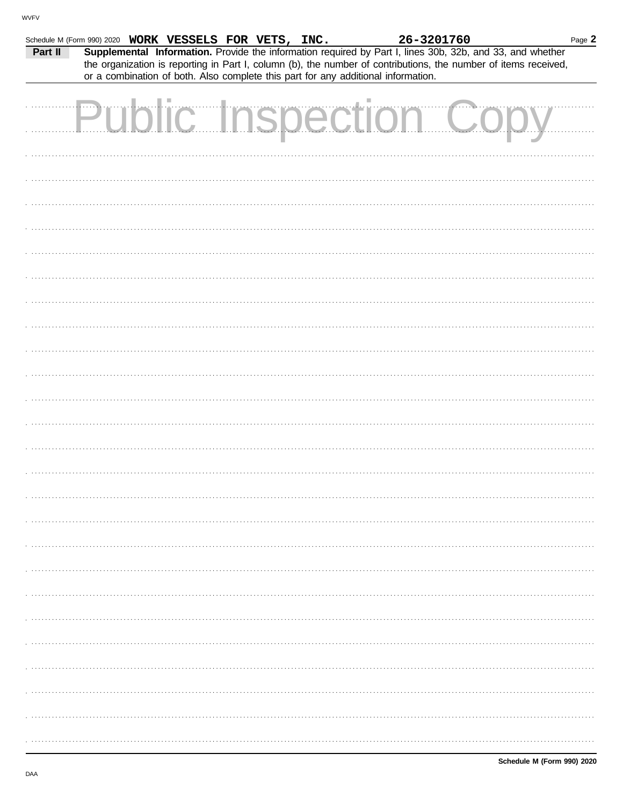|         | Schedule M (Form 990) 2020 WORK VESSELS FOR VETS, INC. |  |  |                                                                                   | 26-3201760 |                              |                                                                                                                                                                                                                              | Page 2 |
|---------|--------------------------------------------------------|--|--|-----------------------------------------------------------------------------------|------------|------------------------------|------------------------------------------------------------------------------------------------------------------------------------------------------------------------------------------------------------------------------|--------|
| Part II |                                                        |  |  |                                                                                   |            |                              | Supplemental Information. Provide the information required by Part I, lines 30b, 32b, and 33, and whether<br>the organization is reporting in Part I, column (b), the number of contributions, the number of items received, |        |
|         |                                                        |  |  | or a combination of both. Also complete this part for any additional information. |            |                              |                                                                                                                                                                                                                              |        |
|         |                                                        |  |  |                                                                                   |            | <b>Public Inspection Coo</b> |                                                                                                                                                                                                                              |        |
|         |                                                        |  |  |                                                                                   |            |                              |                                                                                                                                                                                                                              |        |
|         |                                                        |  |  |                                                                                   |            |                              |                                                                                                                                                                                                                              |        |
|         |                                                        |  |  |                                                                                   |            |                              |                                                                                                                                                                                                                              |        |
|         |                                                        |  |  |                                                                                   |            |                              |                                                                                                                                                                                                                              |        |
|         |                                                        |  |  |                                                                                   |            |                              |                                                                                                                                                                                                                              |        |
|         |                                                        |  |  |                                                                                   |            |                              |                                                                                                                                                                                                                              |        |
|         |                                                        |  |  |                                                                                   |            |                              |                                                                                                                                                                                                                              |        |
|         |                                                        |  |  |                                                                                   |            |                              |                                                                                                                                                                                                                              |        |
|         |                                                        |  |  |                                                                                   |            |                              |                                                                                                                                                                                                                              |        |
|         |                                                        |  |  |                                                                                   |            |                              |                                                                                                                                                                                                                              |        |
|         |                                                        |  |  |                                                                                   |            |                              |                                                                                                                                                                                                                              |        |
|         |                                                        |  |  |                                                                                   |            |                              |                                                                                                                                                                                                                              |        |
|         |                                                        |  |  |                                                                                   |            |                              |                                                                                                                                                                                                                              |        |
|         |                                                        |  |  |                                                                                   |            |                              |                                                                                                                                                                                                                              |        |
|         |                                                        |  |  |                                                                                   |            |                              |                                                                                                                                                                                                                              |        |
|         |                                                        |  |  |                                                                                   |            |                              |                                                                                                                                                                                                                              |        |
|         |                                                        |  |  |                                                                                   |            |                              |                                                                                                                                                                                                                              |        |
|         |                                                        |  |  |                                                                                   |            |                              |                                                                                                                                                                                                                              |        |
|         |                                                        |  |  |                                                                                   |            |                              |                                                                                                                                                                                                                              |        |
|         |                                                        |  |  |                                                                                   |            |                              |                                                                                                                                                                                                                              |        |
|         |                                                        |  |  |                                                                                   |            |                              |                                                                                                                                                                                                                              |        |
|         |                                                        |  |  |                                                                                   |            |                              |                                                                                                                                                                                                                              |        |
|         |                                                        |  |  |                                                                                   |            |                              |                                                                                                                                                                                                                              |        |
|         |                                                        |  |  |                                                                                   |            |                              |                                                                                                                                                                                                                              |        |
|         |                                                        |  |  |                                                                                   |            |                              |                                                                                                                                                                                                                              |        |
|         |                                                        |  |  |                                                                                   |            |                              |                                                                                                                                                                                                                              |        |